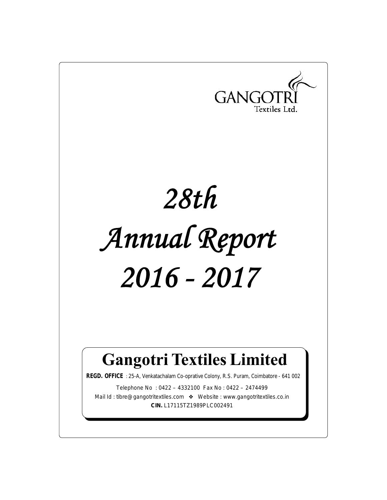

# **28th Annual Report 2016 - 2017**

# **Gangotri Textiles Limited**

**REGD. OFFICE** : 25-A, Venkatachalam Co-oprative Colony, R.S. Puram, Coimbatore - 641 002

Telephone No : 0422 – 4332100 Fax No : 0422 – 2474499 Mail Id : tibre@gangotritextiles.com  $\bullet$  Website : www.gangotritextiles.co.in **CIN.** L17115TZ1989PLC002491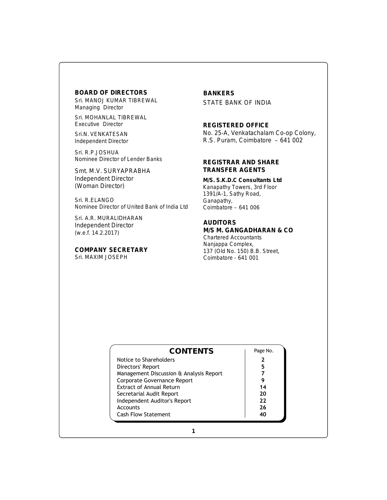**BOARD OF DIRECTORS** Sri. MANOJ KUMAR TIBREWAL Managing Director

Sri. MOHANLAL TIBREWAL Executive Director

Sri.N. VENKATESAN Independent Director

Sri. R.P.JOSHUA Nominee Director of Lender Banks

Smt. M.V. SURYAPRABHA Independent Director (Woman Director)

Sri. R.ELANGO Nominee Director of United Bank of India Ltd

Sri. A.R. MURALIDHARAN Independent Director (w.e.f. 14.2.2017)

**COMPANY SECRETARY** Sri. MAXIM JOSEPH

**BANKERS** STATE BANK OF INDIA

**REGISTERED OFFICE** No. 25-A, Venkatachalam Co-op Colony, R.S. Puram, Coimbatore – 641 002

# **REGISTRAR AND SHARE TRANSFER AGENTS**

**M/S. S.K.D.C Consultants Ltd** Kanapathy Towers, 3rd Floor 1391/A-1, Sathy Road, Ganapathy, Coimbatore – 641 006

#### **AUDITORS**

**M/S M. GANGADHARAN & CO** Chartered Accountants Nanjappa Complex, 137 (Old No. 150) B.B. Street, Coimbatore - 641 001

| CONTENTS                                | Page No. |
|-----------------------------------------|----------|
| Notice to Shareholders                  |          |
| Directors' Report                       | 5        |
| Management Discussion & Analysis Report |          |
| Corporate Governance Report             |          |
| <b>Extract of Annual Return</b>         | 14       |
| Secretarial Audit Report                | 20       |
| Independent Auditor's Report            | 22       |
| <b>Accounts</b>                         | 26       |
| <b>Cash Flow Statement</b>              | 40       |
|                                         |          |

**1**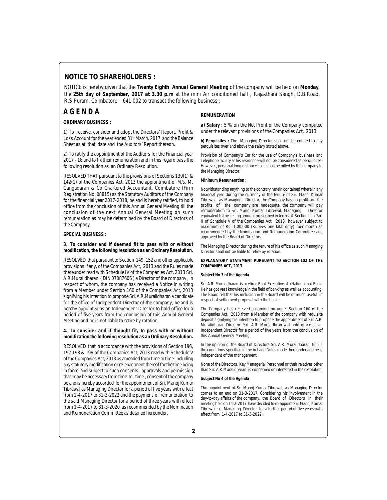# **NOTICE TO SHAREHOLDERS :**

NOTICE is hereby given that the **Twenty Eighth Annual General Meeting** of the company will be held on **Monday**, the **25th day of September, 2017 at 3.30 p.m** at the mini Air conditioned hall , Rajasthani Sangh, D.B.Road, R.S Puram, Coimbatore – 641 002 to transact the following business :

# **A G E N D A**

#### **ORDINARY BUSINESS :**

1) To receive, consider and adopt the Directors' Report, Profit & Loss Account for the year ended 31st March, 2017 and the Balance Sheet as at that date and the Auditors' Report thereon.

2) To ratify the appointment of the Auditors for the Financial year 2017 - 18 and to fix their remuneration and in this regard pass the following resolution as an Ordinary Resolution.

RESOLVED THAT pursuant to the provisions of Sections 139(1) & 142(1) of the Companies Act, 2013 the appiontment of M/s. M. Gangadaran & Co Chartered Accountant, Coimbatore (Firm Registration No. 08815) as the Statutory Auditors of the Company for the financial year 2017-2018, be and is hereby ratified, to hold office from the conclusion of this Annual General Meeting till the conclusion of the next Annual General Meeting on such remunaration as may be determined by the Board of Directors of the Company.

#### **SPECIAL BUSINESS :**

**3. To consider and if deemed fit to pass with or without modification, the following resolution as an Ordinary Resolution.**

RESOLVED that pursuant to Section 149, 152 and other applicable provisions if any, of the Companies Act, 2013 and the Rules made thereunder read with Schedule IV of the Companies Act, 2013 Sri. A.R.Muralidharan ( DIN 07087606 ) a Director of the company , in respect of whom, the company has received a Notice in writing from a Member under Section 160 of the Companies Act, 2013 signifying his intention to propose Sri. A.R.Muralidharan a candidate for the office of Independent Director of the company, be and is hereby appointed as an Independent Director to hold office for a period of five years from the conclusion of this Annual General Meeting and he is not liable to retire by rotation.

**4. To consider and if thought fit, to pass with or without modification the following resolution as an Ordinary Resolution.**

RESOLVED that in accordance with the provisions of Section 196, 197 198 & 199 of the Companies Act, 2013 read with Schedule V of the Companies Act, 2013 as amended from time to time including any statutory modification or re-enactment thereof for the time being in force and subject to such consents, approvals and permission that may be necessary from time to time , consent of the company be and is hereby accorded for the appointment of Sri. Manoj Kumar Tibrewal as Managing Director for a period of five years with effect from 1-4-2017 to 31-3-2022 and the payment of remuneration to the said Managing Director for a period of three years with effect from 1-4-2017 to 31-3-2020 as recommended by the Nomination and Remuneration Committee as detailed hereunder.

#### **REMUNERATION**

**a) Salary :** 5 % on the Net Profit of the Company computed under the relevant provisions of the Companies Act, 2013.

**b) Perquisites :** The Managing Director shall not be entitled to any perquisites over and above the salary stated above.

Provision of Company's Car for the use of Company's business and Telephone facility at his residence will not be considered as perquisites. However, personal long distance calls shall be billed by the company to the Managing Director.

**Minimum Remuneration :**

Notwithstanding anything to the contrary herein contained where in any financial year during the currency of the tenure of Sri. Manoj Kumar Tibrewal, as Managing Director, the Company has no profit or the profits of the company are inadequate, the company will pay remuneration to Sri. Manoj Kumar Tibrewal, Managing Director equivalent to the ceiling amount prescribed in terms of Section II in Part II of Schedule V of the Companies Act, 2013 however subject to maximum of Rs. 1,00,000 (Rupees one lakh only) per month as recommended by the Nomination and Remuneration Committee and approved by the Board of Directors.

The Managing Director during the tenure of his office as such Managing Director shall not be liable to retire by rotation.

**EXPLANATORY STATEMENT PURSUANT TO SECTION 102 OF THE COMPANIES ACT, 2013**

#### **Subject No 3 of the Agenda**

Sri. A.R..Muralidharan is a retired Bank Executive of a Nationalized Bank. He has got vast knowledge in the field of banking as well as accounting. The Board felt that his inclusion in the Board will be of much useful in respect of settlement proposal with the banks.

The Company has received a nomination under Section 160 of the Companies Act, 2013 from a Member of the company with requisite deposit signifying his intention to propose the appointment of Sri. A.R. Muralidharan Director. Sri. A.R. Muralidhran will hold office as an Independent Director for a period of five years from the conclusion of this Annual General Meeting.

In the opinion of the Board of Directors Sri. A.R. Muralidharan fulfills the conditions specified in the Act and Rules made thereunder and he is independent of the management.

None of the Directors, Key Managerial Personnel or their relatives other than Sri. A.R.Muralidharan is concerned or interested in the resolution.

#### **Subject No 4 of the Agenda**

The appointment of Sri. Manoj Kumar Tibrewal, as Managing Director comes to an end on 31-3-2017. Considering his involvement in the day-to-day affairs of the company, the Board of Directors in their meeting held on 14-2-2017 have decided to re-appoint Sri. Manoj Kumar Tibrewal as Managing Director for a further period of five years with effect from 1-4-2017 to 31-3-2022.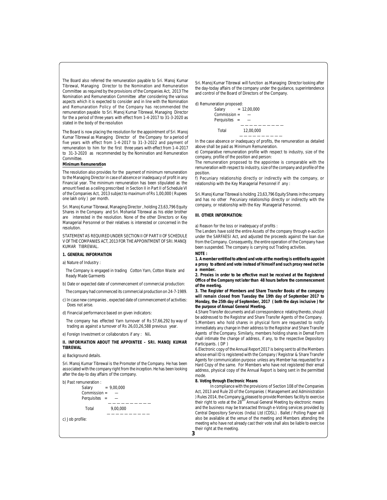The Board also referred the remuneration payable to Sri. Manoj Kumar Tibrewal, Managing Director to the Nomination and Remuneration Committee as required by the provisions of the Companies Act, 2013 The Nomination and Remuneration Committee after considering the various aspects which it is expected to consider and in line with the Nomination and Remunaration Policy of the Company has recommended the remuneration payable to Sri. Manoj Kumar Tibrewal, Managing Director for the a period of three years with effect from 1-4-2017 to 31-3-2020 as stated in the body of the resolution

The Board is now placing the resolution for the appointment of Sri. Manoj Kumar Tibrewal as Managing Director of the Company for a period of five years with effect from 1-4-2017 to 31-3-2022 and payment of remuneration to him for the first three years with effect from 1-4-2017 to 31-3-2020 as recommended by the Nomination and Remuneration **Committee** 

#### **Minimum Remuneration**

The resolution also provides for the payment of minimum remuneration to the Managing Director in case of absence or inadequacy of profit in any Financial year. The minimum remuneration has been stipulated as the amount fixed as a ceiling prescribed in Section II in Part II of Schedule VI of the Companies Act, 2013 subject to maximum of Rs 1,00,000 ( Rupees one lakh only ) per month.

Sri. Manoj Kumar Tibrewal, Managing Director , holding 23,63,796 Equity Shares in the Company and Sri. Mohanlal Tibrewal as his elder brother are interested in the resolution. None of the other Directors or Key Managerial Personnel or their relatives is interested or concerned in the resolution.

STATEMENT AS REQUIRED UNDER SECTION II OF PART II OF SCHEDULE V OF THE COMPANIES ACT, 2013 FOR THE APPOINTMENT OF SRI. MANOJ KUMAR TIBREWAL.

- **1. GENERAL INFORMATION**
- a) Nature of Industry :

 The Company is engaged in trading Cotton Yarn, Cotton Waste and Ready Made Garments

b) Date or expected date of commencement of commercial production:

The company had commenced its commercial production on 24-7-1989.

c) In case new companies , expected date of commencement of activities: Does not arise.

d) Financial performance based on given indicators:

The company has effected Yarn turnover of Rs 57,66,292 by way of trading as against a turnover of Rs 26,03,26,588 previous year.

e) Foreign Investment or collaborators if any : Nil**.**

**II. INFORMATION ABOUT THE APPOINTEE – SRI. MANOJ KUMAR TIBREWAL**

a) Background details.

Sri. Manoj Kumar Tibrewal is the Promoter of the Company. He has been associated with the company right from the inception. He has been looking after the day-to day affairs of the company.

b) Past remuneration :

 Salary = 9,00,000  $Commission =$ Perquisites = —————————— Total 9,00,000  $\overline{\phantom{a}}$  , and the contract of the contract of the contract of the contract of the contract of the contract of the contract of the contract of the contract of the contract of the contract of the contract of the contrac

c) Job profile:

Sri. Manoj Kumar Tibrewal will function as Managing Director looking after the day-today affairs of the company under the guidance, superintendence and control of the Board of Directors of the Company.

d) Remuneration proposed: Salary = 12,00,000  $Commission =$ Perquisites = ——————————

 Total 12,00,000 ——————————

In the case absence or inadequacy of profits, the remuneration as detailed above shall be paid as Minimum Remuneration.

e) Comparative remuneration profile with respect to industry, size of the company, profile of the position and person:

The remuneration proposed to the appointee is comparable with the remuneration with respect to industry, size of the company and profile of the position.

f) Pecuniary relationship directly or indirectly with the company, or relationship with the Key Managerial Personnel if any :

Sri. Manoj Kumar Tibrewal is holding 23,63,796 Equity Shares in the company and has no other Pecuniary relationship directly or indirectly with the company, or relationship with the Key Managerial Personnel.

**III. OTHER INFORMATION:**

a) Reason for the loss or inadequacy of profits :

The Lenders have sold the entire Assets of the company through e-auction under the SARFAESI Act, and adjusted the proceeds against the loan due from the Company. Consequently, the entire operation of the Company have been suspended. The company is carrying out Trading activities.

**NOTE :**

**3**

**1. A member entitled to attend and vote at the meeting is entitled to appoint a proxy to attend and vote instead of himself and such proxy need not be a member.**

**2. Proxies in order to be effective must be received at the Registered Office of the Company not later than 48 hours before the commencement of the meeting.**

**3. The Register of Members and Share Transfer Books of the company will remain closed from Tuesday the 19th day of September 2017 to Monday, the 25th day of September, 2017 ( both the days inclusive ) for the purpose of Annual General Meeting.**

4.Share Transfer documents and all correspondence relating thereto, should be addressed to the Registrar and Share Transfer Agents of the Company.

5.Members who hold shares in physical form are requested to notify immediately any change in their address to the Registrar and Share Transfer Agents of the Company. Similarly, members holding shares in Demat Form shall intimate the change of address, if any, to the respective Depository Participants. ( DP )

6.Electronic copy of the Annual Report 2017 is being sent to all the Members whose email ID is registered with the Company / Registrar & Share Transfer Agents for communication purpose unless any Member has requested for a Hard Copy of the same. For Members who have not registered their email address, physical copy of the Annual Report is being sent in the permitted mode.

**8. Voting through Electronic Means**

In compliance with the provisions of Section 108 of the Companies Act, 2013 and Rule 20 of the Companies ( Management and Administration ) Rules 2014, the Company is pleased to provide Members facility to exercise<br>their right to vote at the 28<sup>th</sup> Annual General Meeting by electronic means and the business may be transacted through e-Voting services provided by Central Depository Services (India) Ltd (CDSL) . Ballet / Polling Paper will also be available at the venue of the meeting and Members attending the meeting who have not already cast their vote shall alos be liable to exercise their right at the meeting.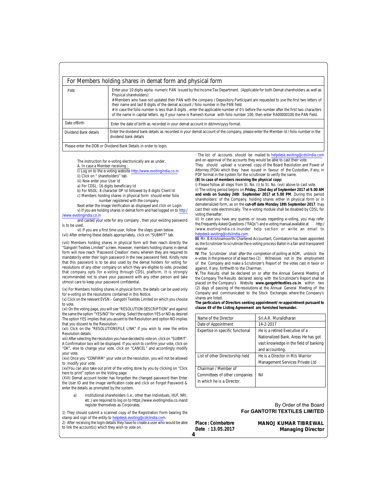|                                                                                                                                                                                                                | For Members holding shares in demat form and physical form                                                                                                                                                                                                                                                                                                                                                                                                                                                                                                                                                                                                                                                                                                                                                                                                                                                                                                                                                                                                                                                                                                                                                                                                                                                                                                                                                                                                                                                                                                                                      |                                                                                                                                                                                                                                                                                                                                                                                                                        |                                                                                                                                                                                                                                                                                                                                                                                                                                                                                                                                                                                                                                                                                                                                                                                                                                                                                                                                                                                                                                                                                                                                                                                                                                                                                                                                                                                                                                                                                                                                                                                                                                                                                                                             |  |  |  |  |
|----------------------------------------------------------------------------------------------------------------------------------------------------------------------------------------------------------------|-------------------------------------------------------------------------------------------------------------------------------------------------------------------------------------------------------------------------------------------------------------------------------------------------------------------------------------------------------------------------------------------------------------------------------------------------------------------------------------------------------------------------------------------------------------------------------------------------------------------------------------------------------------------------------------------------------------------------------------------------------------------------------------------------------------------------------------------------------------------------------------------------------------------------------------------------------------------------------------------------------------------------------------------------------------------------------------------------------------------------------------------------------------------------------------------------------------------------------------------------------------------------------------------------------------------------------------------------------------------------------------------------------------------------------------------------------------------------------------------------------------------------------------------------------------------------------------------------|------------------------------------------------------------------------------------------------------------------------------------------------------------------------------------------------------------------------------------------------------------------------------------------------------------------------------------------------------------------------------------------------------------------------|-----------------------------------------------------------------------------------------------------------------------------------------------------------------------------------------------------------------------------------------------------------------------------------------------------------------------------------------------------------------------------------------------------------------------------------------------------------------------------------------------------------------------------------------------------------------------------------------------------------------------------------------------------------------------------------------------------------------------------------------------------------------------------------------------------------------------------------------------------------------------------------------------------------------------------------------------------------------------------------------------------------------------------------------------------------------------------------------------------------------------------------------------------------------------------------------------------------------------------------------------------------------------------------------------------------------------------------------------------------------------------------------------------------------------------------------------------------------------------------------------------------------------------------------------------------------------------------------------------------------------------------------------------------------------------------------------------------------------------|--|--|--|--|
| PAN                                                                                                                                                                                                            | Enter your 10 digits alpha-numeric PAN issued by the Income Tax Department. (Applicable for both Demat shareholders as well as<br>Physical shareholders)<br># Members who have not updated their PAN with the company / Depository Participant are requested to use the first two letters of<br>their name and last 8 digits of the demat account / folio number in the PAN field.<br># In case the folio number is less than 8 digits, enter the applicable number of 0's before the number after the first two characters<br>of the name in capital letters, eg if your name is Ramesh Kumar with folio number 100, then enter RA00000100 the PAN Field.                                                                                                                                                                                                                                                                                                                                                                                                                                                                                                                                                                                                                                                                                                                                                                                                                                                                                                                                      |                                                                                                                                                                                                                                                                                                                                                                                                                        |                                                                                                                                                                                                                                                                                                                                                                                                                                                                                                                                                                                                                                                                                                                                                                                                                                                                                                                                                                                                                                                                                                                                                                                                                                                                                                                                                                                                                                                                                                                                                                                                                                                                                                                             |  |  |  |  |
| Date of Birth                                                                                                                                                                                                  | Enter the date of birth as recorded in your demat account in dd/mm/yyyy format.                                                                                                                                                                                                                                                                                                                                                                                                                                                                                                                                                                                                                                                                                                                                                                                                                                                                                                                                                                                                                                                                                                                                                                                                                                                                                                                                                                                                                                                                                                                 |                                                                                                                                                                                                                                                                                                                                                                                                                        |                                                                                                                                                                                                                                                                                                                                                                                                                                                                                                                                                                                                                                                                                                                                                                                                                                                                                                                                                                                                                                                                                                                                                                                                                                                                                                                                                                                                                                                                                                                                                                                                                                                                                                                             |  |  |  |  |
| Dividend Bank details                                                                                                                                                                                          | Enter the dividend bank details as recorded in your demat account of the company, please enter the Member Id / folio number in the<br>dividend bank details                                                                                                                                                                                                                                                                                                                                                                                                                                                                                                                                                                                                                                                                                                                                                                                                                                                                                                                                                                                                                                                                                                                                                                                                                                                                                                                                                                                                                                     |                                                                                                                                                                                                                                                                                                                                                                                                                        |                                                                                                                                                                                                                                                                                                                                                                                                                                                                                                                                                                                                                                                                                                                                                                                                                                                                                                                                                                                                                                                                                                                                                                                                                                                                                                                                                                                                                                                                                                                                                                                                                                                                                                                             |  |  |  |  |
|                                                                                                                                                                                                                | Please enter the DOB or Dividend Bank Details in order to login.                                                                                                                                                                                                                                                                                                                                                                                                                                                                                                                                                                                                                                                                                                                                                                                                                                                                                                                                                                                                                                                                                                                                                                                                                                                                                                                                                                                                                                                                                                                                |                                                                                                                                                                                                                                                                                                                                                                                                                        |                                                                                                                                                                                                                                                                                                                                                                                                                                                                                                                                                                                                                                                                                                                                                                                                                                                                                                                                                                                                                                                                                                                                                                                                                                                                                                                                                                                                                                                                                                                                                                                                                                                                                                                             |  |  |  |  |
|                                                                                                                                                                                                                |                                                                                                                                                                                                                                                                                                                                                                                                                                                                                                                                                                                                                                                                                                                                                                                                                                                                                                                                                                                                                                                                                                                                                                                                                                                                                                                                                                                                                                                                                                                                                                                                 |                                                                                                                                                                                                                                                                                                                                                                                                                        | The list of accounts should be mailed to helpdesk.evoting@cdslindia.com                                                                                                                                                                                                                                                                                                                                                                                                                                                                                                                                                                                                                                                                                                                                                                                                                                                                                                                                                                                                                                                                                                                                                                                                                                                                                                                                                                                                                                                                                                                                                                                                                                                     |  |  |  |  |
| A. In case a Member receiving:<br>ii) Click on " shareholders" tab.<br>iii) Now enter your User Id<br>/www.evotingindia.co.in<br>is to be used.<br>utmost care to keep your password confidential.<br>to vote. | The instruction for e-voting electronically are as under.<br>I) Log on to the e-voting website http://www.evotingindia.co.in<br>a) For CDSL: 16 digits beneficiary Id<br>b) For NSDL: 8 character DP Id followed by 8 digits Client Id<br>c) Members holding shares in physical form should enter folio<br>number registered with the company.<br>Next enter the image Verification as displayed and click on Login.<br>v) If you are holding shares in demat form and had logged on to http:/<br>and casted your vote for any company, then your existing password<br>vi) If you are a first time user, follow the steps given below.<br>(vii) After entering these details appropriately, click on "SUBMIT" tab.<br>(viii) Members holding shares in physical form will then reach directly the<br>"Gangotri Textiles Limited" screen. However, members holding shares in demat<br>form will now reach 'Password Creation' menu wherein they are required to<br>mandatorily enter their login password in the new password field. Kindly note<br>that this password is to be also used by the demat holders for voting for<br>resolutions of any other company on which they are eligible to vote, provided<br>that company opts for e-voting through CDSL platform. It is strongly<br>recommended not to share your password with any other person and take<br>(ix) For Members holding shares in physical form, the details can be used only<br>for e-voting on the resolutions contained in this Notice.<br>(x) Click on the relevant EVSN - Gangotri Textiles Limited on which you choose | and on approval of the accounts they would be able to cast their vote.<br>PDF format in the system for the scrutinizer to verify the same.<br>(B) In case of members receiving the physical copy:<br>voting thereafter.<br>the.Frequently Asked Questions ("FAQs") and e-voting manual available at<br>helpdesk.evoting@cdslindia.com.<br>manner.<br>against, if any, forthwith to the Chairman.<br>shares are listed. | They should upload a scanned copy of the Board Resolution and Power of<br>Attorney (POA) which they have issued in favour of the Custodian, if any, in<br>i) Please follow all steps from SI. No. (i) to SI. No. (xvi) above to cast vote.<br>ii) The voting period begins on Friday, 22nd day of September 2017 at 9.00 AM<br>and ends on Sunday 24th September 2017 at 5.00 PM. During this period<br>shareholders' of the Company, holding shares either in physical form or in<br>dematerialized form, as on the cut-off date Monday 18th September 2017, may<br>cast their vote electronically. The e-voting module shall be disabled by CDSL for<br>iii) In case you have any queries or issues regarding e-voting, you may refer<br>http:/<br>/www.evotingindia.co.inunder help section or write an email to<br>III. Mr. B.Krishnamoorthi Chartered Accountant, Coimbatore has been appointed<br>as the Scrutinizer to scrutinize the e-voting process Ballot in a fair and transparent<br>IV. The Scrutinizer shall after the completion of polling at AGM, unblock the<br>e-votes in the presence of at least two (2) Witnesses not in the employment<br>of the Company and make a Scrutinizer's Report of the votes cast in favor or<br>V. The Results shall be declared on or after the Annual General Meeting of<br>the Company The Results declared along with the Scrutinizer's Report shall be<br>placed on the Company's Website www.gangotritextiles.co.in within two<br>(2) days of passing of the resolutions at the Annual General Meeting of the<br>Company and communicated to the Stock Exchanges where the Company's<br>The particulars of Directors seeking appointment/re-appointment pursuant to |  |  |  |  |
|                                                                                                                                                                                                                | (xi) On the voting page, you will see "RESOLUTION DESCRIPTION" and against<br>the same the option "YES/NO" for voting. Select the option YES or NO as desired<br>The option YES implies that you assent to the Resolution and option NO implies                                                                                                                                                                                                                                                                                                                                                                                                                                                                                                                                                                                                                                                                                                                                                                                                                                                                                                                                                                                                                                                                                                                                                                                                                                                                                                                                                 | clause 49 of the Listing Agreement are furnished hereunder.<br>Name of the Director                                                                                                                                                                                                                                                                                                                                    | Sri.A.R. Muralidharan                                                                                                                                                                                                                                                                                                                                                                                                                                                                                                                                                                                                                                                                                                                                                                                                                                                                                                                                                                                                                                                                                                                                                                                                                                                                                                                                                                                                                                                                                                                                                                                                                                                                                                       |  |  |  |  |
| that you dissent to the Resolution.                                                                                                                                                                            |                                                                                                                                                                                                                                                                                                                                                                                                                                                                                                                                                                                                                                                                                                                                                                                                                                                                                                                                                                                                                                                                                                                                                                                                                                                                                                                                                                                                                                                                                                                                                                                                 | Date of Appointment                                                                                                                                                                                                                                                                                                                                                                                                    | 14-2-2017                                                                                                                                                                                                                                                                                                                                                                                                                                                                                                                                                                                                                                                                                                                                                                                                                                                                                                                                                                                                                                                                                                                                                                                                                                                                                                                                                                                                                                                                                                                                                                                                                                                                                                                   |  |  |  |  |
| Resolution details.<br>your vote.                                                                                                                                                                              | (xii) Click on the "RESOLUTIONSFILE LINK" if you wish to view the entire<br>xiii) After selecting the resolution you have decided to vote on, click on "SUBMIT".<br>A Confirmation box will be displayed. If you wish to confirm your vote, click on<br>"OK", else to change your vote, click on "CANCEL" and accordingly modify                                                                                                                                                                                                                                                                                                                                                                                                                                                                                                                                                                                                                                                                                                                                                                                                                                                                                                                                                                                                                                                                                                                                                                                                                                                                | Expertise in specific functional                                                                                                                                                                                                                                                                                                                                                                                       | He is a retired Executive of a<br>Nationalized Bank. Areas He has got<br>vast knowledge in the field of banking<br>and accounting.                                                                                                                                                                                                                                                                                                                                                                                                                                                                                                                                                                                                                                                                                                                                                                                                                                                                                                                                                                                                                                                                                                                                                                                                                                                                                                                                                                                                                                                                                                                                                                                          |  |  |  |  |
| to modify your vote.                                                                                                                                                                                           | (xiv) Once you "CONFIRM" your vote on the resolution, you will not be allowed                                                                                                                                                                                                                                                                                                                                                                                                                                                                                                                                                                                                                                                                                                                                                                                                                                                                                                                                                                                                                                                                                                                                                                                                                                                                                                                                                                                                                                                                                                                   | List of other Directorship held                                                                                                                                                                                                                                                                                                                                                                                        | He is a Director in M/s Warrior<br>Management Services Private Ltd                                                                                                                                                                                                                                                                                                                                                                                                                                                                                                                                                                                                                                                                                                                                                                                                                                                                                                                                                                                                                                                                                                                                                                                                                                                                                                                                                                                                                                                                                                                                                                                                                                                          |  |  |  |  |
| here to print" option on the Voting page.                                                                                                                                                                      | (xv) You can also take out print of the voting done by you by clicking on "Click                                                                                                                                                                                                                                                                                                                                                                                                                                                                                                                                                                                                                                                                                                                                                                                                                                                                                                                                                                                                                                                                                                                                                                                                                                                                                                                                                                                                                                                                                                                | Chairman / Member of                                                                                                                                                                                                                                                                                                                                                                                                   |                                                                                                                                                                                                                                                                                                                                                                                                                                                                                                                                                                                                                                                                                                                                                                                                                                                                                                                                                                                                                                                                                                                                                                                                                                                                                                                                                                                                                                                                                                                                                                                                                                                                                                                             |  |  |  |  |
| enter the details as prompted by the system.                                                                                                                                                                   | (XVI) Demat account holder has forgotten the changed password then Enter<br>the User ID and the image verification code and click on Forgot Password &                                                                                                                                                                                                                                                                                                                                                                                                                                                                                                                                                                                                                                                                                                                                                                                                                                                                                                                                                                                                                                                                                                                                                                                                                                                                                                                                                                                                                                          | Committees of other companies<br>in which he is a Director.                                                                                                                                                                                                                                                                                                                                                            | Nil                                                                                                                                                                                                                                                                                                                                                                                                                                                                                                                                                                                                                                                                                                                                                                                                                                                                                                                                                                                                                                                                                                                                                                                                                                                                                                                                                                                                                                                                                                                                                                                                                                                                                                                         |  |  |  |  |
| a)                                                                                                                                                                                                             | Institutional shareholders (i.e., other than Individuals, HUF, NRI,<br>etc.) are required to log on to https://www.evotingindia.co.inand<br>register themselves as Corporates.                                                                                                                                                                                                                                                                                                                                                                                                                                                                                                                                                                                                                                                                                                                                                                                                                                                                                                                                                                                                                                                                                                                                                                                                                                                                                                                                                                                                                  |                                                                                                                                                                                                                                                                                                                                                                                                                        | By Order of the Board                                                                                                                                                                                                                                                                                                                                                                                                                                                                                                                                                                                                                                                                                                                                                                                                                                                                                                                                                                                                                                                                                                                                                                                                                                                                                                                                                                                                                                                                                                                                                                                                                                                                                                       |  |  |  |  |
|                                                                                                                                                                                                                | 1) They should submit a scanned copy of the Registration Form bearing the<br>stamp and sign of the entity to helpdesk.evoting@cdslindia.com.                                                                                                                                                                                                                                                                                                                                                                                                                                                                                                                                                                                                                                                                                                                                                                                                                                                                                                                                                                                                                                                                                                                                                                                                                                                                                                                                                                                                                                                    |                                                                                                                                                                                                                                                                                                                                                                                                                        | For GANTOTRI TEXTILES LIMITED                                                                                                                                                                                                                                                                                                                                                                                                                                                                                                                                                                                                                                                                                                                                                                                                                                                                                                                                                                                                                                                                                                                                                                                                                                                                                                                                                                                                                                                                                                                                                                                                                                                                                               |  |  |  |  |
| to link the account(s) which they wish to vote on.                                                                                                                                                             | 2) After receiving the login details they have to create a user who would be able                                                                                                                                                                                                                                                                                                                                                                                                                                                                                                                                                                                                                                                                                                                                                                                                                                                                                                                                                                                                                                                                                                                                                                                                                                                                                                                                                                                                                                                                                                               | Place: Coimbatore<br>Date: 13.05.2017                                                                                                                                                                                                                                                                                                                                                                                  | MANOJ KUMAR TIBREWAL<br><b>Managing Director</b>                                                                                                                                                                                                                                                                                                                                                                                                                                                                                                                                                                                                                                                                                                                                                                                                                                                                                                                                                                                                                                                                                                                                                                                                                                                                                                                                                                                                                                                                                                                                                                                                                                                                            |  |  |  |  |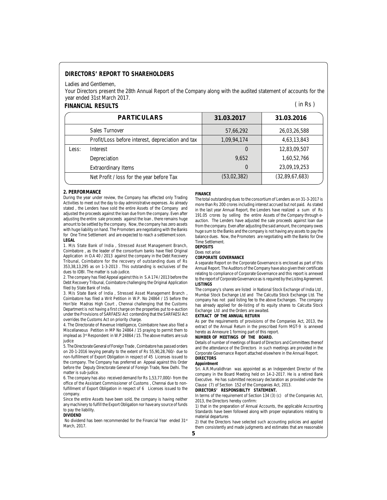### **DIRECTORS' REPORT TO SHAREHOLDERS**

Ladies and Gentlemen,

Your Directors present the 28th Annual Report of the Company along with the audited statement of accounts for the year ended 31st March 2017.

#### **FINANCIAL RESULTS**

( in Rs )

|       | <b>PARTICULARS</b>                                | 31.03.2017  | 31.03.2016     |
|-------|---------------------------------------------------|-------------|----------------|
|       | Sales Turnover                                    | 57,66,292   | 26,03,26,588   |
|       | Profit/Loss before interest, depreciation and tax | 1,09,94,174 | 4,63,13,843    |
| Less: | Interest                                          |             | 12,83,09,507   |
|       | Depreciation                                      | 9,652       | 1,60,52,766    |
|       | <b>Extraordinary Items</b>                        | 0           | 23,09,19,253   |
|       | Net Profit / loss for the year before Tax         | (53,02,382) | (32,89,67,683) |

#### **2. PERFORMANCE**

During the year under review, the Company has effected only Trading Activities to meet out the day to day administrative expenses. As already stated , the Lenders have sold the entire Assets of the Company and adjusted the proceeds against the loan due from the company. Even after adjusting the entire sale proceeds against the loan , there remains huge amount to be settled by the company. Now, the company has zero assets with huge liability on hand. The Promoters are negotiating with the Banks for One Time Settlement and are expected to reach a settlement soon. **LEGAL**

1. M/s State Bank of India , Stressed Asset Management Branch, Coimbatore , as the leader of the consortium banks have filed Original Application in O.A 40 / 2013 against the company in the Debt Recovery Tribunal, Coimbatore for the recovery of outstanding dues of Rs 353,38,13,295 as on 1-3-2013 . This outstanding is exclusives of the dues to IDBI. The matter is sub-judice.

2. The company has filed Appeal against this in S.A 174 / 2013 before the Debt Recovery Tribunal, Coimbatore challenging the Original Application filed by State Bank of India.

3. M/s State Bank of India , Stressed Asset Management Branch , Coimbatore has filed a Writ Petition in W.P. No 24864 / 15 before the Hon'ble Madras High Court , Chennai challenging that the Customs Department is not having a first charge on the properties put to e-auction under the Provisions of SARFAESI Act contending that the SARFAESI Act overrides the Customs Act on priority charge.

4. The Directorate of Revenue Intelligence, Coimbatore have also filed a Miscellaneous Petition in MP No 24864 / 15 praying to permit them to implead as 3rd Respondent in W.P 24864 / 15. The above matters are sub iudice

5. The Directorate General of Foreign Trade , Coimbatore has passed orders on 20-1-2016 levying penalty to the extent of Rs 55,90,28,760/- due to non-fulfillment of Export Obligation in respect of 45 Licenses issued to the company. The Company has preferred an Appeal against this Order before the Deputy Directorate General of Foreign Trade, New Delhi. The matter is sub-judice.

6. The company has also received demand for Rs 1,53,77,000/- from the office of the Assistant Commissioner of Customs , Chennai due to nonfulfillment of Export Obligation in respect of 6 Licenses issued to the company.

Since the entire Assets have been sold, the company is having neither any machinery to fulfill the Export Obligation nor have any source of funds to pay the liability.

**DIVIDEND**

No dividend has been recommended for the Financial Year ended 31st March, 2017.

#### **FINANCE**

The total outstanding dues to the consortium of Lenders as on 31-3-2017 is more than Rs 200 crores including interest accrued but not paid. As stated in the last year Annual Report, the Lenders have realized a sum of Rs 191.05 crores by selling the entire Assets of the Company through eauction. The Lenders have adjusted the sale proceeds against loan due from the company. Even after adjusting the said amount, the company owes huge sum to the Banks and the company is not having any assets to pay the balance dues. Now, the Promoters are negotiating with the Banks for One Time Settlement.

#### **DEPOSITS**

Does not arise

**CORPORATE GOVERNANCE**

A separate Report on the Corporate Governance is enclosed as part of this Annual Report. The Auditors of the Company have also given their certificate relating to compliance of Corporate Governance and this report is annexed to the report of Corporate Governance as is required by the Listing Agreement. **LISTINGS**

The company's shares are listed in National Stock Exchange of India Ltd , Mumbai Stock Exchange Ltd and The Calcutta Stock Exchange Ltd. The company has not paid listing fee to the above Exchanges. The company has already applied for de-listing of its equity shares to Calcutta Stock Exchange Ltd and the Orders are awaited.

#### **EXTRACT OF THE ANNUAL RETURN**

As per the requirements of provisions of the Companies Act, 2013, the extract of the Annual Return in the prescribed Form MGT-9 is annexed hereto as Annexure 1 forming part of this report.

**NUMBER OF MEETINGS OF THE BOARD.**

Details of number of meetings of Board of Directors and Committees thereof and the attendance of the Directors in such meetings are provided in the Corporate Governance Report attached elsewhere in the Annual Report. **DIRECTORS**

#### **Appointment**

Sri. A.R.Muralidhran was appointed as an Independent Director of the company in the Board Meeting held on 14-2-2017. He is a retired Bank Executive. He has submitted necessary declaration as provided under the Clause (7) of Section 152 of the Companies Act, 2013.

**DIRECTORS' RESPONSIBILTY STATEMENT.**

In terms of the requirement of Section 134 (3) (c) of the Companies Act, 2013, the Directors hereby confirm:

1) that in the preparation of Annual Accounts, the applicable Accounting Standards have been followed along with proper explanations relating to material departures

2) that the Directors have selected such accounting policies and applied them consistently and made judgments and estimates that are reasonable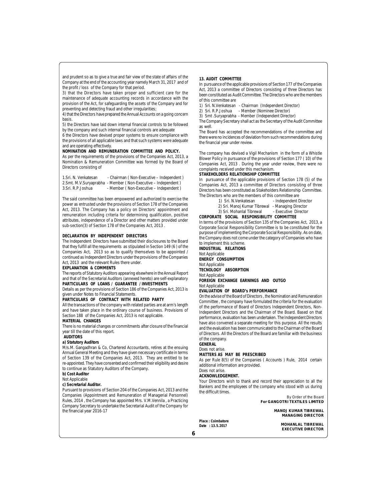and prudent so as to give a true and fair view of the state of affairs of the Company at the end of the accounting year namely March 31, 2017 and of the profit / loss of the Company for that period.

3) that the Directors have taken proper and sufficient care for the maintenance of adequate accounting records in accordance with the provision of the Act, for safeguarding the assets of the Company and for preventing and detecting fraud and other irregularities;

4) that the Directors have prepared the Annual Accounts on a going concern basis.

5) the Directors have laid down internal financial controls to be followed by the company and such internal financial controls are adequate

6 the Directors have devised proper systems to ensure compliance with the provisions of all applicable laws and that such systems were adequate and are operating effectively.

**NOMINATION AND REMUNERATION COMMITTEE AND POLICY.** As per the requirements of the provisions of the Companies Act, 2013, a Nomination & Remuneration Committee was formed by the Board of Directors consisting of

| 1.Sri. N. Venkatesan | - Chairman (Non-Executive – Independent)                        |
|----------------------|-----------------------------------------------------------------|
|                      | 2. Smt. M.V. Suryaprabha - Member (Non-Executive – Independent) |
| 3.Sri. R.P.Joshua    | - Member (Non-Executive – Independent)                          |

The said committee has been empowered and authorized to exercise the power as entrusted under the provisions of Section 178 of the Companies Act, 2013. The Company has a policy on Directors' appointment and remuneration including criteria for determining qualification, positive attributes, independence of a Director and other matters provided under sub-section(3) of Section 178 of the Companies Act, 2013 .

## **DECLARATION BY INDEPENDENT DIRECTORS**

The Independent Directors have submitted their disclosures to the Board that they fulfill all the requirements as stipulated in Section 149 (6 ) of the Companies Act, 2013 so as to qualify themselves to be appointed / continued as Independent Directors under the provisions of the Companies Act, 2013 and the relevant Rules there under.

**EXPLANATION & COMMENTS**

The reports of Statutory Auditors appearing elsewhere in the Annual Report and that of the Secretarial Auditors (annexed hereto) are self-explanatory **PARTICULARS OF LOANS / GUARANTEE / INVESTMENTS**

Details as per the provisions of Section 186 of the Companies Act, 2013 is given under Notes to Financial Statements.

**PARTICULARS OF CONTRACT WITH RELATED PARTY**

All the transactions of the company with related parties are at arm's length and have taken place in the ordinary course of business. Provisions of Section 188 of the Companies Act, 2013 is not applicable.

**MATERIAL CHANGES**

There is no material changes or commitments after closure of the financial year till the date of this report.

 **AUDITORS**

**a) Statutory Auditors**

M/s.M. Gangadhran & Co, Chartered Accountants, retires at the ensuing Annual General Meeting and they have given necessary certificate in terms of Section 139 of the Companies Act, 2013. They are entitled to be

re-appointed. They have consented and confirmed their eligibility and desire to continue as Statutory Auditors of the Company.

**b) Cost Auditor**

Not Applicable

**c) Secretarial Auditor.**

Pursuant to provisions of Section 204 of the Companies Act, 2013 and the Companies (Appointment and Remuneration of Managerial Personnel) Rules, 2014 , the Company has appointed Mrs. V.M.Vennila , a Practicing Company Secretary to undertake the Secretarial Audit of the Company for the financial year 2016-17

**13. AUDIT COMMITTEE**

In pursuance of the applicable provisions of Section 177 of the Companies Act, 2013 a committee of Directors consisting of three Directors has been constituted as Audit Committee. The Directors who are the members of this committee are

1) Sri. N.Venkatesan - Chairman (Independent Director)

2) Sri. R.P.Joshua - Member (Nominee Director)

3) Smt .Suryaprabha - Member (Independent Director)

The Company Secretary shall act as the Secretary of the Audit Committee as well.

The Board has accepted the recommendations of the committee and there were no incidences of deviation from such recommendations during the financial year under review.

The company has devised a Vigil Mechanism in the form of a Whistle Blower Policy in pursuance of the provisions of Section 177 ( 10) of the Companies Act, 2013 . During the year under review, there were no complaints received under this mechanism. **STAKEHOLDERS RELATIONSHIP COMMITTEE**

In pursuance of the applicable provisions of Section 178 (5) of the Companies Act, 2013 a committee of Directors consisting of three Directors has been constituted as Stakeholders Relationship Committee.

The Directors who are the members of this committee are<br>1) Sri. N.Venkatesan - Independent I

- Independent Director
- 2) Sri. Manoj Kumar Tibrewal Managing Director<br>3) Sri. Mohanlal Tibrewal Executive Director 3) Sri. Mohanlal Tibrewal

**CORPORATE SOCIAL RESPONSIBILITY COMMITTEE**

In terms of the provisions of Section 135 of the Companies Act, 2013, a Corporate Social Responsibility Committee is to be constituted for the purpose of implementing the Corporate Social Responsibility. As on date, the Company does not come under the category of Companies who have to implement this scheme.

**INDUSTRIAL RELATIONS**

Not Applicable

**ENERGY CONSUMPTION**

Not Applicable

**TECNOLOGY ABSORPTION**

Not Applicable

**FOREIGN EXCHANGE EARNINGS AND OUTGO** Not Applicable

**EVALUATION OF BOARD's PERFORMANCE**

On the advise of the Board of Directors , the Nomination and Remuneration Committee , the company have formulated the criteria for the evaluation of the performance of Board of Directors Independent Directors, Non-Independent Directors and the Chairman of the Board. Based on that performance, evaluation has been undertaken. The Independent Directors have also convened a separate meeting for this purpose. All the results and the evaluation has been communicated to the Chairman of the Board of Directors. All the Directors of the Board are familiar with the business of the company.

**GENERAL**

Does not arise.

**MATTERS AS MAY BE PRESCRIBED**

As per Rule 8(5) of the Companies ( Accounts ) Rule, 2014 certain additional information are provided.

Does not arise. **ACKNOWLEDGEMENT.**

Your Directors wish to thank and record their appreciation to all the Bankers and the employees of the company who stood with us during the difficult times.

By Order of the Board **For GANGOTRI TEXTILES LIMITED**

> **MANOJ KUMAR TIBREWAL MANAGING DIRECTOR**

**Place : Coimbatore Date : 13.5.2017**

 **MOHANLAL TIBREWAL EXECUTIVE DIRECTOR**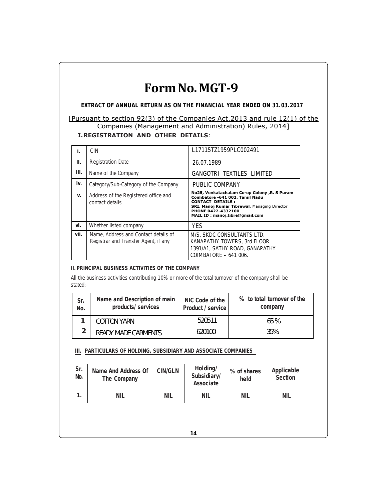# **Form No. MGT-9**

**EXTRACT OF ANNUAL RETURN AS ON THE FINANCIAL YEAR ENDED ON 31.03.2017**

# [Pursuant to section 92(3) of the Companies Act,2013 and rule 12(1) of the Companies (Management and Administration) Rules, 2014]

# **I.REGISTRATION AND OTHER DETAILS**:

| Ť.   | <b>CIN</b>                                                                   | L17115TZ1959PLC002491                                                                                                                                                                                               |
|------|------------------------------------------------------------------------------|---------------------------------------------------------------------------------------------------------------------------------------------------------------------------------------------------------------------|
| ii.  | <b>Registration Date</b>                                                     | 26.07.1989                                                                                                                                                                                                          |
| iii. | Name of the Company                                                          | GANGOTRI TEXTILES LIMITED                                                                                                                                                                                           |
| iv.  | Category/Sub-Category of the Company                                         | PUBLIC COMPANY                                                                                                                                                                                                      |
| V.   | Address of the Registered office and<br>contact details                      | No25, Venkatachalam Co-op Colony , R. S Puram<br>Coimbatore -641 002. Tamil Nadu<br><b>CONTACT DETAILS:</b><br>SRI. Manoj Kumar Tibrewal, Managing Director<br>PHONE 0422-4332100<br>MAIL ID: manoj.tibre@gmail.com |
| vi.  | Whether listed company                                                       | <b>YFS</b>                                                                                                                                                                                                          |
| vii. | Name, Address and Contact details of<br>Registrar and Transfer Agent, if any | M/S. SKDC CONSULTANTS LTD,<br>KANAPATHY TOWERS, 3rd FLOOR<br>1391/A1, SATHY ROAD, GANAPATHY<br>COIMBATORE - 641 006.                                                                                                |

# **II.PRINCIPAL BUSINESS ACTIVITIES OF THE COMPANY**

All the business activities contributing 10% or more of the total turnover of the company shall be stated:-

| Sr.<br>No. | Name and Description of main<br>products/ services | NIC Code of the<br>Product / service | % to total turnover of the<br>company |  |
|------------|----------------------------------------------------|--------------------------------------|---------------------------------------|--|
|            | COTTON YARN                                        | 520511                               | 65%                                   |  |
|            | <b>READY MADE GARMENTS</b>                         | 620100                               | 35%                                   |  |

**III. PARTICULARS OF HOLDING, SUBSIDIARY AND ASSOCIATE COMPANIES**

| Sr.<br>No. | Name And Address Of<br>The Company | CIN/GLN | Holding/<br>Subsidiary/<br>Associate | % of shares<br>held | Applicable<br>Section |
|------------|------------------------------------|---------|--------------------------------------|---------------------|-----------------------|
|            | NIL                                | NIL     | NIL                                  | NIL                 | NIL                   |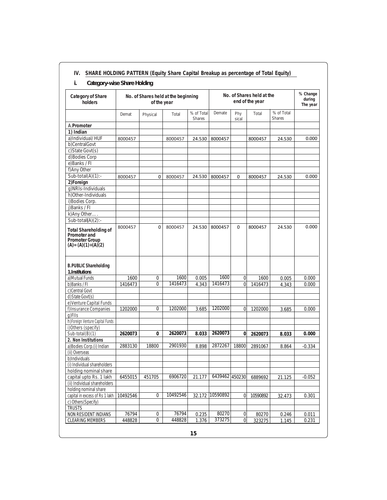# **IV. SHARE HOLDING PATTERN (Equity Share Capital Breakup as percentage of Total Equity)**

| Category of Share<br>holders                                                           |          | of the year | No. of Shares held at the beginning |                             | No. of Shares held at the<br>end of the year |                  |          |                             | % Change<br>during<br>The year |
|----------------------------------------------------------------------------------------|----------|-------------|-------------------------------------|-----------------------------|----------------------------------------------|------------------|----------|-----------------------------|--------------------------------|
|                                                                                        | Demat    | Physical    | Total                               | % of Total<br><b>Shares</b> | Demate                                       | Phy<br>sical     | Total    | % of Total<br><b>Shares</b> |                                |
| A.Promoter                                                                             |          |             |                                     |                             |                                              |                  |          |                             |                                |
| $1)$ Indian                                                                            |          |             |                                     |                             |                                              |                  |          |                             |                                |
| a)Individual/HUF                                                                       | 8000457  |             | 8000457                             | 24.530                      | 8000457                                      |                  | 8000457  | 24.530                      | 0.000                          |
| b)CentralGovt                                                                          |          |             |                                     |                             |                                              |                  |          |                             |                                |
| c)State Govt(s)                                                                        |          |             |                                     |                             |                                              |                  |          |                             |                                |
| d)Bodies Corp                                                                          |          |             |                                     |                             |                                              |                  |          |                             |                                |
| e) Banks / FI                                                                          |          |             |                                     |                             |                                              |                  |          |                             |                                |
| f) Any Other                                                                           |          |             |                                     |                             |                                              |                  |          |                             |                                |
| Sub-total $(A)(1)$ :-                                                                  | 8000457  | $\mathbf 0$ | 8000457                             | 24.530                      | 8000457                                      | 0                | 8000457  | 24.530                      | 0.000                          |
| 2)Foreign                                                                              |          |             |                                     |                             |                                              |                  |          |                             |                                |
| g)NRIs-Individuals                                                                     |          |             |                                     |                             |                                              |                  |          |                             |                                |
| h)Other-Individuals                                                                    |          |             |                                     |                             |                                              |                  |          |                             |                                |
| i)Bodies Corp.                                                                         |          |             |                                     |                             |                                              |                  |          |                             |                                |
| j)Banks / FI                                                                           |          |             |                                     |                             |                                              |                  |          |                             |                                |
| k)Any Other                                                                            |          |             |                                     |                             |                                              |                  |          |                             |                                |
| Sub-total $(A)(2)$ :-                                                                  |          |             |                                     |                             |                                              |                  |          |                             |                                |
| Total Shareholding of<br>Promoter and<br>Promoter Group<br>$(A) = (A)(1) + (A)(2)$     | 8000457  | $\Omega$    | 8000457                             | 24.530                      | 8000457                                      | 0                | 8000457  | 24.530                      | 0.000                          |
| <b>B.PUBLIC Shareholding</b><br>1.Institutions                                         |          |             |                                     |                             |                                              |                  |          |                             |                                |
| a) Mutual Funds                                                                        | 1600     | 0           | 1600<br>1416473                     | 0.005                       | 1600<br>1416473                              | $\overline{0}$   | 1600     | 0.005                       | 0.000                          |
| b)Banks / FI                                                                           | 1416473  | $\Omega$    |                                     | 4.343                       |                                              | $\Omega$         | 1416473  | 4.343                       | 0.000                          |
| c)Central Govt                                                                         |          |             |                                     |                             |                                              |                  |          |                             |                                |
| d) State Govt(s)                                                                       |          |             |                                     |                             |                                              |                  |          |                             |                                |
| e) Venture Capital Funds                                                               |          |             | 1202000                             |                             | 1202000                                      |                  |          |                             |                                |
| f)Insurance Companies                                                                  | 1202000  | 0           |                                     | 3.685                       |                                              | $\overline{0}$   | 1202000  | 3.685                       | 0.000                          |
| $g$ )FIIs<br>h)Foreign Venture Capital Funds                                           |          |             |                                     |                             |                                              |                  |          |                             |                                |
| i)Others (specify)                                                                     |          |             |                                     |                             |                                              |                  |          |                             |                                |
| Sub-total(B)(1)                                                                        | 2620073  | 0           | 2620073                             | 8.033                       | 2620073                                      | $\overline{0}$   | 2620073  | 8.033                       | 0.000                          |
|                                                                                        |          |             |                                     |                             |                                              |                  |          |                             |                                |
|                                                                                        |          |             |                                     |                             |                                              |                  |          |                             | $-0.334$                       |
|                                                                                        |          |             |                                     |                             |                                              |                  |          |                             |                                |
| 2. Non Institutions<br>a)Bodies Corp.(i) Indian                                        | 2883130  | 18800       | 2901930                             | 8.898                       | 2872267                                      | 18800            | 2891067  | 8.864                       |                                |
|                                                                                        |          |             |                                     |                             |                                              |                  |          |                             |                                |
|                                                                                        |          |             |                                     |                             |                                              |                  |          |                             |                                |
|                                                                                        |          |             |                                     |                             |                                              |                  |          |                             |                                |
| (ii) Overseas<br>b)Individuals<br>(i) Individual shareholders<br>holding nominal share |          |             |                                     |                             |                                              |                  |          |                             |                                |
| capital upto Rs. 1 lakh                                                                | 6455015  | 451705      | 6906720                             | 21.177                      | 6439462 450230                               |                  | 6889692  | 21.125                      | $-0.052$                       |
| (ii) Individual shareholders                                                           |          |             |                                     |                             |                                              |                  |          |                             |                                |
| holding nominal share                                                                  |          |             |                                     |                             |                                              |                  |          |                             |                                |
| capital in excess of Rs 1 lakh                                                         | 10492546 | $\mathbf 0$ | 10492546                            | 32.172                      | 10590892                                     | $\overline{0}$   | 10590892 | 32.473                      | 0.301                          |
| c) Others (Specify)                                                                    |          |             |                                     |                             |                                              |                  |          |                             |                                |
| <b>TRUSTS</b><br>NON RESIDENT INDIANS                                                  | 76794    | 0           | 76794                               | 0.235                       | 80270                                        | $\boldsymbol{0}$ | 80270    | 0.246                       | 0.011                          |

# *i. Category-wise Share Holding*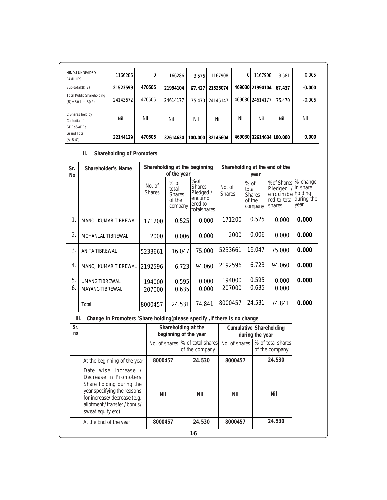| HINDU UNDIVIDED<br><b>FAMILIES</b>                        | 1166286  | 0      | 1166286  | 3.576   | 1167908  | 0   | 1167908                 | 3.581  | 0.005    |
|-----------------------------------------------------------|----------|--------|----------|---------|----------|-----|-------------------------|--------|----------|
| $Sub-total(B)(2)$                                         | 21523599 | 470505 | 21994104 | 67.437  | 21525074 |     | 469030 21994104         | 67.437 | $-0.000$ |
| <b>Total Public Shareholding</b><br>$(B)=(B)(1)+(B)(2)$   | 24143672 | 470505 | 24614177 | 75.470  | 24145147 |     | 469030 24614177         | 75.470 | $-0.006$ |
| C Shares held by<br>Custodian for<br><b>GDRs&amp;ADRs</b> | Nil      | Nil    | Nil      | Nil     | Nil      | Nil | Nil                     | Nil    | Nil      |
| <b>Grand Total</b><br>$(A+B+C)$                           | 32144129 | 470505 | 32614634 | 100.000 | 32145604 |     | 469030 32614634 100.000 |        | 0.000    |

**ii. Shareholding of Promoters**

| Sr.<br>Nο    | Shareholder's Name     |                         | Shareholding at the beginning<br>of the year          |                                                                       |                         | vear                                                  | Shareholding at the end of the                                              |                                |
|--------------|------------------------|-------------------------|-------------------------------------------------------|-----------------------------------------------------------------------|-------------------------|-------------------------------------------------------|-----------------------------------------------------------------------------|--------------------------------|
|              |                        | No. of<br><b>Shares</b> | $%$ of<br>total<br><b>Shares</b><br>of the<br>company | %of<br><b>Shares</b><br>Pledged /<br>encumb<br>ered to<br>totalshares | No. of<br><b>Shares</b> | $%$ of<br>total<br><b>Shares</b><br>of the<br>company | %of Shares % change<br>Pledged<br>encumbe holding<br>red to total<br>shares | In share<br>during the<br>year |
| $\mathbf{1}$ | MANOJ KUMAR TIBREWAL   | 171200                  | 0.525                                                 | 0.000                                                                 | 171200                  | 0.525                                                 | 0.000                                                                       | 0.000                          |
| 2.           | MOHANLAL TIBREWAL      | 2000                    | 0.006                                                 | 0.000                                                                 | 2000                    | 0.006                                                 | 0.000                                                                       | 0.000                          |
| 3.           | ANITA TIBREWAL         | 5233661                 | 16.047                                                | 75.000                                                                | 5233661                 | 16.047                                                | 75.000                                                                      | 0.000                          |
| 4.           | MANOJ KUMAR TIBREWAL   | 2192596                 | 6.723                                                 | 94.060                                                                | 2192596                 | 6.723                                                 | 94.060                                                                      | 0.000                          |
| 5            | <b>UMANG TIBREWAL</b>  | 194000                  | 0.595                                                 | 0.000                                                                 | 194000                  | 0.595                                                 | 0.000                                                                       | 0.000                          |
| 6.           | <b>MAYANG TIBREWAL</b> | 207000                  | 0.635                                                 | 0.000                                                                 | 207000                  | 0.635                                                 | 0.000                                                                       |                                |
|              | Total                  | 8000457                 | 24.531                                                | 74.841                                                                | 8000457                 | 24.531                                                | 74.841                                                                      | 0.000                          |

**iii. Change in Promoters 'Share holding(please specify ,if there is no change**

| Sr.<br>no |                                                                                                                                                                                                 |         | Shareholding at the<br>beginning of the year      | Cumulative Shareholding<br>during the year |                                     |  |
|-----------|-------------------------------------------------------------------------------------------------------------------------------------------------------------------------------------------------|---------|---------------------------------------------------|--------------------------------------------|-------------------------------------|--|
|           |                                                                                                                                                                                                 |         | No. of shares % of total shares<br>of the company | No. of shares                              | % of total shares<br>of the company |  |
|           | At the beginning of the year                                                                                                                                                                    | 8000457 | 24.530                                            | 8000457                                    | 24.530                              |  |
|           | Date wise Increase /<br>Decrease in Promoters<br>Share holding during the<br>year specifying the reasons<br>for increase/ decrease (e.g.<br>allotment / transfer / bonus/<br>sweat equity etc): | Nil     | Nil                                               | Nil                                        | Nil                                 |  |
|           | At the End of the year                                                                                                                                                                          | 8000457 | 24.530                                            | 8000457                                    | 24.530                              |  |
|           |                                                                                                                                                                                                 |         | 16                                                |                                            |                                     |  |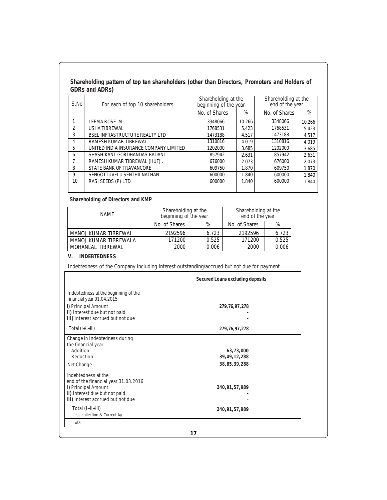**Shareholding pattern of top ten shareholders (other than Directors, Promoters and Holders of GDRs and ADRs)**

| S.No | For each of top 10 shareholders        | Shareholding at the<br>beginning of the year |        | Shareholding at the<br>end of the year |        |  |
|------|----------------------------------------|----------------------------------------------|--------|----------------------------------------|--------|--|
|      |                                        | No. of Shares                                | %      | No. of Shares                          | %      |  |
|      | LEEMA ROSE. M                          | 3348066                                      | 10.266 | 3348066                                | 10.266 |  |
| 2    | <b>USHA TIBREWAL</b>                   | 1768531                                      | 5.423  | 1768531                                | 5.423  |  |
| 3    | <b>BSEL INFRASTRUCTURE REALTY LTD</b>  | 1473188                                      | 4.517  | 1473188                                | 4.517  |  |
| 4    | RAMESH KUMAR TIBREWAL                  | 1310816                                      | 4.019  | 1310816                                | 4.019  |  |
| 5    | UNITED INDIA INSURANCE COMPANY LIMITED | 1202000                                      | 3.685  | 1202000                                | 3.685  |  |
| 6    | SHASHIKANT GORDHANDAS BADANI           | 857942                                       | 2.631  | 857942                                 | 2.631  |  |
|      | RAMESH KUMAR TIBREWAL (HUF).           | 676000                                       | 2.073  | 676000                                 | 2.073  |  |
| 8    | STATE BANK OF TRAVANCORE               | 609750                                       | 1.870  | 609750                                 | 1.870  |  |
| 9    | SENGOTTUVELU SENTHILNATHAN             | 600000                                       | 1.840  | 600000                                 | 1.840  |  |
| 10   | RASI SEEDS (P) LTD                     | 600000                                       | 1.840  | 600000                                 | 1.840  |  |
|      |                                        |                                              |        |                                        |        |  |

**Shareholding of Directors and KMP**

| <b>NAME</b>           | Shareholding at the<br>beginning of the year |       | Shareholding at the<br>end of the year |       |  |
|-----------------------|----------------------------------------------|-------|----------------------------------------|-------|--|
|                       | No. of Shares                                | %     | No. of Shares                          | ℅     |  |
| MANOJ KUMAR TIBREWAL  | 2192596                                      | 6.723 | 2192596                                | 6.723 |  |
| MANOJ KUMAR TIBREWALA | 171200                                       | 0.525 | 171200                                 | 0.525 |  |
| MOHANLAL TIBREWAL     | 2000                                         | 0.006 | 2000                                   | 0.006 |  |

**V. INDEBTEDNESS**

Indebtedness of the Company including interest outstanding/accrued but not due for payment

|                                                                                                                                                                | Secured Loans excluding deposits          |
|----------------------------------------------------------------------------------------------------------------------------------------------------------------|-------------------------------------------|
| Indebtedness at the beginning of the<br>financial year 01.04.2015<br>i) Principal Amount<br>ii) Interest due but not paid<br>iii) Interest accrued but not due | 279, 76, 97, 278                          |
| Total (i+ii+iii)                                                                                                                                               | 279, 76, 97, 278                          |
| Change in Indebtedness during<br>the financial year<br>- Addition<br>- Reduction<br>Net Change                                                                 | 63,73,000<br>39,49,12,288<br>38,85,39,288 |
| Indebtedness at the<br>end of the financial year 31.03.2016<br>i) Principal Amount<br>ii) Interest due but not paid<br>iii) Interest accrued but not due       | 240, 91, 57, 989                          |
| Total (i+ii+iii)<br>Less collection & Current A/c                                                                                                              | 240, 91, 57, 989                          |
| Total                                                                                                                                                          |                                           |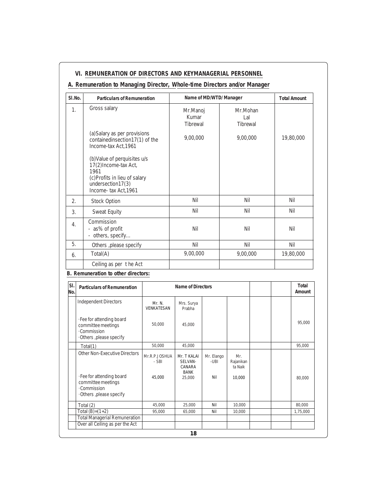| VI. REMUNERATION OF DIRECTORS AND KEYMANAGERIAL PERSONNEL |  |  |  |  |  |
|-----------------------------------------------------------|--|--|--|--|--|
|-----------------------------------------------------------|--|--|--|--|--|

# **A. Remuneration to Managing Director, Whole-time Directors and/or Manager**

| $SI$ . No. | Particulars of Remuneration                                                                                                                 |                        |                                  | Name of MD/WTD/ Manager |                             |  | <b>Total Amount</b> |
|------------|---------------------------------------------------------------------------------------------------------------------------------------------|------------------------|----------------------------------|-------------------------|-----------------------------|--|---------------------|
| 1.         | Gross salary                                                                                                                                |                        | Mr.Manoj<br>Kumar<br>Tibrewal    |                         | Mr.Mohan<br>Lal<br>Tibrewal |  |                     |
|            | (a) Salary as per provisions<br>containedinsection17(1) of the<br>Income-tax Act, 1961                                                      |                        | 9,00,000                         |                         | 9,00,000                    |  | 19,80,000           |
|            | (b) Value of perquisites u/s<br>17(2) Income-tax Act,<br>1961<br>(c) Profits in lieu of salary<br>undersection17(3)<br>Income-tax Act, 1961 |                        |                                  |                         |                             |  |                     |
| 2.         | Stock Option                                                                                                                                |                        | Nil                              |                         | Nil                         |  | Nil                 |
| 3.         | Sweat Equity                                                                                                                                |                        | Nil                              |                         | Nil                         |  | Nil                 |
| 4.         | Commission<br>- as% of profit<br>- others, specify                                                                                          |                        | Nil                              |                         | Nil                         |  | Nil                 |
| 5.         | Others , please specify                                                                                                                     |                        | Nil                              |                         | Nil                         |  | Nil                 |
| 6.         | Total(A)                                                                                                                                    |                        | 9,00,000                         |                         | 9,00,000                    |  | 19,80,000           |
|            |                                                                                                                                             |                        |                                  |                         |                             |  |                     |
|            | Ceiling as per the Act                                                                                                                      |                        |                                  |                         |                             |  |                     |
|            | B. Remuneration to other directors:                                                                                                         |                        |                                  |                         |                             |  |                     |
| SI.<br>No. | Particulars of Remuneration                                                                                                                 |                        | Name of Directors                |                         |                             |  | Total<br>Amount     |
|            | <b>Independent Directors</b>                                                                                                                | Mr. N.<br>VENKATESAN   | Mrs. Surya<br>Prabha             |                         |                             |  |                     |
|            | · Fee for attending board<br>committee meetings<br>. Commission<br>·Others , please specify                                                 | 50,000                 | 45,000                           |                         |                             |  | 95,000              |
|            | Total(1)                                                                                                                                    | 50,000                 | 45,000                           |                         |                             |  | 95,000              |
|            | Other Non-Executive Directors                                                                                                               | Mr.R.P.JOSHUA<br>- SBI | Mr. T KALAI<br>SELVAN-<br>CANARA | Mr. Elango<br>$-UBI$    | Mr.<br>Rajanikan<br>ta Naik |  |                     |
|            | ⋅Fee for attending board<br>committee meetings<br>. Commission<br>·Others , please specify                                                  | 45,000                 | <b>BANK</b><br>25,000            | Nil                     | 10,000                      |  | 80,000              |
|            | Total (2)                                                                                                                                   | 45,000                 | 25,000                           | Nil                     | 10,000                      |  | 80,000              |
|            | Total $(B)=(1+2)$<br><b>Total Managerial Remuneration</b>                                                                                   | 95,000                 | 65,000                           | Nil                     | 10,000                      |  | 1,75,000            |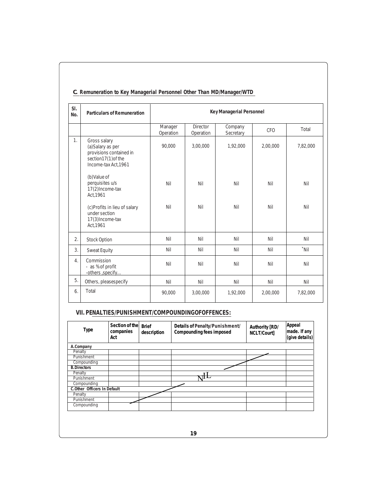| SI.<br>No.       | Particulars of Remuneration                                                                                |                      |                              | Key Managerial Personnel |            |          |
|------------------|------------------------------------------------------------------------------------------------------------|----------------------|------------------------------|--------------------------|------------|----------|
|                  |                                                                                                            | Manager<br>Operation | <b>Director</b><br>Operation | Company<br>Secretary     | <b>CFO</b> | Total    |
| 1.               | Gross salary<br>(a)Salary as per<br>provisions contained in<br>section17(1) of the<br>Income-tax Act, 1961 | 90,000               | 3,00,000                     | 1,92,000                 | 2,00,000   | 7,82,000 |
|                  | (b) Value of<br>perquisites u/s<br>17(2) Income-tax<br>Act.1961                                            | Nil                  | Nil                          | Nil                      | Nil        | Nil      |
|                  | (c)Profits in lieu of salary<br>under section<br>17(3) Income-tax<br>Act, 1961                             | Nil                  | Nil                          | Nil                      | Nil        | Nil      |
| 2.               | Stock Option                                                                                               | Nil                  | Nil                          | Nil                      | Nil        | Nil      |
| 3.               | Sweat Equity                                                                                               | Nil                  | Nil                          | Nil                      | Nil        | `Nil     |
| $\overline{4}$ . | Commission<br>- as %of profit<br>-others , specify                                                         | Nil                  | Nil                          | Nil                      | Nil        | Nil      |
| 5.               | Others, pleasespecify                                                                                      | Nil                  | Nil                          | Nil                      | Nil        | Nil      |
| 6.               | Total                                                                                                      | 90,000               | 3,00,000                     | 1,92,000                 | 2,00,000   | 7,82,000 |

# *C***. Remuneration to Key Managerial Personnel Other Than MD/Manager/WTD**

# **VII.PENALTIES/PUNISHMENT/COMPOUNDINGOFOFFENCES:**

| Type                        | Section of the<br>companies<br>Act | <b>Brief</b><br>description | Details of Penalty/Punishment/<br>Compounding fees imposed | Authority [RD/<br>NCLT/Court] | Appeal<br>made. If any<br>(give details) |
|-----------------------------|------------------------------------|-----------------------------|------------------------------------------------------------|-------------------------------|------------------------------------------|
| A.Company                   |                                    |                             |                                                            |                               |                                          |
| Penalty                     |                                    |                             |                                                            |                               |                                          |
| Punishment                  |                                    |                             |                                                            |                               |                                          |
| Compounding                 |                                    |                             |                                                            |                               |                                          |
| <b>B.Directors</b>          |                                    |                             |                                                            |                               |                                          |
| Penalty                     |                                    |                             |                                                            |                               |                                          |
| Punishment                  |                                    |                             | ाप्य                                                       |                               |                                          |
| Compounding                 |                                    |                             |                                                            |                               |                                          |
| C.Other Officers In Default |                                    |                             |                                                            |                               |                                          |
| Penalty                     |                                    |                             |                                                            |                               |                                          |
| Punishment                  |                                    |                             |                                                            |                               |                                          |
| Compounding                 |                                    |                             |                                                            |                               |                                          |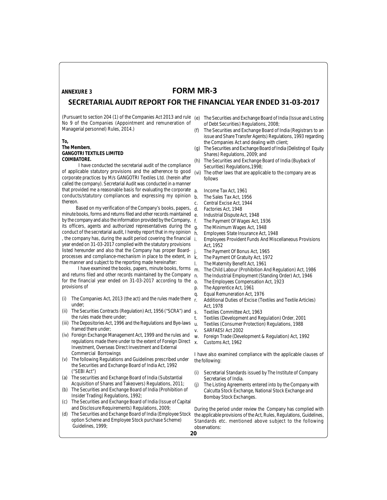# **ANNEXURE 3 FORM MR-3**

# **SECRETARIAL AUDIT REPORT FOR THE FINANCIAL YEAR ENDED 31-03-2017**

(Pursuant to section 204 (1) of the Companies Act 2013 and rule  $(e)$  The Securities and Exchange Board of India (Issue and Listing No 9 of the Companies (Appointment and remuneration of Managerial personnel) Rules, 2014.)

#### **To,**

**The Members**, **GANGOTRI TEXTILES LIMITED COIMBATORE.**

 I have conducted the secretarial audit of the compliance of applicable statutory provisions and the adherence to good corporate practices by M/s GANGOTRI Textiles Ltd. (herein after called the company). Secretarial Audit was conducted in a manner that provided me a reasonable basis for evaluating the corporate  $a$ conducts/statutory compliances and expressing my opinion thereon.

Based on my verification of the Company's books, papers, d. minute books, forms and returns filed and other records maintained e. by the company and also the information provided by the Company, its officers, agents and authorized representatives during the conduct of the secretarial audit, I hereby report that in my opinion  $\mathbf{\check{h}}$ . , the company has, during the audit period covering the financial year ended on 31-03-2017 complied with the statutory provisions listed hereunder and also that the Company has proper Boardprocesses and compliance-mechanism in place to the extent, in  $k$ the manner and subject to the reporting made hereinafter:

I have examined the books, papers, minute books, forms  $m$ . and returns filed and other records maintained by the Company  $n<sub>1</sub>$ for the financial year ended on 31-03-2017 according to the  $_0$ . provisions of

- (i) The Companies Act, 2013 (the act) and the rules made there  $r$ . under;
- (ii) The Securities Contracts (Regulation) Act, 1956 ("SCRA") and  $\varsigma$ the rules made there under;
- (iii) The Depositories Act, 1996 and the Regulations and Bye-laws framed there under;
- (iv) Foreign Exchange Management Act, 1999 and the rules and  $W$ . regulations made there under to the extent of Foreign Direct  $\mathbf{x}$ Investment, Overseas Direct Investment and External Commercial Borrowings
- (v) The following Regulations and Guidelines prescribed under the Securities and Exchange Board of India Act, 1992 ("SEBI Act")
- (a) The securities and Exchange Board of India (Substantial Acquisition of Shares and Takeovers) Regulations, 2011;
- (b) The Securities and Exchange Board of India (Prohibition of Insider Trading) Regulations, 1992;
- (c) The Securities and Exchange Board of India (Issue of Capital and Disclosure Requirements) Regulations, 2009;
- (d) The Securities and Exchange Board of India (Employee Stock option Scheme and Employee Stock purchase Scheme) Guidelines, 1999;
- of Debt Securities) Regulations, 2008;
- (f) The Securities and Exchange Board of India (Registrars to an issue and Share Transfer Agents) Regulations, 1993 regarding the Companies Act and dealing with client;
- (g) The Securities and Exchange Board of India (Delisting of Equity Shares) Regulations, 2009; and
- The Securities and Exchange Board of India (Buyback of Securities) Regulations,1998;
- (vi) The other laws that are applicable to the company are as follows
	- Income Tax Act, 1961
	- The Sales Tax Act, 1956
- c. Central Excise Act, 1944
	- Factories Act, 1948
	- Industrial Dispute Act, 1948
- f. The Payment Of Wages Act, 1936
- g. The Minimum Wages Act, 1948
- Employees State Insurance Act, 1948
- i. Employees Provident Funds And Miscellaneous Provisions Act, 1952
	- The Payment Of Bonus Act, 1965
	- The Payment Of Gratuity Act, 1972
- l. The Maternity Benefit Act, 1961
- The Child Labour (Prohibition And Regulation) Act, 1986
- The Industrial Employment (Standing Order) Act, 1946
- The Employees Compensation Act, 1923
- p. The Apprentice Act, 1961
- q. Equal Remuneration Act, 1976
- Additional Duties of Excise (Textiles and Textile Articles) Act, 1978
- Textiles Committee Act, 1963
- Textiles (Development and Regulation) Order, 2001
- u. Textiles (Consumer Protection) Regulations, 1988
- v. SARFAESI Act 2002
- Foreign Trade (Development & Regulation) Act, 1992
- Customs Act, 1962

I have also examined compliance with the applicable clauses of the following:

- (i) Secretarial Standards issued by The Institute of Company Secretaries of India.
- (j) The Listing Agreements entered into by the Company with Calcutta Stock Exchange, National Stock Exchange and Bombay Stock Exchanges.

During the period under review the Company has complied with the applicable provisions of the Act, Rules, Regulations, Guidelines, Standards etc. mentioned above subject to the following observations:

**20**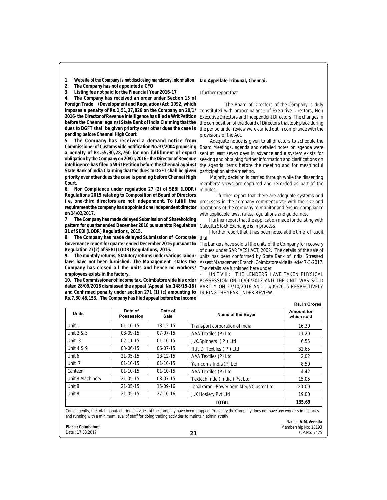**1. Website of the Company is not disclosing mandatory information 2. The Company has not appointed a CFO**

**3. Listing fee not paid for the Financial Year 2016-17**

**4. The Company has received an order under Section 15 of Foreign Trade (Development and Regulation) Act, 1992, which imposes a penalty of Rs.1,51,37,826 on the Company on 20/1/ 2016- the Director of Revenue intelligence has filed a Writ Petition before the Chennai against State Bank of India Claiming that the dues to DGFT shall be given priority over other dues the case is pending before Chennai High Court.**

**5. The Company has received a demand notice from Commissioner of Customs vide notification No.97/2004 proposing a penalty of Rs.55,90,28,760 for non fulfillment of export obligation by the Company on 20/01/2016 - the Director of Revenue intelligence has filed a Writ Petition before the Chennai against State Bank of India Claiming that the dues to DGFT shall be given priority over other dues the case is pending before Chennai High Court.**

**6. Non Compliance under regulation 27 (2) of SEBI (LODR) Regulations 2015 relating to Composition of Board of Directors i.e, one-third directors are not independent. To fulfill the** processes in the company commensurate with the size and **requirement the company has appointed one Independent director on 14/02/2017.**

**7. The Company has made delayed Submission of Shareholding pattern for quarter ended December 2016 pursuant to Regulation 31 of SEBI (LODR) Regulations, 2015.**

**8. The Company has made delayed Submission of Corporate** that **Governance report for quarter ended December 2016 pursuant to Regulation 27(2) of SEBI (LODR) Regulations, 2015.**

**9. The monthly returns, Statutory returns under various labour laws have not been furnished. The Management states the Company has closed all the units and hence no workers/ employees exists in the factory.**

**10. The Commissioner of Income tax, Coimbatore vide his order dated 28/09/2016 dismissed the appeal (Appeal No.148/15-16) and Confirmed penalty under section 271 (1) (c) amounting to** DURING THE YEAR UNDER REVIEW. **Rs.7,30,48,153. The Company has filed appeal before the Income**

**tax Appellate Tribunal, Chennai.**

#### I further report that

 The Board of Directors of the Company is duly constituted with proper balance of Executive Directors, Non Executive Directors and Independent Directors. The changes in the composition of the Board of Directors that took place during the period under review were carried out in compliance with the provisions of the Act.

 Adequate notice is given to all directors to schedule the Board Meetings, agenda and detailed notes on agenda were sent at least seven days in advance and a system exists for seeking and obtaining further information and clarifications on the agenda items before the meeting and for meaningful participation at the meeting.

 Majority decision is carried through while the dissenting members' views are captured and recorded as part of the minutes.

 I further report that there are adequate systems and operations of the company to monitor and ensure compliance with applicable laws, rules, regulations and guidelines.

 I further report that the application made for delisting with Calcutta Stock Exchange is in process.

I further report that it has been noted at the time of audit

The bankers have sold all the units of the Company for recovery of dues under SARFAESI ACT, 2002. The details of the sale of units has been conformed by State Bank of India, Stressed Assest Management Branch, Coimbatore vide its letter 7-3-2017. The details are furnished here under.

UNIT VIII : THE LENDERS HAVE TAKEN PHYSICAL POSSESSION ON 10/06/2013 AND THE UNIT WAS SOLD PARTLY ON 27/10/2016 AND 15/09/2016 RESPECTIVELY

|                  |                       |                 |                                         | <b>Rs. in Crores</b>     |
|------------------|-----------------------|-----------------|-----------------------------------------|--------------------------|
| <b>Units</b>     | Date of<br>Possession | Date of<br>Sale | Name of the Buyer                       | Amount for<br>which sold |
| Unit 1           | $01-10-15$            | 18-12-15        | Transport corporation of India          | 16.30                    |
| Unit 2 & 5       | 08-09-15              | $07-07-15$      | AAA Textiles (P) Ltd                    | 11.20                    |
| Unit-3           | $02 - 11 - 15$        | $01 - 10 - 15$  | J.K.Spinners (P) Ltd                    | 6.55                     |
| Unit 4 & 9       | $03-06-15$            | $06-07-15$      | R.R.D Textiles (P) Ltd                  | 32.65                    |
| Unit 6           | $21 - 05 - 15$        | 18-12-15        | AAA Textiles (P) Ltd                    | 2.02                     |
| Unit 7           | $01 - 10 - 15$        | $01-10-15$      | Yarncoms India (P) Ltd                  | 8.50                     |
| Canteen          | $01-10-15$            | $01 - 10 - 15$  | AAA Textiles (P) Ltd                    | 4.42                     |
| Unit 8 Machinery | 21-05-15              | 08-07-15        | Textech Indo (India) Pvt Ltd            | 15.05                    |
| Unit 8           | $21 - 05 - 15$        | 15-09-16        | Ichalkaranji Powerloom Mega Cluster Ltd | $20 - 00$                |
| Unit 8           | $21 - 05 - 15$        | 27-10-16        | J.K Hosiery Pvt Ltd                     | 19.00                    |
|                  |                       |                 | <b>TOTAL</b>                            | 135.69                   |

Consequently, the total manufacturing activities of the company have been stopped. Presently the Company does not have any workers in factories and running with a minimum level of staff for doing trading activities to maintain administrativ

> Name: **V.M.Vennila** Membership No: 18193 C.P.No: 7425

**Place : Coimbatore** Date : 17.08.2017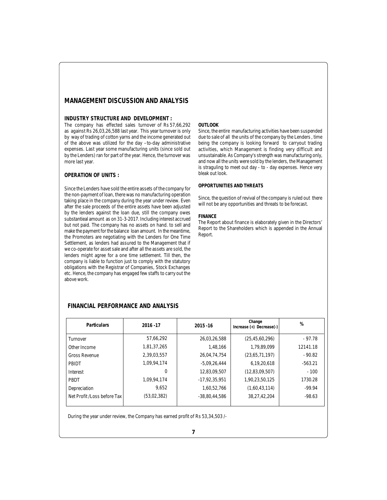# **MANAGEMENT DISCUSSION AND ANALYSIS**

#### **INDUSTRY STRUCTURE AND DEVELOPMENT :**

The company has effected sales turnover of Rs 57,66,292 as against Rs 26,03,26,588 last year. This year turnover is only by way of trading of cotton yarns and the income generated out of the above was utilized for the day –to-day administrative expenses. Last year some manufacturing units (since sold out by the Lenders) ran for part of the year. Hence, the turnover was more last year.

#### **OPERATION OF UNITS :**

Since the Lenders have sold the entire assets of the company for the non-payment of loan, there was no manufacturing operation taking place in the company during the year under review. Even after the sale proceeds of the entire assets have been adjusted by the lenders against the loan due, still the company owes substantieal amount as on 31-3-2017. Including interest accrued but not paid. The company has no assets on hand. to sell and make the payment for the balance loan amount. In the meantime, the Promoters are negotiating with the Lenders for One Time Settlement, as lenders had assured to the Management that if we co-operate for asset sale and after all the assets are sold, the lenders might agree for a one time settlement. Till then, the company is liable to function just to comply with the statutory obligations with the Registrar of Companies, Stock Exchanges etc. Hence, the company has engaged few staffs to carry out the above work.

#### **OUTLOOK**

Since, the entire manufacturing activities have been suspended due to sale of all the units of the company by the Lenders , time being the company is looking forward to carryout trading activities, which Management is finding very difficult and unsustainable. As Company's strength was manufacturing only, and now all the units were sold by the lenders, the Management is straguling to meet out day - to - day expenses. Hence very bleak out look.

#### **OPPORTUNITIES AND THREATS**

Since, the question of revival of the company is ruled out there will not be any opportunities and threats to be forecast.

#### **FINANCE**

The Report about finance is elaborately given in the Directors' Report to the Shareholders which is appended in the Annual Report.

| Particulars                  | 2016 - 17   | $2015 - 16$     | Change<br>Increase (+) Decrease(-) | %         |
|------------------------------|-------------|-----------------|------------------------------------|-----------|
| Turnover                     | 57,66,292   | 26,03,26,588    | (25, 45, 60, 296)                  | $-97.78$  |
| Other Income                 | 1,81,37,265 | 1.48.166        | 1,79,89,099                        | 12141.18  |
| <b>Gross Revenue</b>         | 2,39,03,557 | 26,04,74,754    | (23,65,71,197)                     | $-90.82$  |
| PBIDT                        | 1,09,94,174 | $-5,09,26,444$  | 6,19,20,618                        | $-563.21$ |
| Interest                     | 0           | 12,83,09,507    | (12,83,09,507)                     | $-100$    |
| PBDT                         | 1,09,94,174 | $-17,92,35,951$ | 1,90,23,50,125                     | 1730.28   |
| Depreciation                 | 9.652       | 1,60,52,766     | (1,60,43,114)                      | $-99.94$  |
| Net Profit / Loss before Tax | (53,02,382) | -38,80,44,586   | 38,27,42,204                       | $-98.63$  |

# **FINANCIAL PERFORMANCE AND ANALYSIS**

During the year under review, the Company has earned profit of Rs 53,34,503 /-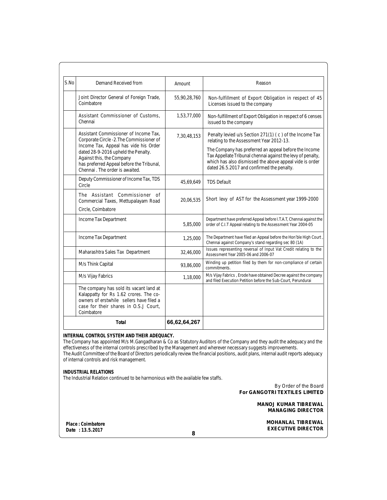| S.No | Demand Received from                                                                                                                                                                     | Amount       | Reason                                                                                                                                                                                                                                                                                                                                                                                    |
|------|------------------------------------------------------------------------------------------------------------------------------------------------------------------------------------------|--------------|-------------------------------------------------------------------------------------------------------------------------------------------------------------------------------------------------------------------------------------------------------------------------------------------------------------------------------------------------------------------------------------------|
|      | Joint Director General of Foreign Trade,<br>Coimbatore                                                                                                                                   | 55,90,28,760 | Non-fulfillment of Export Obligation in respect of 45<br>Licenses issued to the company                                                                                                                                                                                                                                                                                                   |
|      | Assistant Commissioner of Customs,<br>Chennai                                                                                                                                            | 1,53,77,000  | Non-fulfillment of Export Obligation in respect of 6 censes<br>issued to the company                                                                                                                                                                                                                                                                                                      |
|      | Assistant Commissioner of Income Tax,<br>Corporate Circle -2. The Commissioner of                                                                                                        | 7,30,48,153  | Penalty levied u/s Section 271(1) (c) of the Income Tax<br>relating to the Assessment Year 2012-13.                                                                                                                                                                                                                                                                                       |
|      | Income Tax, Appeal has vide his Order<br>dated 28-9-2016 upheld the Penalty.<br>Against this, the Company<br>has preferred Appeal before the Tribunal,<br>Chennai. The order is awaited. |              | The Company has preferred an appeal before the Income<br>Tax Appellate Tribunal chennai against the levy of penalty,<br>which has also dismissed the above appeal vide is order<br>dated 26.5.2017 and confirmed the penalty.                                                                                                                                                             |
|      | Deputy Commissioner of Income Tax, TDS<br>Circle                                                                                                                                         | 45,69,649    | <b>TDS Default</b>                                                                                                                                                                                                                                                                                                                                                                        |
|      | The Assistant Commissioner of<br>Commercial Taxes, Mettupalayam Road<br>Circle, Coimbatore                                                                                               | 20,06,535    | Short levy of AST for the Assessment year 1999-2000                                                                                                                                                                                                                                                                                                                                       |
|      | Income Tax Department                                                                                                                                                                    | 5,85,000     | Department have preferred Appeal before I.T.A.T, Chennai against the<br>order of C.I.T Appeal relating to the Assessment Year 2004-05                                                                                                                                                                                                                                                     |
|      | Income Tax Department                                                                                                                                                                    | 1,25,000     | The Department have filed an Appeal before the Hon'ble High Court<br>Chennai against Company's stand regarding sec 80 (1A)                                                                                                                                                                                                                                                                |
|      | Maharashtra Sales Tax Department                                                                                                                                                         | 32,46,000    | Issues representing reversal of Input Vat Credit relating to the<br>Assessment Year 2005-06 and 2006-07                                                                                                                                                                                                                                                                                   |
|      | M/s Think Capital                                                                                                                                                                        | 93,86,000    | Winding up petition filed by them for non-compliance of certain<br>commitments.                                                                                                                                                                                                                                                                                                           |
|      | M/s Vijay Fabrics                                                                                                                                                                        | 1,18,000     | M/s Vijay Fabrics, Erode have obtained Decree against the company<br>and filed Execution Petition before the Sub-Court, Perundurai                                                                                                                                                                                                                                                        |
|      | The company has sold its vacant land at<br>Kalappatty for Rs 1.62 crores. The co-<br>owners of erstwhile sellers have filed a<br>case for their shares in O.S.J Court,<br>Coimbatore     |              |                                                                                                                                                                                                                                                                                                                                                                                           |
|      | Total                                                                                                                                                                                    | 66,62,64,267 |                                                                                                                                                                                                                                                                                                                                                                                           |
|      | INTERNAL CONTROL SYSTEM AND THEIR ADEQUACY.<br>of internal controls and risk management.<br>INDUSTRIAL RELATIONS                                                                         |              | The Company has appointed M/s M.Gangadharan & Co as Statutory Auditors of the Company and they audit the adequacy and the<br>effectiveness of the internal controls prescribed by the Management and wherever necessary suggests improvements.<br>The Audit Committee of the Board of Directors periodically review the financial positions, audit plans, internal audit reports adequacy |
|      |                                                                                                                                                                                          |              |                                                                                                                                                                                                                                                                                                                                                                                           |
|      | The Industrial Relation continued to be harmonious with the available few staffs.                                                                                                        |              |                                                                                                                                                                                                                                                                                                                                                                                           |
|      |                                                                                                                                                                                          |              |                                                                                                                                                                                                                                                                                                                                                                                           |
|      | Place Coimbatore                                                                                                                                                                         |              | By Order of the Board<br>For GANGOTRI TEXTILES LIMITED<br>MANOJ KUMAR TIBREWAL<br><b>MANAGING DIRECTOR</b><br>MOHANLAL TIBREWAL                                                                                                                                                                                                                                                           |

**EXECUTIVE DIRECTOR**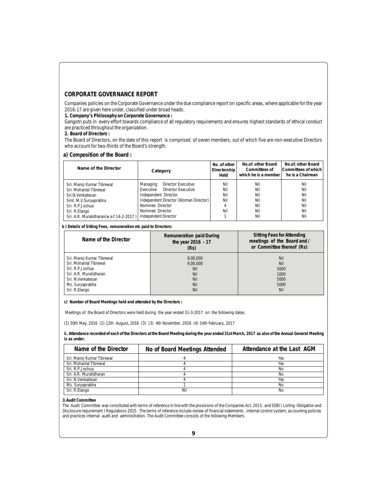## **CORPORATE GOVERNANCE REPORT**

Companies policies on the Corporate Governance under the due compliance report on specific areas, where applicable for the year 2016-17 are given here under, classified under broad heads.

**1. Company's Philosophy on Corporate Governance :**

Gangotri puts in every effort towards compliance of all regulatory requirements and ensures highest standards of ethical conduct are practiced throughout the organization.

**2. Board of Directors :**

The Board of Directors, on the date of this report is comprised of seven members, out of which five are non-executive Directors who account for two-thirds of the Board's strength.

**a) Composition of the Board :**

| Name of the Director                                         | Category                               | No. of other<br>Directorship<br>Held | No.of. other Board<br>Committees of<br>which he is a member | No.of. other Board<br>Committees of which<br>he is a Chairman |
|--------------------------------------------------------------|----------------------------------------|--------------------------------------|-------------------------------------------------------------|---------------------------------------------------------------|
| Sri. Manoj Kumar Tibrewal                                    | <b>Director Executive</b><br>Managing  | Nil                                  | Nil                                                         | Nil                                                           |
| Sri. Mohanlal Tibrewal                                       | <b>Director Executive</b><br>Executive | Nil                                  | Nil                                                         | Nil                                                           |
| Sri.N.Venkatesan                                             | Independent Director                   | Nil                                  | Nil                                                         | Nil                                                           |
| Smt. M.V.Suryaprabha                                         | Independent Director (Woman Director)  | Nil                                  | Nil                                                         | Nil                                                           |
| Sri. R.P. Joshua                                             | Nominee Director                       |                                      | Nil                                                         | Nil                                                           |
| Sri. R.Elango                                                | Nominee Director                       | Nil                                  | Nil                                                         | Nil                                                           |
| Sri. A.R. Muralidharan(w.e.f 14-2-2017) Independent Director |                                        |                                      | Nil                                                         | Nil                                                           |

**b ) Details of Sitting Fees, remuneration etc paid to Directors:**

| Name of the Director      | Remuneration paid During<br>the year $2016 - 17$<br>(Rs) | Sitting Fees for Attending<br>meetings of the Board and /<br>or Committee thereof (Rs) |
|---------------------------|----------------------------------------------------------|----------------------------------------------------------------------------------------|
| Sri. Manoj Kumar Tibrewal | 9.00.000                                                 | Nil                                                                                    |
| Sri. Mohanlal Tibrewal    | 9.00.000                                                 | Nil                                                                                    |
| Sri. R.P.Joshua           | Nil                                                      | 5000                                                                                   |
| Sri. A.R. Muralidharan    | Nil                                                      | 1000                                                                                   |
| Sri. N.Venkatesan         | Nil                                                      | 5000                                                                                   |
| Ms. Suryaprabha           | Nil                                                      | 5000                                                                                   |
| Sri. R.Elango             | Nil                                                      | <b>Nil</b>                                                                             |

**c) Number of Board Meetings held and attended by the Directors :**

Meetings of the Board of Directors were held during the year ended 31-3-2017 on the following dates.

(1) 30th May, 2016 (2) 12th August, 2016 (3) (3) 4th November, 2016 (4) 14th February, 2017

**ii. Attendance recorded of each of the Directors at the Board Meeting during the year ended 31st March, 2017 as also of the Annual General Meeting is as under.**

| Name of the Director      | No of Board Meetings Attended | Attendance at the Last AGM |
|---------------------------|-------------------------------|----------------------------|
| Sri. Manoj Kumar Tibrewal |                               | Yes                        |
| Sri. Mohanlal Tibrewal    |                               | Yes                        |
| Sri. R.P.Joshua           |                               | No                         |
| Sri. A.R. Muralidharan    |                               | No                         |
| Sri. N.Venkatesan         |                               | <b>Yes</b>                 |
| Ms. Suryaprabha           |                               | No                         |
| Sri. R.Elango             | Nil                           | No                         |

**3.Audit Committee**

The Audit Committee was constituted with terms of reference in line with the provisions of the Companies Act, 2013, and SEBI ( Listing Obligation and Disclosure requirement ) Regulations 2015. The terms of reference include review of financial statements , internal control system, accounting policies and practices internal audit and administration. The Audit Committee consists of the following Members.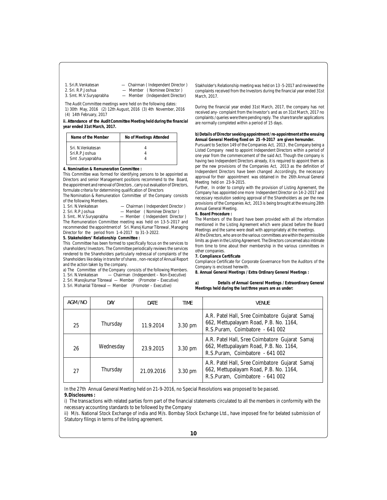1. Sri.R.Venkatesan — Chairman (Independent Director)<br>2. Sri. R.P.Joshua — Member (Nominee Director) 2. Sri. R.P.Joshua — Member (Nominee Director)<br>3. Smt. M.V.Survaprabha — Member (Independent Director) - Member (Independent Director)

The Audit Committee meetings were held on the following dates: 1) 30th May, 2016 (2) 12th August, 2016 (3) 4th November, 2016 (4) 14th February, 2017

**ii. Attendance of the Audit Committee Meeting held during the financial year ended 31st March, 2017.**

| Name of the Member | No of Meetings Attended |  |
|--------------------|-------------------------|--|
| Sri. N.Venkatesan  |                         |  |
| Sri.R.P. Joshua    |                         |  |
| Smt.Suryaprabha    |                         |  |
|                    |                         |  |

**4. Nomination & Remuneration Committee :**

This Committee was formed for identifying persons to be appointed as Directors and senior Management positions recommend to the Board, the appointment and removal of Directors , carry out evaluation of Directors, formulate criteria for determining qualification of Directors

The Nomination & Remuneration Committee of the Company consists of the following Members.

1. Sri. N.Venkatesan — Chairman (Independent Director)<br>2. Sri. R.P.Joshua — Member (Nominee Director)

2. Sri. R.P.Joshua — Member ( Nominee Director )<br>3. Smt.. M.V.Suryaprabha — Member ( Independent Director) - Member ( Independent Director ) The Remuneration Committee meeting was held on 13-5-2017 and recommended the appointment of Sri. Manoj Kumar Tibrewal , Managing Director for the period from 1-4-2017 to 31-3-2022.

**5. Stakeholders' Relationship Committee :**

This Committee has been formed to specifically focus on the services to shareholders/ Investors. The Committee periodically reviews the services rendered to the Shareholders particularly redressal of complaints of the Shareholders like delay in transfer of shares , non-receipt of Annual Report and the action taken by the company.

a) The Committee of the Company consists of the following Members.

1. Sri. N.Venkatesan — Chairman (Independent – Non-Executive)

- 2. Sri. Manojkumar Tibrewal Member (Promoter Executive)
- 3. Sri. Mohanlal Tibrewal Member (Promoter Executive)

Stakholder's Relationship meeting was held on 13 -5-2017 and reviewed the complaints received from the Investors during the financial year ended 31st March, 2017.

During the financial year ended 31st March, 2017, the company has not received any- complaint from the Investor's and as on 31st March, 2017 no complaints / queries were there pending reply. The share transfer applications are normally completed within a period of 15 days.

**b) Details of Director seeking appointment / re-appointment at the ensuing Annual General Meeting fixed on 25 -9-2017 are given hereunder.**

Pursuant to Section 149 of the Companies Act, 2013 , the Company being a Listed Company need to appoint Independent Directors within a period of one year from the commencement of the said Act. Though the company is having two Independent Directors already, it is required to appoint them as per the new provisions of the Companies Act, 2013 as the definition of Independent Directors have been changed .Accordingly, the necessary approval for their appointment was obtained in the 26th Annual General Meeting held on 23-9-2015.

Further, In order to comply with the provision of Listing Agreement, the Company has appointed one more Independent Director on 14-2-2017 and necessary resolution seeking approval of the Shareholders as per the new provisions of the Companies Act, 2013 is being brought at the ensuing 28th Annual General Meeting.

#### **6. Board Procedure :**

The Members of the Board have been provided with all the information mentioned in the Listing Agreement which were placed before the Board Meetings and the same were dealt with appropriately at the meetings.

All the Directors, who are on the various committees are within the permissible limits as given in the Listing Agreement. The Directors concerned also intimate from time to time about their membership in the various committees in other companies.

**7. Compliance Certificate**

Compliance Certificate for Corporate Governance from the Auditors of the Company is enclosed herewith.

**8. Annual General Meetings / Extra Ordinary General Meetings :**

**a) Details of Annual General Meetings / Extraordinary General Meetings held during the last three years are as under:**

| AGM / NO | <b>DAY</b> | DATE       | <b>TIME</b>       | <b>VENUE</b>                                                                                                                |
|----------|------------|------------|-------------------|-----------------------------------------------------------------------------------------------------------------------------|
| 25       | Thursday   | 11.9.2014  | 3.30 pm           | A.R. Patel Hall, Sree Coimbatore Gujarat Samaj<br>662, Mettupalayam Road, P.B. No. 1164,<br>R.S.Puram, Coimbatore - 641 002 |
| 26       | Wednesday  | 23.9.2015  | 3.30 pm           | A.R. Patel Hall, Sree Coimbatore Gujarat Samaj<br>662, Mettupalayam Road, P.B. No. 1164,<br>R.S.Puram, Coimbatore - 641 002 |
| 27       | Thursday   | 21.09.2016 | $3.30 \text{ pm}$ | A.R. Patel Hall, Sree Coimbatore Gujarat Samaj<br>662, Mettupalayam Road, P.B. No. 1164,<br>R.S.Puram, Coimbatore - 641 002 |

In the 27th Annual General Meeting held on 21-9-2016, no Special Resolutions was proposed to be passed. **9.Disclosures :**

i) The transactions with related parties form part of the financial statements circulated to all the members in conformity with the necessary accounting standards to be followed by the Company

ii) M/s. National Stock Exchange of india and M/s. Bombay Stock Exchange Ltd., have imposed fine for belated submission of Statutory filings in terms of the listing agreement.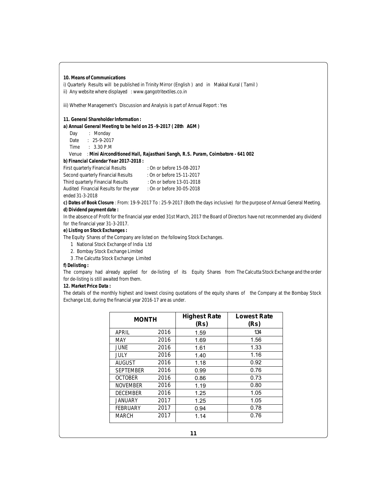**10. Means of Communications** i) Quarterly Results will be published in Trinity Mirror (English) and in Makkal Kural (Tamil) ii) Any website where displayed : www.gangotritextiles.co.in iii) Whether Management's Discussion and Analysis is part of Annual Report : Yes **11. General Shareholder Information : a) Annual General Meeting to be held on 25 -9-2017 ( 28th AGM )** Day : Monday Date : 25-9-2017 Time : 3.30 P.M Venue : **Mini Airconditioned Hall, Rajasthani Sangh, R.S. Puram, Coimbatore - 641 002 b) Financial Calendar Year 2017-2018 :** First quarterly Financial Results : On or before 15-08-2017 Second quarterly Financial Results : On or before 15-11-2017 Third quarterly Financial Results : On or before 13-01-2018 Audited Financial Results for the year : On or before 30-05-2018 ended 31-3-2018 **c) Dates of Book Closure** : From: 19-9-2017 To : 25-9-2017 (Both the days inclusive) for the purpose of Annual General Meeting. **d) Dividend payment date :** In the absence of Profit for the financial year ended 31st March, 2017 the Board of Directors have not recommended any dividend for the financial year 31-3-2017. **e) Listing on Stock Exchanges :** The Equity Shares of the Company are listed on the following Stock Exchanges.

1 National Stock Exchange of India Ltd

2. Bombay Stock Exchange Limited

3 .The Calcutta Stock Exchange Limited

**f) Delisting :**

The company had already applied for de-listing of its Equity Shares from The Calcutta Stock Exchange and the order for de-listing is still awaited from them.

**12. Market Price Data :**

The details of the monthly highest and lowest closing quotations of the equity shares of the Company at the Bombay Stock Exchange Ltd, during the financial year 2016-17 are as under.

| <b>MONTH</b>     |      | <b>Highest Rate</b><br>(Rs) | Lowest Rate<br>(Rs) |
|------------------|------|-----------------------------|---------------------|
| APRIL            | 2016 | 1.59                        | 134                 |
| <b>MAY</b>       | 2016 | 1.69                        | 1.56                |
| <b>JUNE</b>      | 2016 | 1.61                        | 1.33                |
| JULY             | 2016 | 1.40                        | 1.16                |
| AUGUST           | 2016 | 1.18                        | 0.92                |
| <b>SEPTEMBER</b> | 2016 | 0.99                        | 0.76                |
| <b>OCTOBER</b>   | 2016 | 0.86                        | 0.73                |
| <b>NOVEMBER</b>  | 2016 | 1.19                        | 0.80                |
| <b>DECEMBER</b>  | 2016 | 1.25                        | 1.05                |
| <b>JANUARY</b>   | 2017 | 1.25                        | 1.05                |
| <b>FEBRUARY</b>  | 2017 | 0.94                        | 0.78                |
| <b>MARCH</b>     | 2017 | 1.14                        | 0.76                |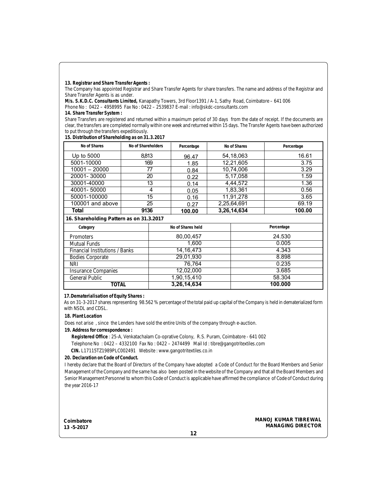**13. Registrar and Share Transfer Agents :**

The Company has appointed Registrar and Share Transfer Agents for share transfers. The name and address of the Registrar and Share Transfer Agents is as under.

**M/s. S.K.D.C. Consultants Limited,** Kanapathy Towers, 3rd Floor1391 / A-1, Sathy Road, Coimbatore – 641 006

Phone No : 0422 – 4958995 Fax No : 0422 – 2539837 E-mail : info@skdc-consultants.com

**14. Share Transfer System :**

Share Transfers are registered and returned within a maximum period of 30 days from the date of receipt. If the documents are clear, the transfers are completed normally within one week and returned within 15 days. The Transfer Agents have been authorized to put through the transfers expeditiously.

**15. Distribution of Shareholding as on 31.3.2017**

| No of Shares     | No of Shareholders | Percentage | No of Shares | Percentage |
|------------------|--------------------|------------|--------------|------------|
| Up to 5000       | 8,813              | 96.47      | 54, 18, 063  | 16.61      |
| 5001-10000       | 169                | 1.85       | 12,21,605    | 3.75       |
| $10001 - 20000$  |                    | 0.84       | 10,74,006    | 3.29       |
| 20001-30000      | 20                 | 0.22       | 5,17,058     | 1.59       |
| 30001-40000      | 13                 | 0.14       | 4.44.572     | 1.36       |
| 40001-50000      | 4                  | 0.05       | 1,83,361     | 0.56       |
| 50001-100000     | 15                 | 0.16       | 11,91,278    | 3.65       |
| 100001 and above | 25                 | 0.27       | 2,25,64,691  | 69.19      |
| Total            | 9136               | 100.00     | 3,26,14,634  | 100.00     |

**16. Shareholding Pattern as on 31.3.2017**

| Category                       | No of Shares held | Percentage |
|--------------------------------|-------------------|------------|
| <b>Promoters</b>               | 80,00,457         | 24.530     |
| Mutual Funds                   | 1,600             | 0.005      |
| Financial Institutions / Banks | 14, 16, 473       | 4.343      |
| <b>Bodies Corporate</b>        | 29.01.930         | 8.898      |
| <b>NRI</b>                     | 76.764            | 0.235      |
| Insurance Companies            | 12,02,000         | 3.685      |
| <b>General Public</b>          | 1,90,15,410       | 58.304     |
| TOTAL                          | 3,26,14,634       | 100.000    |
|                                |                   |            |

**17.Dematerialisation of Equity Shares :**

As on 31-3-2017 shares representing 98.562 % percentage of the total paid up capital of the Company is held in dematerialized form with NSDL and CDSL.

**18. Plant Location**

Does not arise , since the Lenders have sold the entire Units of the company through e-auction.

**19. Address for correspondence :**

 **Registered Office** : 25-A, Venkatachalam Co-oprative Colony, R.S. Puram, Coimbatore - 641 002

Telephone No : 0422 – 4332100 Fax No : 0422 – 2474499 Mail Id : tibre@gangotritextiles.com

 **CIN.** L17115TZ1989PLC002491 Website : www.gangotritextiles.co.in

**20. Declaration on Code of Conduct.**

I hereby declare that the Board of Directors of the Company have adopted a Code of Conduct for the Board Members and Senior Management of the Company and the same has also been posted in the website of the Company and that all the Board Members and Senior Management Personnel to whom this Code of Conduct is applicable have affirmed the compliance of Code of Conduct during the year 2016-17

**Coimbatore 13 -5-2017**

**MANOJ KUMAR TIBREWAL MANAGING DIRECTOR**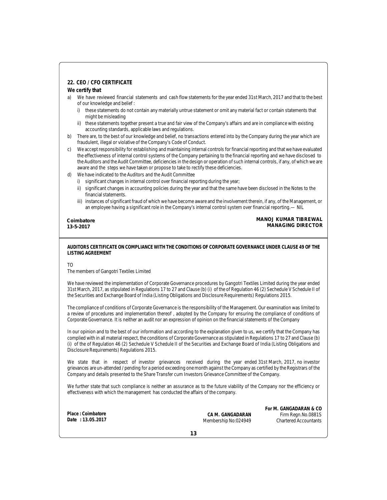#### **22. CEO / CFO CERTIFICATE**

**We certify that**

- a) We have reviewed financial statements and cash flow statements for the year ended 31st March, 2017 and that to the best of our knowledge and belief :
	- i) these statements do not contain any materially untrue statement or omit any material fact or contain statements that might be misleading
	- these statements together present a true and fair view of the Company's affairs and are in compliance with existing accounting standards, applicable laws and regulations.
- b) There are, to the best of our knowledge and belief, no transactions entered into by the Company during the year which are fraudulent, illegal or violative of the Company's Code of Conduct.
- c) We accept responsibility for establishing and maintaining internal controls for financial reporting and that we have evaluated the effectiveness of internal control systems of the Company pertaining to the financial reporting and we have disclosed to the Auditors and the Audit Committee, deficiencies in the design or operation of such internal controls, if any, of which we are aware and the steps we have taken or propose to take to rectify these deficiencies.
- d) We have indicated to the Auditors and the Audit Committee
	- i) significant changes in internal control over financial reporting during the year;
	- ii) significant changes in accounting policies during the year and that the same have been disclosed in the Notes to the financial statements.
	- iii) instances of significant fraud of which we have become aware and the involvement therein, if any, of the Management, or an employee having a significant role in the Company's internal control system over financial reporting.— NIL

#### **Coimbatore 13-5-2017**

**MANOJ KUMAR TIBREWAL MANAGING DIRECTOR**

**AUDITORS CERTIFICATE ON COMPLIANCE WITH THE CONDITIONS OF CORPORATE GOVERNANCE UNDER CLAUSE 49 OF THE LISTING AGREEMENT**

#### TO

The members of Gangotri Textiles Limited

We have reviewed the implementation of Corporate Governance procedures by Gangotri Textiles Limited during the year ended 31st March, 2017, as stipulated in Regulations 17 to 27 and Clause (b) (i) of the of Regulation 46 (2) Sechedule V Schedule II of the Securities and Exchange Board of India (Listing Obligations and Disclosure Requirements) Regulations 2015.

The compliance of conditions of Corporate Governance is the responsibility of the Management. Our examination was limited to a review of procedures and implementation thereof , adopted by the Company for ensuring the compliance of conditions of Corporate Governance. It is neither an audit nor an expression of opinion on the financial statements of the Company

In our opinion and to the best of our information and according to the explanation given to us, we certify that the Company has complied with in all material respect, the conditions of Corporate Governance as stipulated in Regulations 17 to 27 and Clause (b) (i) of the of Regulation 46 (2) Sechedule V Schedule II of the Securities and Exchange Board of India (Listing Obligations and Disclosure Requirements) Regulations 2015.

We state that in respect of investor grievances received during the year ended 31st March, 2017, no investor grievances are un-attended / pending for a period exceeding one month against the Company as certified by the Registrars of the Company and details presented to the Share Transfer cum Investors Grievance Committee of the Company.

We further state that such compliance is neither an assurance as to the future viability of the Company nor the efficiency or effectiveness with which the management has conducted the affairs of the company.

| Place: Coimbatore |  |
|-------------------|--|
| Date: 13.05.2017  |  |

 **CA M. GANGADARAN** Membership No:024949

**For M. GANGADARAN & CO** Firm Regn.No.0881S Chartered Accountants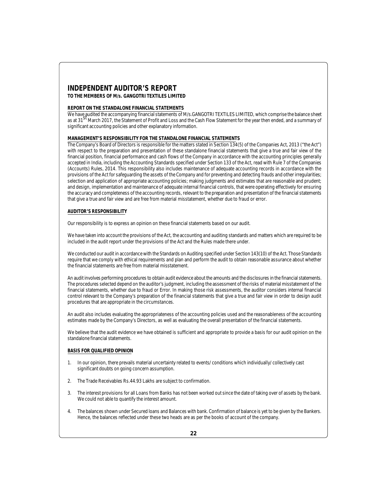# **INDEPENDENT AUDITOR'S REPORT**

**TO THE MEMBERS OF M/s. GANGOTRI TEXTILES LIMITED**

#### **REPORT ON THE STANDALONE FINANCIAL STATEMENTS**

We have audited the accompanying financial statements of M/s.GANGOTRI TEXTILES LIMITED, which comprise the balance sheet as at 31<sup>St</sup> March 2017, the Statement of Profit and Loss and the Cash Flow Statement for the year then ended, and a summary of significant accounting policies and other explanatory information.

#### **MANAGEMENT'S RESPONSIBILITY FOR THE STANDALONE FINANCIAL STATEMENTS**

The Company's Board of Directors is responsible for the matters stated in Section 134(5) of the Companies Act, 2013 ("the Act") with respect to the preparation and presentation of these standalone financial statements that give a true and fair view of the financial position, financial performance and cash flows of the Company in accordance with the accounting principles generally accepted in India, including the Accounting Standards specified under Section 133 of the Act, read with Rule 7 of the Companies (Accounts) Rules, 2014. This responsibility also includes maintenance of adequate accounting records in accordance with the provisions of the Act for safeguarding the assets of the Company and for preventing and detecting frauds and other irregularities; selection and application of appropriate accounting policies; making judgments and estimates that are reasonable and prudent; and design, implementation and maintenance of adequate internal financial controls, that were operating effectively for ensuring the accuracy and completeness of the accounting records, relevant to the preparation and presentation of the financial statements that give a true and fair view and are free from material misstatement, whether due to fraud or error.

#### **AUDITOR'S RESPONSIBILITY**

Our responsibility is to express an opinion on these financial statements based on our audit.

We have taken into account the provisions of the Act, the accounting and auditing standards and matters which are required to be included in the audit report under the provisions of the Act and the Rules made there under.

We conducted our audit in accordance with the Standards on Auditing specified under Section 143(10) of the Act. Those Standards require that we comply with ethical requirements and plan and perform the audit to obtain reasonable assurance about whether the financial statements are free from material misstatement.

An audit involves performing procedures to obtain audit evidence about the amounts and the disclosures in the financial statements. The procedures selected depend on the auditor's judgment, including the assessment of the risks of material misstatement of the financial statements, whether due to fraud or Error. In making those risk assessments, the auditor considers internal financial control relevant to the Company's preparation of the financial statements that give a true and fair view in order to design audit procedures that are appropriate in the circumstances.

An audit also includes evaluating the appropriateness of the accounting policies used and the reasonableness of the accounting estimates made by the Company's Directors, as well as evaluating the overall presentation of the financial statements.

We believe that the audit evidence we have obtained is sufficient and appropriate to provide a basis for our audit opinion on the standalone financial statements.

#### **BASIS FOR QUALIFIED OPINION**

- 1. In our opinion, there prevails material uncertainty related to events/ conditions which individually/ collectively cast significant doubts on going concern assumption.
- 2. The Trade Receivables Rs.44.93 Lakhs are subject to confirmation.
- 3. The interest provisions for all Loans from Banks has not been worked out since the date of taking over of assets by the bank. We could not able to quantify the interest amount.
- 4. The balances shown under Secured loans and Balances with bank. Confirmation of balance is yet to be given by the Bankers. Hence, the balances reflected under these two heads are as per the books of account of the company.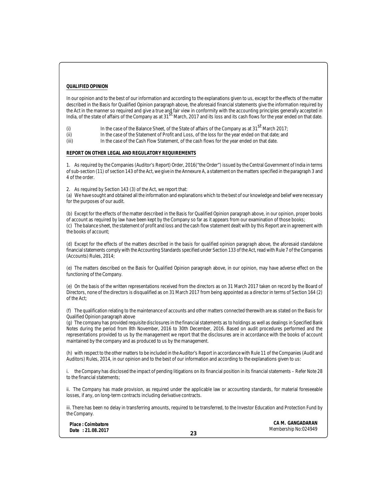#### **QUALIFIED OPINION**

In our opinion and to the best of our information and according to the explanations given to us, except for the effects of the matter described in the Basis for Qualified Opinion paragraph above, the aforesaid financial statements give the information required by the Act in the manner so required and give a true and fair view in conformity with the accounting principles generally accepted in<br>India, of the state of affairs of the Company as at 31<sup>St</sup> March, 2017 and its loss and its

(i) In the case of the Balance Sheet, of the State of affairs of the Company as at 31<sup>St</sup> March 2017;

- (ii) In the case of the Statement of Profit and Loss, of the loss for the year ended on that date; and
- (iii) In the case of the Cash Flow Statement, of the cash flows for the year ended on that date.

#### **REPORT ON OTHER LEGAL AND REGULATORY REQUIREMENTS**

1. As required by the Companies (Auditor's Report) Order, 2016("the Order") issued by the Central Government of India in terms of sub-section (11) of section 143 of the Act, we give in the Annexure A, a statement on the matters specified in the paragraph 3 and 4 of the order.

2. As required by Section 143 (3) of the Act, we report that:

(a) We have sought and obtained all the information and explanations which to the best of our knowledge and belief were necessary for the purposes of our audit.

(b) Except for the effects of the matter described in the Basis for Qualified Opinion paragraph above, in our opinion, proper books of account as required by law have been kept by the Company so far as it appears from our examination of those books; (c) The balance sheet, the statement of profit and loss and the cash flow statement dealt with by this Report are in agreement with the books of account;

(d) Except for the effects of the matters described in the basis for qualified opinion paragraph above, the aforesaid standalone financial statements comply with the Accounting Standards specified under Section 133 of the Act, read with Rule 7 of the Companies (Accounts) Rules, 2014;

(e) The matters described on the Basis for Qualified Opinion paragraph above, in our opinion, may have adverse effect on the functioning of the Company.

(e) On the basis of the written representations received from the directors as on 31 March 2017 taken on record by the Board of Directors, none of the directors is disqualified as on 31 March 2017 from being appointed as a director in terms of Section 164 (2) of the Act;

(f) The qualification relating to the maintenance of accounts and other matters connected therewith are as stated on the Basis for Qualified Opinion paragraph above

(g) The company has provided requisite disclosures in the financial statements as to holdings as well as dealings in Specified Bank Notes during the period from 8th November, 2016 to 30th December, 2016. Based on audit procedures performed and the representations provided to us by the management we report that the disclosures are in accordance with the books of account maintained by the company and as produced to us by the management.

(h) with respect to the other matters to be included in the Auditor's Report in accordance with Rule 11 of the Companies (Audit and Auditors) Rules, 2014, in our opinion and to the best of our information and according to the explanations given to us:

i. the Company has disclosed the impact of pending litigations on its financial position in its financial statements – Refer Note 28 to the financial statements;

ii. The Company has made provision, as required under the applicable law or accounting standards, for material foreseeable losses, if any, on long-term contracts including derivative contracts.

iii. There has been no delay in transferring amounts, required to be transferred, to the Investor Education and Protection Fund by the Company.

| Place: Coimbatore |        | CA M. GANGADARAN     |
|-------------------|--------|----------------------|
| Date: 21.08.2017  | $\sim$ | Membership No:024949 |
|                   | ں ے    |                      |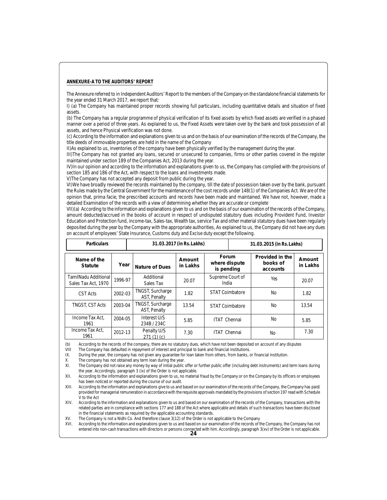#### **ANNEXURE-A TO THE AUDITORS' REPORT**

The Annexure referred to in Independent Auditors' Report to the members of the Company on the standalone financial statements for the year ended 31 March 2017, we report that:

I) (a) The Company has maintained proper records showing full particulars, including quantitative details and situation of fixed assets.

(b) The Company has a regular programme of physical verification of its fixed assets by which fixed assets are verified in a phased manner over a period of three years. As explained to us, the Fixed Assets were taken over by the bank and took possession of all assets, and hence Physical verification was not done.

(c) According to the information and explanations given to us and on the basis of our examination of the records of the Company, the title deeds of immovable properties are held in the name of the Company

II)As explained to us, inventories of the company have been physically verified by the management during the year.

III)The Company has not granted any loans, secured or unsecured to companies, firms or other parties covered in the register maintained under section 189 of the Companies Act, 2013 during the year.

IV)In our opinion and according to the information and explanations given to us, the Company has complied with the provisions of section 185 and 186 of the Act, with respect to the loans and investments made.

V)The Company has not accepted any deposit from public during the year.

VI)We have broadly reviewed the records maintained by the company, till the date of possession taken over by the bank, pursuant the Rules made by the Central Government for the maintenance of the cost records under 148(1) of the Companies Act. We are of the opinion that, prima facie, the prescribed accounts and records have been made and maintained. We have not, however, made a detailed Examination of the records with a view of determining whether they are accurate or complete

VII)(a) According to the information and explanations given to us and on the basis of our examination of the records of the Company, amount deducted/accrued in the books of account in respect of undisputed statutory dues including Provident Fund, Investor Education and Protection fund, income-tax, Sales-tax, Wealth tax, service Tax and other material statutory dues have been regularly deposited during the year by the Company with the appropriate authorities, As explained to us, the Company did not have any dues on account of employees' State Insurance, Customs duty and Excise duty except the following.

| <b>Particulars</b>                          |                                                                                      |                                         | 31.03.2017 (in Rs.Lakhs)                |                           |  | 31.03.2015 (in Rs.Lakhs) |       |
|---------------------------------------------|--------------------------------------------------------------------------------------|-----------------------------------------|-----------------------------------------|---------------------------|--|--------------------------|-------|
| Name of the<br>Statute                      | Forum<br>Amount<br>where dispute<br>Year<br>in Lakhs<br>Nature of Dues<br>is pending |                                         | Provided in the<br>books of<br>accounts | Amount<br>in Lakhs        |  |                          |       |
| TamilNadu Additional<br>Sales Tax Act, 1970 | 1996-97                                                                              | Additional<br>Sales Tax                 | 20.07                                   | Supreme Court of<br>India |  | <b>Yes</b>               | 20.07 |
| CST Acts                                    | 2002-03                                                                              | TNGST, Surcharge<br><b>AST, Penalty</b> | 1.82                                    | <b>STAT Coimbatore</b>    |  | <b>No</b>                | 1.82  |
| <b>TNGST, CST Acts</b>                      | 2003-04                                                                              | TNGST, Surcharge<br>AST, Penalty        | 13.54                                   | <b>STAT Coimbatore</b>    |  | <b>No</b>                | 13.54 |
| Income Tax Act.<br>1961                     | 2004-05                                                                              | Interest U/S<br>234B/234C               | 5.85                                    | <b>ITAT Chennai</b>       |  | <b>No</b>                | 5.85  |
| Income Tax Act.<br>1961                     | 2012-13                                                                              | Penalty U/S<br>271(1)(c)                | 7.30                                    | <b>ITAT Chennai</b>       |  | <b>No</b>                | 7.30  |

(b) According to the records of the company, there are no statutory dues, which have not been deposited on account of any disputes VIII The Company has defaulted in repayment of interest and principal to bank and financial

The Company has defaulted in repayment of interest and principal to bank and financial institutions.

IX. During the year, the company has not given any guarantee for loan taken from others, from banks, or financial institution.

X. The company has not obtained any term loan during the year.

XI. The Company did not raise any money by way of initial public offer or further public offer (including debt instruments) and term loans during the year. Accordingly, paragraph 3 (ix) of the Order is not applicable.

XII. According to the information and explanations given to us, no material fraud by the Company or on the Company by its officers or employees has been noticed or reported during the course of our audit.

XIII. According to the information and explanations give to us and based on our examination of the records of the Company, the Company has paid/ provided for managerial remuneration in accordance with the requisite approvals mandated by the provisions of section 197 read with Schedule V to the Act

XIV. According to the information and explanations given to us and based on our examination of the records of the Company, transactions with the related parties are in compliance with sections 177 and 188 of the Act where applicable and details of such transactions have been disclosed in the financial statements as required by the applicable accounting standards.

XV. The Company is not a Nidhi Co. And therefore clause 3(12) of the Order is not applicable to the Company

XVI. According to the information and explanations given to us and based on our examination of the records of the Company, the Company has not entered into non-cash transactions with directors or persons connected with him. Accordingly, paragraph 3(xv) of the Order is not applicable.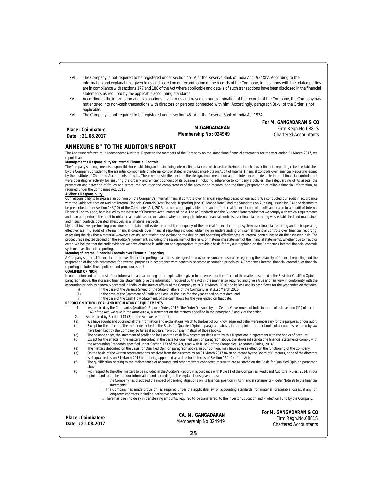| XVII.                                                                                                                                                                       | The Company is not required to be registered under section 45-IA of the Reserve Bank of India Act 1934XIV. According to the<br>information and explanations given to us and based on our examination of the records of the Company, transactions with the related parties<br>are in compliance with sections 177 and 188 of the Act where applicable and details of such transactions have been disclosed in the financial                                                                                                                                                                                                                                                                                                                                                                                                                                                                                                                                                                                                                                                                                                                                                                                                                                                                                                                                                                                                                                                                                                                                                                                                                                                                                                                                                                                      |                              |  |  |  |  |  |  |
|-----------------------------------------------------------------------------------------------------------------------------------------------------------------------------|-----------------------------------------------------------------------------------------------------------------------------------------------------------------------------------------------------------------------------------------------------------------------------------------------------------------------------------------------------------------------------------------------------------------------------------------------------------------------------------------------------------------------------------------------------------------------------------------------------------------------------------------------------------------------------------------------------------------------------------------------------------------------------------------------------------------------------------------------------------------------------------------------------------------------------------------------------------------------------------------------------------------------------------------------------------------------------------------------------------------------------------------------------------------------------------------------------------------------------------------------------------------------------------------------------------------------------------------------------------------------------------------------------------------------------------------------------------------------------------------------------------------------------------------------------------------------------------------------------------------------------------------------------------------------------------------------------------------------------------------------------------------------------------------------------------------|------------------------------|--|--|--|--|--|--|
| XV.                                                                                                                                                                         | statements as required by the applicable accounting standards.<br>According to the information and explanations given to us and based on our examination of the records of the Company, the Company has<br>not entered into non-cash transactions with directors or persons connected with him. Accordingly, paragraph 3(xv) of the Order is not                                                                                                                                                                                                                                                                                                                                                                                                                                                                                                                                                                                                                                                                                                                                                                                                                                                                                                                                                                                                                                                                                                                                                                                                                                                                                                                                                                                                                                                                |                              |  |  |  |  |  |  |
| applicable.<br>XVI.                                                                                                                                                         | The Company is not required to be registered under section 45-IA of the Reserve Bank of India Act 1934                                                                                                                                                                                                                                                                                                                                                                                                                                                                                                                                                                                                                                                                                                                                                                                                                                                                                                                                                                                                                                                                                                                                                                                                                                                                                                                                                                                                                                                                                                                                                                                                                                                                                                          |                              |  |  |  |  |  |  |
|                                                                                                                                                                             |                                                                                                                                                                                                                                                                                                                                                                                                                                                                                                                                                                                                                                                                                                                                                                                                                                                                                                                                                                                                                                                                                                                                                                                                                                                                                                                                                                                                                                                                                                                                                                                                                                                                                                                                                                                                                 | For M. GANGADARAN & CO       |  |  |  |  |  |  |
| Place: Coimbatore                                                                                                                                                           | M.GANGADARAN                                                                                                                                                                                                                                                                                                                                                                                                                                                                                                                                                                                                                                                                                                                                                                                                                                                                                                                                                                                                                                                                                                                                                                                                                                                                                                                                                                                                                                                                                                                                                                                                                                                                                                                                                                                                    | Firm Regn.No.0881S           |  |  |  |  |  |  |
| Date: 21.08.2017                                                                                                                                                            | Membership No: 024949                                                                                                                                                                                                                                                                                                                                                                                                                                                                                                                                                                                                                                                                                                                                                                                                                                                                                                                                                                                                                                                                                                                                                                                                                                                                                                                                                                                                                                                                                                                                                                                                                                                                                                                                                                                           | <b>Chartered Accountants</b> |  |  |  |  |  |  |
|                                                                                                                                                                             | ANNEXURE B" TO THE AUDITOR'S REPORT                                                                                                                                                                                                                                                                                                                                                                                                                                                                                                                                                                                                                                                                                                                                                                                                                                                                                                                                                                                                                                                                                                                                                                                                                                                                                                                                                                                                                                                                                                                                                                                                                                                                                                                                                                             |                              |  |  |  |  |  |  |
|                                                                                                                                                                             | The Annexure referred to in Independent Auditors' Report to the members of the Company on the standalone financial statements for the year ended 31 March 2017, we                                                                                                                                                                                                                                                                                                                                                                                                                                                                                                                                                                                                                                                                                                                                                                                                                                                                                                                                                                                                                                                                                                                                                                                                                                                                                                                                                                                                                                                                                                                                                                                                                                              |                              |  |  |  |  |  |  |
| report that:<br>Management's Responsibility for Internal Financial Controls<br>required under the Companies Act, 2013.<br>Auditor's Responsibility                          | The Company's management is responsible for establishing and maintaining internal financial controls based on the internal control over financial reporting criteria established<br>by the Company considering the essential components of internal control stated in the Guidance Note on Audit of Internal Financial Controls over Financial Reporting issued<br>by the Institute of Chartered Accountants of India. These responsibilities include the design, implementation and maintenance of adequate internal financial controls that<br>were operating effectively for ensuring the orderly and efficient conduct of its business, including adherence to company's policies, the safeguarding of its assets, the<br>prevention and detection of frauds and errors, the accuracy and completeness of the accounting records, and the timely preparation of reliable financial information, as                                                                                                                                                                                                                                                                                                                                                                                                                                                                                                                                                                                                                                                                                                                                                                                                                                                                                                          |                              |  |  |  |  |  |  |
| and if such controls operated effectively in all material respects.<br>systems over financial reporting.<br>Meaning of Internal Financial Controls over Financial Reporting | Our responsibility is to express an opinion on the Company's internal financial controls over financial reporting based on our audit. We conducted our audit in accordance<br>with the Guidance Note on Audit of Internal Financial Controls Over Financial Reporting (the "Guidance Note") and the Standards on Auditing, issued by ICAI and deemed to<br>be prescribed under section 143(10) of the Companies Act, 2013, to the extent applicable to an audit of internal financial controls, both applicable to an audit of Internal<br>Financial Controls and, both issued by the Institute of Chartered Accountants of India. Those Standards and the Guidance Note require that we comply with ethical requirements<br>and plan and perform the audit to obtain reasonable assurance about whether adequate internal financial controls over financial reporting was established and maintained<br>My audit involves performing procedures to obtain audit evidence about the adequacy of the internal financial controls system over financial reporting and their operating<br>effectiveness. my audit of internal financial controls over financial reporting included obtaining an understanding of internal financial controls over financial reporting,<br>assessing the risk that a material weakness exists, and testing and evaluating the design and operating effectiveness of internal control based on the assessed risk. The<br>procedures selected depend on the auditor's judgement, including the assessment of the risks of material misstatement of the financial statements, whether due to fraud or<br>error. We believe that the audit evidence we have obtained is sufficient and appropriate to provide a basis for my audit opinion on the Company's internal financial controls |                              |  |  |  |  |  |  |
| reporting includes those policies and procedures that<br>QUALIFIED OPINION                                                                                                  | A Company's internal financial control over financial reporting is a process designed to provide reasonable assurance regarding the reliability of financial reporting and the<br>preparation of financial statements for external purposes in accordance with generally accepted accounting principles. A Company's internal financial control over financial                                                                                                                                                                                                                                                                                                                                                                                                                                                                                                                                                                                                                                                                                                                                                                                                                                                                                                                                                                                                                                                                                                                                                                                                                                                                                                                                                                                                                                                  |                              |  |  |  |  |  |  |
| (i)<br>(ii)<br>(iii)                                                                                                                                                        | In our opinion and to the best of our information and according to the explanations given to us, except for the effects of the matter described in the Basis for Qualified Opinion<br>paragraph above, the aforesaid financial statements give the information required by the Act in the manner so required and give a true and fair view in conformity with the<br>accounting principles generally accepted in India, of the state of affairs of the Company as at 31st March, 2016 and its loss and its cash flows for the year ended on that date.<br>In the case of the Balance Sheet, of the State of affairs of the Company as at 31st March 2016;<br>In the case of the Statement of Profit and Loss, of the loss for the year ended on that date; and<br>In the case of the Cash Flow Statement, of the cash flows for the year ended on that date.                                                                                                                                                                                                                                                                                                                                                                                                                                                                                                                                                                                                                                                                                                                                                                                                                                                                                                                                                    |                              |  |  |  |  |  |  |
| REPORT ON OTHER LEGAL AND REGULATORY REQUIREMENTS<br>1.                                                                                                                     | As required by the Companies (Auditor's Report) Order, 2016("the Order") issued by the Central Government of India in terms of sub-section (11) of section                                                                                                                                                                                                                                                                                                                                                                                                                                                                                                                                                                                                                                                                                                                                                                                                                                                                                                                                                                                                                                                                                                                                                                                                                                                                                                                                                                                                                                                                                                                                                                                                                                                      |                              |  |  |  |  |  |  |
| 2.                                                                                                                                                                          | 143 of the Act, we give in the Annexure A, a statement on the matters specified in the paragraph 3 and 4 of the order.<br>As required by Section 143 (3) of the Act, we report that:                                                                                                                                                                                                                                                                                                                                                                                                                                                                                                                                                                                                                                                                                                                                                                                                                                                                                                                                                                                                                                                                                                                                                                                                                                                                                                                                                                                                                                                                                                                                                                                                                            |                              |  |  |  |  |  |  |
| (a)<br>(b)                                                                                                                                                                  | We have sought and obtained all the information and explanations which to the best of our knowledge and belief were necessary for the purposes of our audit.<br>Except for the effects of the matter described in the Basis for Qualified Opinion paragraph above, in our opinion, proper books of account as required by law<br>have been kept by the Company so far as it appears from our examination of those books;                                                                                                                                                                                                                                                                                                                                                                                                                                                                                                                                                                                                                                                                                                                                                                                                                                                                                                                                                                                                                                                                                                                                                                                                                                                                                                                                                                                        |                              |  |  |  |  |  |  |
| (c)<br>(d)                                                                                                                                                                  | The balance sheet, the statement of profit and loss and the cash flow statement dealt with by this Report are in agreement with the books of account;<br>Except for the effects of the matters described in the basis for qualified opinion paragraph above, the aforesaid standalone financial statements comply with                                                                                                                                                                                                                                                                                                                                                                                                                                                                                                                                                                                                                                                                                                                                                                                                                                                                                                                                                                                                                                                                                                                                                                                                                                                                                                                                                                                                                                                                                          |                              |  |  |  |  |  |  |
|                                                                                                                                                                             | the Accounting Standards specified under Section 133 of the Act, read with Rule 7 of the Companies (Accounts) Rules, 2014;                                                                                                                                                                                                                                                                                                                                                                                                                                                                                                                                                                                                                                                                                                                                                                                                                                                                                                                                                                                                                                                                                                                                                                                                                                                                                                                                                                                                                                                                                                                                                                                                                                                                                      |                              |  |  |  |  |  |  |
| (e)<br>(e)                                                                                                                                                                  | The matters described on the Basis for Qualified Opinion paragraph above, in our opinion, may have adverse effect on the functioning of the Company.<br>On the basis of the written representations received from the directors as on 31 March 2017 taken on record by the Board of Directors, none of the directors                                                                                                                                                                                                                                                                                                                                                                                                                                                                                                                                                                                                                                                                                                                                                                                                                                                                                                                                                                                                                                                                                                                                                                                                                                                                                                                                                                                                                                                                                            |                              |  |  |  |  |  |  |
| (f)                                                                                                                                                                         | is disqualified as on 31 March 2017 from being appointed as a director in terms of Section 164 (2) of the Act;<br>The qualification relating to the maintenance of accounts and other matters connected therewith are as stated on the Basis for Qualified Opinion paragraph                                                                                                                                                                                                                                                                                                                                                                                                                                                                                                                                                                                                                                                                                                                                                                                                                                                                                                                                                                                                                                                                                                                                                                                                                                                                                                                                                                                                                                                                                                                                    |                              |  |  |  |  |  |  |
| above<br>(g)                                                                                                                                                                | with respect to the other matters to be included in the Auditor's Report in accordance with Rule 11 of the Companies (Audit and Auditors) Rules, 2014, in our                                                                                                                                                                                                                                                                                                                                                                                                                                                                                                                                                                                                                                                                                                                                                                                                                                                                                                                                                                                                                                                                                                                                                                                                                                                                                                                                                                                                                                                                                                                                                                                                                                                   |                              |  |  |  |  |  |  |
| i.                                                                                                                                                                          | opinion and to the best of our information and according to the explanations given to us:<br>the Company has disclosed the impact of pending litigations on its financial position in its financial statements - Refer Note 28 to the financial                                                                                                                                                                                                                                                                                                                                                                                                                                                                                                                                                                                                                                                                                                                                                                                                                                                                                                                                                                                                                                                                                                                                                                                                                                                                                                                                                                                                                                                                                                                                                                 |                              |  |  |  |  |  |  |
|                                                                                                                                                                             | statements:<br>ii. The Company has made provision, as required under the applicable law or accounting standards, for material foreseeable losses, if any, on<br>long-term contracts including derivative contracts.                                                                                                                                                                                                                                                                                                                                                                                                                                                                                                                                                                                                                                                                                                                                                                                                                                                                                                                                                                                                                                                                                                                                                                                                                                                                                                                                                                                                                                                                                                                                                                                             |                              |  |  |  |  |  |  |
|                                                                                                                                                                             | iii. There has been no delay in transferring amounts, required to be transferred, to the Investor Education and Protection Fund by the Company.                                                                                                                                                                                                                                                                                                                                                                                                                                                                                                                                                                                                                                                                                                                                                                                                                                                                                                                                                                                                                                                                                                                                                                                                                                                                                                                                                                                                                                                                                                                                                                                                                                                                 |                              |  |  |  |  |  |  |
|                                                                                                                                                                             |                                                                                                                                                                                                                                                                                                                                                                                                                                                                                                                                                                                                                                                                                                                                                                                                                                                                                                                                                                                                                                                                                                                                                                                                                                                                                                                                                                                                                                                                                                                                                                                                                                                                                                                                                                                                                 | For M. GANGADARAN & CO       |  |  |  |  |  |  |
| Place: Coimbatore                                                                                                                                                           | CA. M. GANGADARAN                                                                                                                                                                                                                                                                                                                                                                                                                                                                                                                                                                                                                                                                                                                                                                                                                                                                                                                                                                                                                                                                                                                                                                                                                                                                                                                                                                                                                                                                                                                                                                                                                                                                                                                                                                                               | Firm Rean.No.0881S           |  |  |  |  |  |  |

**Date : 21.08.2017**

Membership No:024949

Firm Regn.No.0881S Chartered Accountants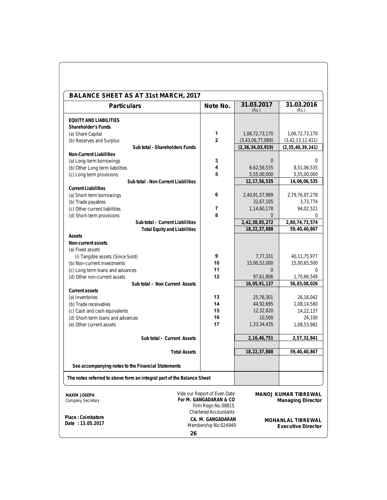| BALANCE SHEET AS AT 31st MARCH, 2017                                   |                                                                              |                      |                                                         |
|------------------------------------------------------------------------|------------------------------------------------------------------------------|----------------------|---------------------------------------------------------|
| Particulars                                                            | Note No.                                                                     | 31.03.2017<br>(Rs.)  | 31.03.2016<br>(Rs.)                                     |
| EQUITY AND LIABILITIES                                                 |                                                                              |                      |                                                         |
| Shareholder's Funds                                                    |                                                                              |                      |                                                         |
| (a) Share Capital                                                      | 1                                                                            | 1,06,72,73,170       | 1,06,72,73,170                                          |
| (b) Reserves and Surplus                                               | $\overline{2}$                                                               | (3,43,06,77,089)     | (3,42,13,12,411)                                        |
| Sub total - Shareholders Funds                                         |                                                                              | (2, 36, 34, 03, 919) | (2, 35, 40, 39, 241)                                    |
| <b>Non-Current Liabilities</b>                                         |                                                                              |                      |                                                         |
| (a) Long-term borrowings                                               | 3                                                                            | $\Omega$             | $\Omega$                                                |
| (b) Other Long term liabilities                                        | 4                                                                            | 6,62,56,535          | 8,51,06,535                                             |
| (c) Long term provisions                                               | 5                                                                            | 5,55,00,000          | 5,55,00,000                                             |
| Sub total - Non Current Liabilities                                    |                                                                              | 12, 17, 56, 535      | 14,06,06,535                                            |
| <b>Current Liabilities</b>                                             |                                                                              |                      |                                                         |
| (a) Short-term borrowings                                              | 6                                                                            | 2,40,91,57,989       | 2,79,76,97,278                                          |
| (b) Trade payables                                                     |                                                                              | 32,67,105            | 3,73,774                                                |
| (c) Other current liabilities                                          | 7                                                                            | 1,14,60,178          | 94,02,521                                               |
| (d) Short-term provisions                                              | 8                                                                            | $\mathbf{0}$         | $\Omega$                                                |
| Sub total - Current Liabilities                                        |                                                                              | 2,42,38,85,272       | 2,80,74,73,574                                          |
| <b>Total Equity and Liabilities</b>                                    |                                                                              | 18,22,37,888         | 59,40,40,867                                            |
| Assets                                                                 |                                                                              |                      |                                                         |
| Non-current assets                                                     |                                                                              |                      |                                                         |
| (a) Fixed assets                                                       |                                                                              |                      |                                                         |
| (i) Tangible assets (Since Sold)                                       | 9                                                                            | 7,77,331             | 40,11,75,977                                            |
| (b) Non-current investments                                            | 10                                                                           | 15,00,52,000         | 15,00,65,500                                            |
| (c) Long term loans and advances                                       | 11                                                                           | $\Omega$             | $\Omega$                                                |
| (d) Other non-current assets                                           | 12                                                                           | 97,61,806            | 1,70,66,549                                             |
| Sub total - Non Current Assets                                         |                                                                              | 16,05,91,137         | 56,83,08,026                                            |
| Current assets                                                         |                                                                              |                      |                                                         |
| (a) Inventories                                                        | 13                                                                           | 25,76,301            | 26,16,042                                               |
| (b) Trade receivables                                                  | 14                                                                           | 44,92,695            | 1,08,14,580                                             |
| (c) Cash and cash equivalents                                          | 15                                                                           | 12,32,820            | 14,22,137                                               |
| (d) Short-term loans and advances                                      | 16                                                                           | 10,500               | 26,100                                                  |
| (e) Other current assets                                               | 17                                                                           | 1,33,34,435          | 1,08,53,982                                             |
| Sub total - Current Assets                                             |                                                                              | 2, 16, 46, 751       | 2,57,32,841                                             |
| <b>Total Assets</b>                                                    |                                                                              | 18,22,37,888         | 59,40,40,867                                            |
| See accompanying notes to the Financial Statements                     |                                                                              |                      |                                                         |
| The notes referred to above form an integral part of the Balance Sheet |                                                                              |                      |                                                         |
|                                                                        |                                                                              |                      |                                                         |
| MAXIM JOSEPH<br>Company Secretary                                      | Vide our Report of Even Date<br>For M. GANGADARAN & CO<br>Firm Regn.No.0881S |                      | <b>MANOJ KUMAR TIBREWAL</b><br><b>Managing Director</b> |
|                                                                        | Chartered Accountants                                                        |                      |                                                         |
| Place: Coimbatore<br>Date: 13.05.2017                                  | CA. M. GANGADARAN                                                            |                      | MOHANLAL TIBREWAL                                       |
|                                                                        | Membership No:024949                                                         |                      | <b>Executive Director</b>                               |
| 26                                                                     |                                                                              |                      |                                                         |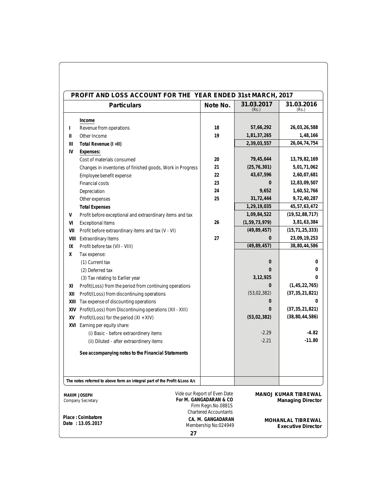|                | PROFIT AND LOSS ACCOUNT FOR THE YEAR ENDED 31st MARCH, 2017                |                                              |                     |                           |
|----------------|----------------------------------------------------------------------------|----------------------------------------------|---------------------|---------------------------|
|                | Particulars                                                                | Note No.                                     | 31.03.2017<br>(Rs.) | 31.03.2016<br>(Rs.)       |
|                | Income                                                                     |                                              |                     |                           |
| I.             | Revenue from operations                                                    | 18                                           | 57,66,292           | 26,03,26,588              |
| Ш              | Other Income                                                               | 19                                           | 1,81,37,265         | 1,48,166                  |
| $\mathbf{III}$ | Total Revenue (I+II)                                                       |                                              | 2,39,03,557         | 26,04,74,754              |
| IV             | Expenses:                                                                  |                                              |                     |                           |
|                | Cost of materials consumed                                                 | 20                                           | 79,45,644           | 13,79,82,169              |
|                | Changes in inventories of finished goods, Work in Progress                 | 21                                           | (25, 76, 301)       | 5,01,71,062               |
|                | Employee benefit expense                                                   | 22                                           | 43,67,596           | 2,60,07,681               |
|                | Financial costs                                                            | 23                                           | $\overline{0}$      | 12,83,09,507              |
|                | Depreciation                                                               | 24                                           | 9,652               | 1,60,52,766               |
|                | Other expenses                                                             | 25                                           | 31,72,444           | 9,72,40,287               |
|                | <b>Total Expenses</b>                                                      |                                              | 1,29,19,035         | 45,57,63,472              |
| V              | Profit before exceptional and extraordinary items and tax                  |                                              | 1,09,84,522         | (19, 52, 88, 717)         |
| VI             | <b>Exceptional Items</b>                                                   | 26                                           | (1, 59, 73, 979)    | 3,81,63,384               |
| VII            | Profit before extraordinary items and tax (V - VI)                         |                                              | (49, 89, 457)       | (15, 71, 25, 333)         |
| VIII           | <b>Extraordinary Items</b>                                                 | 27                                           | $\overline{0}$      | 23,09,19,253              |
| IX             | Profit before tax (VII - VIII)                                             |                                              | (49, 89, 457)       | 38,80,44,586              |
| X              | Tax expense:                                                               |                                              |                     |                           |
|                | (1) Current tax                                                            |                                              | $\mathbf 0$         | 0                         |
|                | (2) Deferred tax                                                           |                                              | $\overline{0}$      | $\Omega$                  |
|                | (3) Tax relating to Earlier year                                           |                                              | 3,12,925            | $\Omega$                  |
| XI             | Profit(Loss) from the period from continuing operations                    |                                              | $\overline{0}$      | (1, 45, 22, 765)          |
| XII            | Profit/(Loss) from discontinuing operations                                |                                              | (53,02,382)         | (37, 35, 21, 821)         |
| XIII           | Tax expense of discounting operations                                      |                                              | $\overline{0}$      | 0                         |
| XIV            | Profit/(Loss) from Discontinuing operations (XII - XIII)                   |                                              | $\Omega$            | (37, 35, 21, 821)         |
| XV             | Profit/(Loss) for the period (XI + XIV)                                    |                                              | (53,02,382)         | (38, 80, 44, 586)         |
|                | XVI Earning per equity share:                                              |                                              |                     |                           |
|                | (i) Basic - before extraordinery items                                     |                                              | $-2.29$             | $-4.82$                   |
|                | (ii) Diluted - after extraordinery items                                   |                                              | $-2.21$             | $-11.80$                  |
|                | See accompanying notes to the Financial Statements                         |                                              |                     |                           |
|                |                                                                            |                                              |                     |                           |
|                | The notes referred to above form an integral part of the Profit & Loss A/c |                                              |                     |                           |
|                |                                                                            |                                              |                     |                           |
|                | MAXIM JOSEPH                                                               | Vide our Report of Even Date                 |                     | MANOJ KUMAR TIBREWAL      |
|                | <b>Company Secretary</b>                                                   | For M. GANGADARAN & CO<br>Firm Regn.No.0881S |                     | <b>Managing Director</b>  |
|                |                                                                            | <b>Chartered Accountants</b>                 |                     |                           |
|                | Place: Coimbatore                                                          | CA. M. GANGADARAN                            |                     | <b>MOHANLAL TIBREWAL</b>  |
|                | Date: 13.05.2017                                                           | Membership No:024949                         |                     | <b>Executive Director</b> |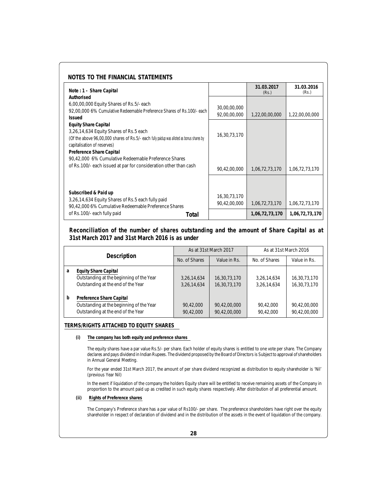| NOTES TO THE FINANCIAL STATEMENTS                                                                                                                                                                 |                              |                     |                     |
|---------------------------------------------------------------------------------------------------------------------------------------------------------------------------------------------------|------------------------------|---------------------|---------------------|
| Note: 1 - Share Capital                                                                                                                                                                           |                              | 31.03.2017<br>(Rs.) | 31.03.2016<br>(Rs.) |
| Authorised<br>6,00,00,000 Equity Shares of Rs.5/- each<br>92,00,000 6% Cumulative Redeemable Preference Shares of Rs.100/- each<br><b>Issued</b>                                                  | 30,00,00,000<br>92,00,00,000 | 1,22,00,00,000      | 1,22,00,00,000      |
| <b>Equity Share Capital</b><br>3,26,14,634 Equity Shares of Rs.5 each<br>(Of the above 96,00,000 shares of Rs.5/- each fully paidup was alloted as bonus shares by<br>capitalisation of reserves) | 16,30,73,170                 |                     |                     |
| Preference Share Capital<br>90,42,000 6% Cumulative Redeemable Preference Shares<br>of Rs.100/- each issued at par for consideration other than cash                                              | 90,42,00,000                 | 1,06,72,73,170      | 1,06,72,73,170      |
| Subscribed & Paid up<br>3,26,14,634 Equity Shares of Rs.5 each fully paid<br>90,42,000 6% Cumulative Redeemable Preference Shares                                                                 | 16,30,73,170<br>90,42,00,000 | 1,06,72,73,170      | 1,06,72,73,170      |
| of Rs.100/- each fully paid<br>Total                                                                                                                                                              |                              | 1,06,72,73,170      | 1,06,72,73,170      |

**Reconciliation of the number of shares outstanding and the amount of Share Capital as at 31st March 2017 and 31st March 2016 is as under**

|   |                                                                                                            |                            | As at 31st March 2017        |                            | As at 31st March 2016        |
|---|------------------------------------------------------------------------------------------------------------|----------------------------|------------------------------|----------------------------|------------------------------|
|   | Description                                                                                                | No. of Shares              | Value in Rs.                 | No. of Shares              | Value in Rs.                 |
| a | Equity Share Capital<br>Outstanding at the beginning of the Year<br>Outstanding at the end of the Year     | 3,26,14,634<br>3,26,14,634 | 16,30,73,170<br>16,30,73,170 | 3,26,14,634<br>3,26,14,634 | 16,30,73,170<br>16,30,73,170 |
| b | Preference Share Capital<br>Outstanding at the beginning of the Year<br>Outstanding at the end of the Year | 90.42.000<br>90.42.000     | 90,42,00,000<br>90,42,00,000 | 90.42.000<br>90,42,000     | 90,42,00,000<br>90,42,00,000 |

#### **TERMS/RIGHTS ATTACHED TO EQUITY SHARES**

**(i) The company has both equity and preference shares**

The equity shares have a par value Rs.5/- per share. Each holder of equity shares is entitled to one vote per share. The Company declares and pays dividend in Indian Rupees. The dividend proposed by the Board of Directors is Subject to approval of shareholders in Annual General Meeting.

For the year ended 31st March 2017, the amount of per share dividend recognized as distribution to equity shareholder is 'Nil' (previous Year Nil)

In the event if liquidation of the company the holders Equity share will be entitled to receive remaining assets of the Company in proportion to the amount paid up as credited in such equity shares respectively. After distribution of all preferential amount.

#### **(ii) Rights of Preference shares**

The Company's Preference share has a par value of Rs100/- per share. The preference shareholders have right over the equity shareholder in respect of declaration of dividend and in the distribution of the assets in the event of liquidation of the company.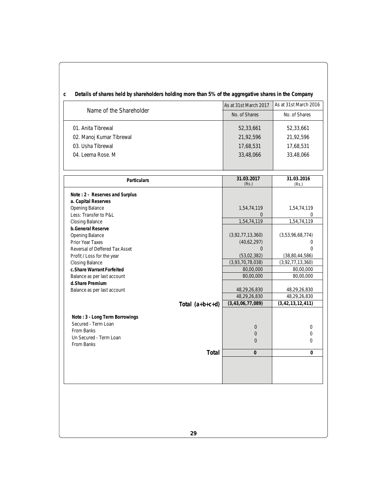| Name of the Shareholder<br>01. Anita Tibrewal<br>Particulars                                                                                                                       | No. of Shares<br>52,33,661<br>21,92,596<br>17,68,531<br>33,48,066<br>31.03.2017<br>(Rs.)<br>1,54,74,119<br>0<br>1,54,74,119<br>(3,92,77,13,360)<br>(40,62,297)<br>$\Omega$ | No. of Shares<br>52,33,661<br>21,92,596<br>17,68,531<br>33,48,066<br>31.03.2016<br>(Rs.)<br>1,54,74,119<br>0<br>1,54,74,119<br>(3,53,96,68,774)<br>0 |
|------------------------------------------------------------------------------------------------------------------------------------------------------------------------------------|----------------------------------------------------------------------------------------------------------------------------------------------------------------------------|------------------------------------------------------------------------------------------------------------------------------------------------------|
|                                                                                                                                                                                    |                                                                                                                                                                            |                                                                                                                                                      |
| 02. Manoj Kumar Tibrewal                                                                                                                                                           |                                                                                                                                                                            |                                                                                                                                                      |
| 03. Usha Tibrewal                                                                                                                                                                  |                                                                                                                                                                            |                                                                                                                                                      |
| 04. Leema Rose, M                                                                                                                                                                  |                                                                                                                                                                            |                                                                                                                                                      |
|                                                                                                                                                                                    |                                                                                                                                                                            |                                                                                                                                                      |
| Note: 2 - Reserves and Surplus<br>a. Capital Reserves                                                                                                                              |                                                                                                                                                                            |                                                                                                                                                      |
|                                                                                                                                                                                    |                                                                                                                                                                            |                                                                                                                                                      |
| Opening Balance                                                                                                                                                                    |                                                                                                                                                                            |                                                                                                                                                      |
| Less: Transfer to P&L<br><b>Closing Balance</b><br>b.General Reserve<br>Opening Balance<br><b>Prior Year Taxes</b><br>Reversal of Deffered Tax Asset<br>Profit / Loss for the year |                                                                                                                                                                            |                                                                                                                                                      |
|                                                                                                                                                                                    |                                                                                                                                                                            |                                                                                                                                                      |
|                                                                                                                                                                                    |                                                                                                                                                                            |                                                                                                                                                      |
|                                                                                                                                                                                    |                                                                                                                                                                            |                                                                                                                                                      |
|                                                                                                                                                                                    |                                                                                                                                                                            |                                                                                                                                                      |
|                                                                                                                                                                                    |                                                                                                                                                                            |                                                                                                                                                      |
|                                                                                                                                                                                    |                                                                                                                                                                            | 0                                                                                                                                                    |
|                                                                                                                                                                                    | (53,02,382)                                                                                                                                                                | (38,80,44,586)                                                                                                                                       |
| <b>Closing Balance</b>                                                                                                                                                             | (3,93,70,78,038)                                                                                                                                                           | (3,92,77,13,360)                                                                                                                                     |
| c.Share Warrant Forfeited                                                                                                                                                          | 80,00,000                                                                                                                                                                  | 80,00,000                                                                                                                                            |
| Balance as per last account<br>d.Share Premium                                                                                                                                     | 80,00,000                                                                                                                                                                  | 80,00,000                                                                                                                                            |
| Balance as per last account                                                                                                                                                        | 48,29,26,830                                                                                                                                                               | 48,29,26,830                                                                                                                                         |
|                                                                                                                                                                                    | 48,29,26,830                                                                                                                                                               | 48,29,26,830                                                                                                                                         |
| Total $(a+b+c+d)$                                                                                                                                                                  | (3, 43, 06, 77, 089)                                                                                                                                                       | (3, 42, 13, 12, 411)                                                                                                                                 |
| Note: 3 - Long Term Borrowings                                                                                                                                                     |                                                                                                                                                                            |                                                                                                                                                      |
| Secured - Term Loan                                                                                                                                                                |                                                                                                                                                                            | 0                                                                                                                                                    |
| From Banks                                                                                                                                                                         | 0<br>$\mathbf 0$                                                                                                                                                           | 0                                                                                                                                                    |
| Un Secured - Term Loan                                                                                                                                                             | $\overline{0}$                                                                                                                                                             | $\Omega$                                                                                                                                             |
| <b>From Banks</b>                                                                                                                                                                  |                                                                                                                                                                            |                                                                                                                                                      |
| Total                                                                                                                                                                              | $\overline{0}$                                                                                                                                                             | $\mathbf 0$                                                                                                                                          |
|                                                                                                                                                                                    |                                                                                                                                                                            |                                                                                                                                                      |
|                                                                                                                                                                                    |                                                                                                                                                                            |                                                                                                                                                      |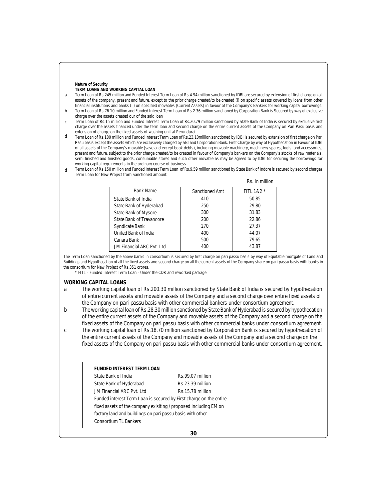**Nature of Security**

**TERM LOANS AND WORKING CAPITAL LOAN**

- Term Loan of Rs.245 million and Funded Interest Term Loan of Rs.4.94 million sanctioned by IDBI are secured by extension of first charge on all a assets of the company, present and future, except to the prior charge created/to be created (i) on specific assets covered by loans from other financial institutions and banks (ii) on specified movables (Current Assets) in favour of the Company's Bankers for working capital borrowings.
- b Term Loan of Rs.76.10 million and Funded Interest Term Loan of Rs.2.36 million sanctioned by Corporation Bank is Secured by way of exclusive Interact of the Loan of the Interact Premi charge over the assets created our of the said loan
- c Term Loan of Rs.15 million and Funded Interest Term Loan of Rs.20.79 million sanctioned by State Bank of India is secured by exclusive first [11] \] charge over the assets financed under the term loan and second charge on the entire current assets of the Company on Pari Pasu basis and extension of charge on the fixed assets of washing unit at Perundurai
- $^\mathsf{d}$  Term Loan of Rs.100 million and Funded Interest Term Loan of Rs.23.10million sanctioned by IDBI is secured by extension of first charge on Pari  $\; \; | \;$ Pasu basis except the assets which are exclusively charged by SBI and Corporation Bank. First Charge by way of Hypothecation in Favour of IDBI of all assets of the Company's movable (save and except book debts), including movable machinery, machinery spares, tools and accessories, present and future, subject to the prior charge created/to be created in favour of Company's bankers on the Company's stocks of raw materials, semi finished and finished goods, consumable stores and such other movable as may be agreed to by IDBI for securing the borrowings for working capital requirements in the ordinary course of business.
	- Bank Name | Sanctioned Amt | FITL 1&2 \* State Bank of India State Bank of Hyderabad State Bank of Mysore State Bank of Travancore Syndicate Bank United Bank of India Canara Bank JM Financial ARC Pvt. Ltd 410 250 300 200  $270$ 400 500 400 50.85 29.80 31.83 22.86 27.37 44.07 79.65 43.87 Rs. In million
- $_{\rm d}$  Term Loan of Rs.150 million and Funded Interest Term Loan of Rs.9.59 million sanctioned by State Bank of Indore is secured by second charges  $\,$   $\,$ Term Loan for New Project from Sanctioned amount.

The Term Loan sanctioned by the above banks in consortium is secured by first charge on pari passu basis by way of Equitable mortgate of Land and Buildings and Hypothecation of all the fixed assets and second charge on all the current assets of the Company share on pari passu basis with banks in the consortium for New Project of Rs.351 crores.

\* FITL - Funded Interest Term Loan - Under the CDR and reworked package

#### **WORKING CAPITAL LOANS**

- a The working capital loan of Rs.200.30 million sanctioned by State Bank of India is secured by hypothecation of entire current assets and movable assets of the Company and a second charge over entire fixed assets of the Company on *pari passu* basis with other commercial bankers under consortium agreement.
- b The working capital loan of Rs.28.30 million sanctioned by State Bank of Hyderabad is secured by hypothecation of the entire current assets of the Company and movable assets of the Company and a second charge on the fixed assets of the Company on pari passu basis with other commercial banks under consortium agreement.
- c The working capital loan of Rs.18.70 million sanctioned by Corporation Bank is secured by hypothecation of the entire current assets of the Company and movable assets of the Company and a second charge on the fixed assets of the Company on pari passu basis with other commercial banks under consortium agreement.

| FUNDED INTEREST TERM LOAN                                          |                  |
|--------------------------------------------------------------------|------------------|
| State Bank of India                                                | Rs.99.07 million |
| State Bank of Hyderabad                                            | Rs.23.39 million |
| JM Financial ARC Pvt. Ltd.                                         | Rs.15.78 million |
| Funded interest Term Loan is secured by First charge on the entire |                  |
| fixed assets of the company exisiting / proposed including EM on   |                  |
| factory land and buildings on pari passu basis with other          |                  |
| <b>Consortium TL Bankers</b>                                       |                  |
|                                                                    |                  |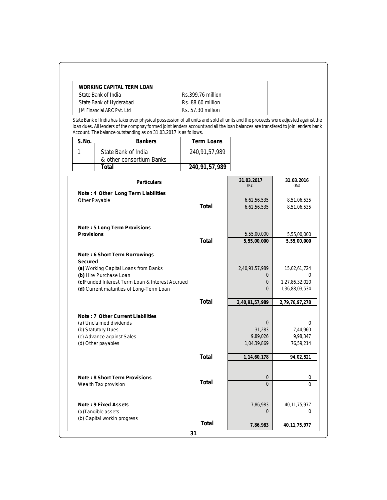| WORKING CAPITAL TERM LOAN  |                   |  |
|----------------------------|-------------------|--|
| State Bank of India        | Rs.399.76 million |  |
| State Bank of Hyderabad    | Rs. 88.60 million |  |
| JM Financial ARC Pvt. Ltd. | Rs. 57.30 million |  |
|                            |                   |  |

State Bank of India has takenover physical possession of all units and sold all units and the proceeds were adjusted against the loan dues. All lenders of the compnay formed joint lenders account and all the loan balances are transfered to join lenders bank Account. The balance outstanding as on 31.03.2017 is as follows.

| S.No. | <b>Bankers</b>           | Term Loans    |
|-------|--------------------------|---------------|
|       | State Bank of India      | 240.91.57.989 |
|       | & other consortium Banks |               |
|       | Total                    | 240,91,57,989 |

| Particulars                                          |       | 31.03.2017<br>(Rs)         | 31.03.2016<br>(Rs)         |
|------------------------------------------------------|-------|----------------------------|----------------------------|
| Note: 4 Other Long Term Liabilities<br>Other Payable | Total | 6,62,56,535<br>6,62,56,535 | 8,51,06,535<br>8,51,06,535 |
|                                                      |       |                            |                            |
| Note: 5 Long Term Provisions                         |       |                            |                            |
| Provisions                                           |       | 5,55,00,000                | 5,55,00,000                |
|                                                      | Total | 5,55,00,000                | 5,55,00,000                |
| Note: 6 Short Term Borrowings<br>Secured             |       |                            |                            |
| (a) Working Capital Loans from Banks                 |       | 2,40,91,57,989             | 15,02,61,724               |
| (b) Hire Purchase Loan                               |       | $\Omega$                   | $\Omega$                   |
| (c) Funded Interest Term Loan & Interest Accrued     |       | 0                          | 1,27,86,32,020             |
| (d) Current maturities of Long-Term Loan             |       | $\Omega$                   | 1,36,88,03,534             |
|                                                      | Total | 2,40,91,57,989             | 2,79,76,97,278             |
| Note: 7 Other Current Liabilities                    |       |                            |                            |
| (a) Unclaimed dividends                              |       | $\overline{0}$             | 0                          |
| (b) Statutory Dues                                   |       | 31,283                     | 7,44,960                   |
| (c) Advance against Sales                            |       | 9,89,026                   | 9,98,347                   |
| (d) Other payables                                   |       | 1,04,39,869                | 76,59,214                  |
|                                                      | Total | 1,14,60,178                | 94,02,521                  |
|                                                      |       |                            |                            |
| Note: 8 Short Term Provisions                        |       | $\overline{0}$             | 0                          |
| Wealth Tax provision                                 | Total | $\Omega$                   | $\Omega$                   |
| Note: 9 Fixed Assets                                 |       | 7,86,983                   | 40,11,75,977               |
| (a) Tangible assets<br>(b) Capital workin progress   |       | $\overline{0}$             | 0                          |
|                                                      | Total | 7,86,983                   | 40, 11, 75, 977            |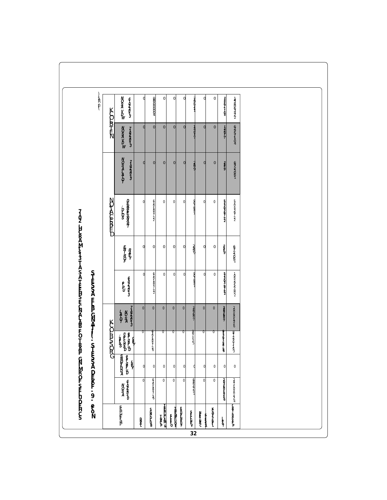| )<br>R<br>P                                                                     |                 | <b>NOSTANO</b><br><b>GOSTON</b>           | 0              | <b>RECEDENT</b>                                        | $\boldsymbol{0}$    | $\pmb{0}$                            | $\pmb{0}$        | もりら              | $\overline{0}$             | $\pmb{0}$     | そのちている           | POSTOROPO              |
|---------------------------------------------------------------------------------|-----------------|-------------------------------------------|----------------|--------------------------------------------------------|---------------------|--------------------------------------|------------------|------------------|----------------------------|---------------|------------------|------------------------|
|                                                                                 | NORTHWOR        | <b>ASSIMA</b><br><b>NONDIN</b>            | $\overline{0}$ | $\bf{0}$                                               | $\pmb{0}$           | $\pmb{0}$                            | $\bf{0}$         | <b>HEXPASS</b>   | 0                          | $\pmb{0}$     | 33777            | <b>9010-404</b>        |
|                                                                                 |                 | <b>NOSA-A-A-A-</b><br>795073              | $\mathbf{0}$   | $\pmb{0}$                                              | $\pmb{0}$           | $\pmb{0}$                            | $\pmb{0}$        | 2<br>0<br>0<br>0 | $\bf{0}$                   | $\pmb{0}$     | $rac{2}{3}$      | <b>SOCKWOOD</b>        |
|                                                                                 | <b>PLINDING</b> | DEBITATION<br>р<br>g                      | $\mathbf 0$    | 600772                                                 | $\boldsymbol{0}$    | $\mathsf{O}\xspace$                  | $\mathbf 0$      | co⊃a             | $\mathbf 0$                | $\bf 0$       | Ford Check       | ECOCOC-CC              |
|                                                                                 |                 | 身長り                                       | $\mathbf 0$    | 0                                                      | $\pmb{0}$           | $\pmb{0}$                            | 0                | $\frac{2}{5}$    | $\boldsymbol{0}$           | 0             | 青鸟               | <b>A</b><br>Population |
| <b>TO HURAM-MATHASATELEMENTO CRANCE CRANCE DOLLOGIE</b><br>SHENNA FIRIGNALL . S |                 | <b>60000000000</b><br>e<br>Pu             | C              | 600772                                                 | $\mathsf{O}\xspace$ | $\mathbf 0$                          | $\boldsymbol{0}$ | g<br>g           | $\mathbf 0$                | $\mathbf 0$   | Formal Chrome    | coordooon              |
|                                                                                 |                 | 795013<br>$\frac{8}{9}$<br>乡              | $\pmb{0}$      | $\pmb{0}$                                              | $\pmb{0}$           | $\pmb{0}$                            | $\pmb{0}$        | 70000000         | $\pmb{0}$                  | $\bf{0}$      | 389 GB           | CROCHOCKO              |
|                                                                                 | CADVARIOUX      | $\frac{5}{3}$                             | 0              | $^{0}_{0}$ $^{0}_{0}$ $^{0}_{7}$ $^{0}_{2}$ $^{0}_{0}$ | 0                   | 0                                    | 0                | <b>9735</b>      | 0                          | U             | 3918808          | <b>BH-COO-FOL</b>      |
|                                                                                 |                 | <b>SOFTDA</b><br><b>BEASE</b><br><b>E</b> | 0              | $\mathbf 0$                                            | $\boldsymbol{0}$    | $\pmb{0}$                            | $\mathbf 0$      | C                | $\mathbf 0$                | $\mathbf 0$   | $\boldsymbol{0}$ | $\mathbf 0$            |
| <b>TENNA DEXF - 9 - PON</b>                                                     |                 | eductor<br>ng<br>Sa                       | 0              | 6000726                                                | $\mathsf 0$         | $\mathsf{O}\xspace$                  | $\mathbf 0$      | ಚುಕಾರಿ           | $\overline{0}$             | $\mathsf 0$   | 39926            | $24 - 0.004$           |
|                                                                                 |                 | <b>BUTTLEB</b>                            | R              | WELDSY                                                 | THE A               | <b>ROCKER</b><br>O <sub>THIT</sub> D | TEXP-EXT         | حنستنفسه<br>32   | <b>Rull-REC</b><br>5400000 | <b>Leuver</b> | $\frac{1}{9}$    | <b>Discoco-deal</b>    |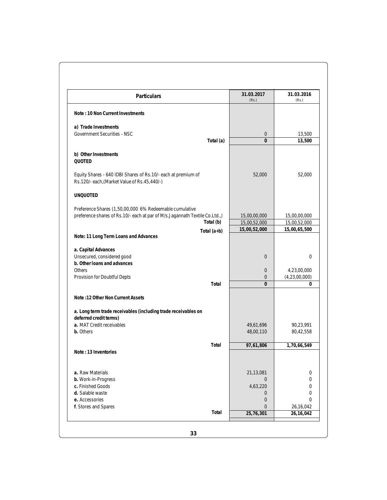| Particulars                                                                                                  | 31.03.2017<br>(Rs.)     | 31.03.2016<br>(Rs.) |
|--------------------------------------------------------------------------------------------------------------|-------------------------|---------------------|
| Note: 10 Non Current Investments                                                                             |                         |                     |
| a) Trade Investments                                                                                         |                         |                     |
| Government Securities - NSC                                                                                  | $\mathbf 0$             | 13,500              |
| Total (a)                                                                                                    | $\overline{0}$          | 13,500              |
| b) Other Investments<br>QUOTED                                                                               |                         |                     |
| Equity Shares - 640 IDBI Shares of Rs.10/- each at premium of<br>Rs.120/-each, (Market Value of Rs.45,440/-) | 52,000                  | 52,000              |
| <b>UNQUOTED</b>                                                                                              |                         |                     |
| Preference Shares (1,50,00,000 6% Redeemable cumulative                                                      |                         |                     |
| preference shares of Rs.10/- each at par of M/s.Jagannath Textile Co.Ltd.,)                                  | 15,00,00,000            | 15,00,00,000        |
| Total (b)                                                                                                    | 15,00,52,000            | 15,00,52,000        |
| Total (a+b)<br>Note: 11 Long Term Loans and Advances                                                         | 15,00,52,000            | 15,00,65,500        |
| a. Capital Advances                                                                                          |                         |                     |
| Unsecured, considered good                                                                                   | $\Omega$                | $\Omega$            |
| b. Other loans and advances                                                                                  |                         |                     |
| Others                                                                                                       | $\mathbf{0}$            | 4,23,00,000         |
| Provision for Doubtful Depts<br>Total                                                                        | $\mathbf 0$<br>$\Omega$ | (4,23,00,000)<br>0  |
| Note: 12 Other Non Current Assets                                                                            |                         |                     |
| a. Long term trade receivables (including trade receivables on                                               |                         |                     |
| deferred credit terms)<br>a. MAT Credit receivables                                                          | 49,61,696               | 90,23,991           |
| b. Others                                                                                                    | 48,00,110               | 80,42,558           |
|                                                                                                              |                         |                     |
| Total                                                                                                        | 97,61,806               | 1,70,66,549         |
| Note: 13 Inventories                                                                                         |                         |                     |
| a. Raw Materials                                                                                             | 21,13,081               | 0                   |
| b. Work-in-Progress                                                                                          | $\mathbf 0$             | 0                   |
| c. Finished Goods                                                                                            | 4,63,220                | 0                   |
| d. Salable waste                                                                                             | $\mathbf 0$             | 0                   |
| e. Accessories                                                                                               | $\mathbf 0$             | $\Omega$            |
| f. Stores and Spares                                                                                         | $\mathbf 0$             | 26,16,042           |
| Total                                                                                                        | 25,76,301               | 26, 16, 042         |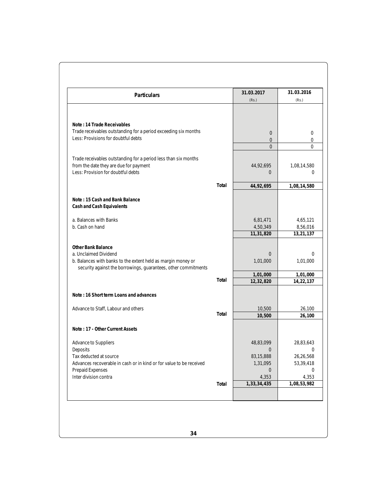| <b>Particulars</b>                                                                            |       | 31.03.2017<br>(Rs.)      | 31.03.2016<br>(Rs.)     |
|-----------------------------------------------------------------------------------------------|-------|--------------------------|-------------------------|
|                                                                                               |       |                          |                         |
| Note: 14 Trade Receivables                                                                    |       |                          |                         |
| Trade receivables outstanding for a period exceeding six months                               |       | $\mathbf{0}$             | 0                       |
| Less: Provisions for doubtful debts                                                           |       | $\overline{0}$           | 0                       |
|                                                                                               |       | $\Omega$                 | 0                       |
| Trade receivables outstanding for a period less than six months                               |       |                          |                         |
| from the date they are due for payment<br>Less: Provision for doubtful debts                  |       | 44,92,695<br>$\Omega$    | 1,08,14,580<br>$\Omega$ |
|                                                                                               |       |                          |                         |
|                                                                                               | Total | 44,92,695                | 1,08,14,580             |
| Note: 15 Cash and Bank Balance                                                                |       |                          |                         |
| Cash and Cash Equivalents                                                                     |       |                          |                         |
| a. Balances with Banks                                                                        |       |                          |                         |
| b. Cash on hand                                                                               |       | 6,81,471<br>4,50,349     | 4,65,121<br>8,56,016    |
|                                                                                               |       | 11,31,820                | 13,21,137               |
| <b>Other Bank Balance</b>                                                                     |       |                          |                         |
| a. Unclaimed Dividend                                                                         |       | $\overline{0}$           | $\Omega$                |
| b. Balances with banks to the extent held as margin money or                                  |       | 1,01,000                 | 1,01,000                |
| security against the borrowings, guarantees, other commitments                                |       | 1,01,000                 | 1,01,000                |
|                                                                                               | Total | 12,32,820                | 14,22,137               |
| Note: 16 Short term Loans and advances                                                        |       |                          |                         |
|                                                                                               |       |                          |                         |
| Advance to Staff, Labour and others                                                           | Total | 10,500                   | 26,100                  |
|                                                                                               |       | 10,500                   | 26,100                  |
| Note: 17 - Other Current Assets                                                               |       |                          |                         |
| <b>Advance to Suppliers</b>                                                                   |       | 48,83,099                | 28,83,643               |
| Deposits                                                                                      |       | $\mathbf 0$              | 0                       |
| Tax deducted at source<br>Advances recoverable in cash or in kind or for value to be received |       | 83,15,888                | 26,26,568               |
| Prepaid Expenses                                                                              |       | 1,31,095<br>$\mathbf{0}$ | 53,39,418<br>0          |
| Inter division contra                                                                         |       | 4,353                    | 4,353                   |
|                                                                                               | Total | 1,33,34,435              | 1,08,53,982             |
|                                                                                               |       |                          |                         |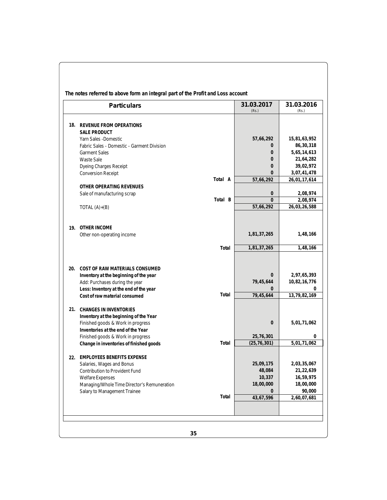|     | Particulars                                                          |         | 31.03.2017<br>(Rs.) | 31.03.2016<br>(Rs.) |
|-----|----------------------------------------------------------------------|---------|---------------------|---------------------|
|     | 18. REVENUE FROM OPERATIONS                                          |         |                     |                     |
|     | <b>SALE PRODUCT</b>                                                  |         |                     |                     |
|     | Yarn Sales - Domestic                                                |         | 57,66,292           | 15,81,63,952        |
|     | Fabric Sales - Domestic - Garment Division                           |         | 0                   | 86,30,318           |
|     | <b>Garment Sales</b>                                                 |         | 0                   | 5,65,14,613         |
|     | Waste Sale                                                           |         | 0                   | 21,64,282           |
|     | Dyeing Charges Receipt                                               |         | $\overline{0}$      | 39,02,972           |
|     | <b>Conversion Receipt</b>                                            |         | $\overline{0}$      | 3,07,41,478         |
|     |                                                                      | Total A | 57,66,292           | 26,01,17,614        |
|     | OTHER OPERATING REVENUES                                             |         |                     |                     |
|     | Sale of manufacturing scrap                                          |         | 0                   | 2,08,974            |
|     |                                                                      | Total B | $\Omega$            | 2,08,974            |
|     | TOTAL $(A)+(B)$                                                      |         | 57,66,292           | 26,03,26,588        |
|     |                                                                      |         |                     |                     |
|     | 19. OTHER INCOME<br>Other non-operating income                       |         | 1,81,37,265         | 1,48,166            |
|     |                                                                      |         |                     |                     |
|     |                                                                      | Total   | 1,81,37,265         | 1,48,166            |
|     |                                                                      |         |                     |                     |
|     | 20. COST OF RAW MATERIALS CONSUMED                                   |         |                     |                     |
|     | Inventory at the beginning of the year                               |         | $\mathbf{0}$        | 2,97,65,393         |
|     | Add: Purchases during the year                                       |         | 79,45,644           | 10,82,16,776        |
|     | Less: Inventory at the end of the year                               |         | 0                   | $\Omega$            |
|     | Cost of raw material consumed                                        | Total   | 79,45,644           | 13,79,82,169        |
|     | 21. CHANGES IN INVENTORIES<br>Inventory at the beginning of the Year |         |                     |                     |
|     | Finished goods & Work in progress                                    |         | $\overline{0}$      | 5,01,71,062         |
|     | Inventories at the end of the Year                                   |         |                     |                     |
|     | Finished goods & Work in progress                                    |         | 25,76,301           | 0                   |
|     | Change in inventories of finished goods                              | Total   | (25, 76, 301)       | 5,01,71,062         |
|     |                                                                      |         |                     |                     |
| 22. | <b>EMPLOYEES BENEFITS EXPENSE</b>                                    |         |                     |                     |
|     | Salaries, Wages and Bonus                                            |         | 25,09,175           | 2,03,35,067         |
|     | Contribution to Provident Fund                                       |         | 48,084              | 21,22,639           |
|     | Welfare Expenses                                                     |         | 10,337              | 16,59,975           |
|     | Managing/Whole Time Director's Remuneration                          |         | 18,00,000           | 18,00,000           |
|     | Salary to Management Trainee                                         |         | 0                   | 90,000              |
|     |                                                                      | Total   | 43,67,596           | 2,60,07,681         |
|     |                                                                      |         |                     |                     |
|     |                                                                      |         |                     |                     |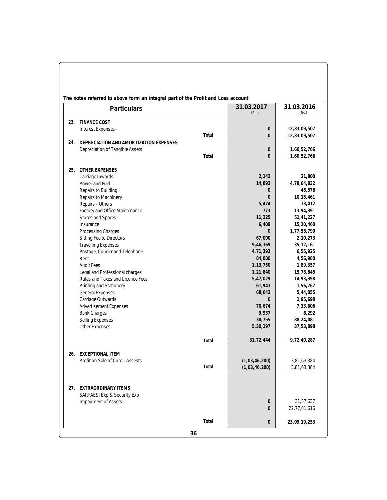|                               | Particulars                                |       | 31.03.2017<br>(Rs.)  | 31.03.2016<br>(Rs.) |
|-------------------------------|--------------------------------------------|-------|----------------------|---------------------|
| 23. FINANCE COST              |                                            |       |                      |                     |
| Interest Expenses -           |                                            |       | 0                    | 12,83,09,507        |
|                               |                                            | Total | $\Omega$             | 12,83,09,507        |
|                               | 24. DEPRECIATION AND AMORTIZATION EXPENSES |       |                      |                     |
|                               | Depreciation of Tangible Assets            |       | $\mathbf 0$          | 1,60,52,766         |
|                               |                                            | Total | $\overline{0}$       | 1,60,52,766         |
| OTHER EXPENSES<br>25.         |                                            |       |                      |                     |
| Carriage Inwards              |                                            |       | 2,142                | 21,800              |
| Power and Fuel                |                                            |       | 14,892               | 4,79,64,832         |
| Repairs to Building           |                                            |       | $\overline{0}$       | 45,578              |
| Repairs to Machinery          |                                            |       | $\Omega$             | 10,18,461           |
| Repairs - Others              |                                            |       | 5,474                | 73,412              |
|                               | Factory and Office Maintenance             |       | 773                  | 13,94,391           |
| <b>Stores and Spares</b>      |                                            |       | 11,225               | 51,41,227           |
| Insurance                     |                                            |       | 6,409                | 15,10,460           |
| Processing Charges            |                                            |       | $\mathbf{0}$         | 1,77,58,790         |
| Sitting Fee to Directors      |                                            |       | 67,000               | 2,10,273            |
| <b>Travelling Expenses</b>    |                                            |       | 9,46,369             | 35, 12, 161         |
|                               | Postage, Courier and Telephone             |       | 4,71,393             | 6,55,925            |
| Rent                          |                                            |       | 84,000               | 4,56,980            |
| <b>Audit Fees</b>             |                                            |       |                      | 1,89,357            |
|                               |                                            |       | 1,13,750<br>1,21,840 |                     |
|                               | Legal and Professional charges             |       |                      | 15,78,845           |
|                               | Rates and Taxes and Licence Fees           |       | 5,47,029             | 14,93,398           |
| Printing and Stationery       |                                            |       | 61,943               | 1,56,767            |
| <b>General Expenses</b>       |                                            |       | 68,642               | 5,44,055            |
| Carriage Outwards             |                                            |       | $\Omega$             | 1,95,698            |
| <b>Advertisement Expenses</b> |                                            |       | 70,674               | 7,33,606            |
| <b>Bank Charges</b>           |                                            |       | 9,937                | 6,292               |
| Selling Expenses              |                                            |       | 38,755               | 88,24,081           |
| Other Expenses                |                                            |       | 5,30,197             | 37,53,898           |
|                               |                                            | Total | 31,72,444            | 9,72,40,287         |
| 26. EXCEPTIONAL ITEM          |                                            |       |                      |                     |
|                               | Profit on Sale of Core - Assests           |       | (1,03,46,200)        | 3,81,63,384         |
|                               |                                            | Total | (1,03,46,200)        | 3,81,63,384         |
|                               |                                            |       |                      |                     |
| 27. EXTRAORDINARY ITEMS       |                                            |       |                      |                     |
|                               | SARFAESI Exp & Security Exp                |       |                      |                     |
| Impairment of Assets          |                                            |       | $\mathbf 0$          | 31,37,637           |
|                               |                                            |       | $\overline{0}$       | 22,77,81,616        |
|                               |                                            |       |                      |                     |
|                               |                                            | Total | $\overline{0}$       | 23,09,19,253        |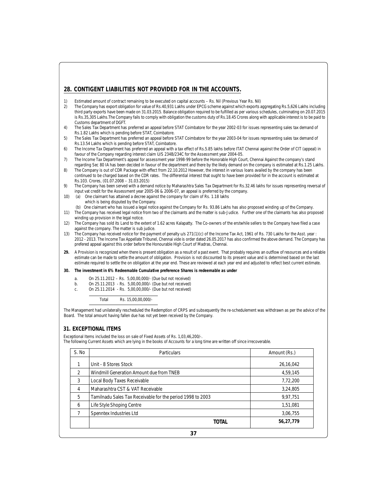# **28. CONTIGENT LIABILITIES NOT PROVIDED FOR IN THE ACCOUNTS.**

- 1) Estimated amount of contract remaining to be executed on capital accounts Rs. Nil (Previous Year Rs. Nil)
- 2) The Company has export obligation for value of Rs.40,931 Lakhs under EPCG scheme against which exports aggregating Rs.5,626 Lakhs including third party exports have been made on 31.03.2015. Balance obligation required to be fulfilled as per various schedules, culminating on 20.07.2015 is Rs.35,305 Lakhs.The Company fails to comply with obligation the customs duty of Rs.18.45 Crores along with applicable interest is to be paid to Customs department of DGFT.
- 4) The Sales Tax Department has preferred an appeal before STAT Coimbatore for the year 2002-03 for issues representing sales tax demand of Rs.1.82 Lakhs which is pending before STAT, Coimbatore.
- 5) The Sales Tax Department has preferred an appeal before STAT Coimbatore for the year 2003-04 for issues representing sales tax demand of Rs.13.54 Lakhs which is pending before STAT, Coimbatore.
- 6) The Income Tax Department has preferred an appeal with a tax effect of Rs.5.85 lakhs before ITAT Chennai against the Order of CIT (appeal) in favour of the Company regarding interest claim U/S 234B/234C for the Assessment year 2004-05.
- 7) The Income Tax Department's appeal for assessment year 1998-99 before the Honorable High Court, Chennai Against the company's stand regarding Sec 80 IA has been decided in favour of the department and there by the likely demand on the company is estimated at Rs.1.25 Lakhs.
- 8) The Company is out of CDR Package with effect from 22.10.2012 However, the interest in various loans availed by the company has been continued to be charged based on the CDR rates. The differential interest that ought to have been provided for in the account is estimated at Rs.103. Crores, (01.07.2008 – 31.03.2015)
- 9) The Company has been served with a demand notice by Maharashtra Sales Tax Department for Rs.32.46 lakhs for issues representing reversal of input vat credit for the Assessment year 2005-06 & 2006-07, an appeal is preferred by the company.
- 10) (a) One claimant has attained a decree against the company for claim of Rs. 1.18 lakhs which is being disputed by the Company.
- (b) One claimant who has issued a legal notice against the Company for Rs. 93.86 Lakhs has also proposed winding up of the Company. 11) The Company has received legal notice from two of the claimants and the matter is sub-Judice. Further one of the claimants has also proposed winding up provision in the legal notice.
- 12) The Company has sold its Land to the extent of 1.62 acres Kalapatty. The Co-owners of the erstwhile sellers to the Company have filed a case against the company. The matter is sub judice.
- 13) The Company has received notice for the payment of penalty u/s 271(1)(c) of the Income Tax Act, 1961 of Rs. 730 Lakhs for the Asst. year : 2012 - 2013. The Income Tax Appellate Tribunel, Chennai vide is order dated 26.05.2017 has also confirmed the above demand. The Company has prefered appeal against this order before the Honourable High Court of Madras, Chennai.
- **29.** A Provision is recognized when there is present obligation as a result of a past event. That probably requires an outflow of resources and a reliable estimate can be made to settle the amount of obligation. Provision is not discounted to its present value and is determined based on the last estimate required to settle the on obligation at the year end. These are reviewed at each year end and adjusted to reflect best current estimate.
- **30. The investment in 6% Redeemable Cumulative preference Shares is redeemable as under**
	- a. On 25.11.2012 Rs. 5,00,00,000/- (Due but not received)
	- b. On 25.11.2013 Rs. 5,00,00,000/- (Due but not received)
	- c. On 25.11.2014 Rs. 5,00,00,000/- (Due but not received)

Total Rs. 15,00,00,000/-

The Management had unilaterally rescheduled the Redemption of CRPS and subsequently the re-schedulement was withdrawn as per the advice of the Board. The total amount having fallen due has not yet been received by the Company.

#### **31. EXCEPTIONAL ITEMS**

Exceptional Items included the loss on sale of Fixed Assets of Rs. 1,03,46,200/-. The following Current Assets which are lying in the books of Accounts for a long time are written off since irrecoverable.

| S. No | <b>Particulars</b>                                         | Amount (Rs.) |
|-------|------------------------------------------------------------|--------------|
|       | Unit - 8 Stores Stock                                      | 26,16,042    |
| 2     | Windmill Generation Amount due from TNEB                   | 4,59,145     |
| 3     | Local Body Taxes Receivable                                | 7,72,200     |
| 4     | Maharashtra CST & VAT Receivable                           | 3,24,805     |
| 5     | Tamilnadu Sales Tax Receivable for the period 1998 to 2003 | 9,97,751     |
| 6     | Life Style Shoping Centre                                  | 1,51,081     |
|       | Spenntex Industries Ltd                                    | 3,06,755     |
|       | <b>TOTAL</b>                                               | 56,27,779    |
|       | $\sim$ $-$                                                 |              |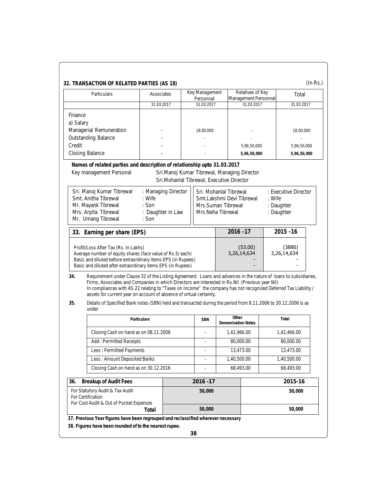|                        | <b>Particulars</b>                                                                                                                                                                                                  | Associates                   | Key Management<br>Personnal                 |                           | Relatives of Key<br>Management Personnal |                          | Total                |  |
|------------------------|---------------------------------------------------------------------------------------------------------------------------------------------------------------------------------------------------------------------|------------------------------|---------------------------------------------|---------------------------|------------------------------------------|--------------------------|----------------------|--|
|                        |                                                                                                                                                                                                                     | 31.03.2017                   | 31.03.2017                                  |                           | 31.03.2017                               |                          | 31.03.2017           |  |
| Finance                |                                                                                                                                                                                                                     |                              |                                             |                           |                                          |                          |                      |  |
| a) Salary              |                                                                                                                                                                                                                     |                              |                                             |                           |                                          |                          |                      |  |
|                        | Managerial Remuneration                                                                                                                                                                                             |                              | 18.00.000                                   |                           |                                          |                          | 18,00,000            |  |
|                        | <b>Outstanding Balance</b>                                                                                                                                                                                          |                              |                                             |                           |                                          |                          |                      |  |
| Credit                 |                                                                                                                                                                                                                     |                              |                                             |                           | 5,96,50,000                              |                          | 5,96,50,000          |  |
| <b>Closing Balance</b> |                                                                                                                                                                                                                     |                              |                                             |                           | 5,96,50,000                              |                          | 5,96,50,000          |  |
|                        | Names of related parties and description of relationship upto 31.03.2017                                                                                                                                            |                              |                                             |                           |                                          |                          |                      |  |
|                        | Key management Personal                                                                                                                                                                                             |                              | Sri.Manoj Kumar Tibrewal, Managing Director |                           |                                          |                          |                      |  |
|                        |                                                                                                                                                                                                                     |                              | Sri.Mohanlal Tibrewal, Executive Director   |                           |                                          |                          |                      |  |
|                        | Sri. Manoj Kumar Tibrewal                                                                                                                                                                                           | : Managing Director          | Sri. Mohanlal Tibrewal                      |                           |                                          |                          | : Executive Director |  |
|                        | Smt. Anitha Tibrewal                                                                                                                                                                                                | : Wife                       | Smt.Lakshmi Devi Tibrewal                   |                           |                                          | : Wife                   |                      |  |
|                        | Mr. Mayank Tibrewal<br>Mrs. Arpita Tibrewal                                                                                                                                                                         | $:$ Son<br>: Daughter in Law | Mrs.Suman Tibrewal<br>Mrs.Neha Tibrewal     |                           |                                          | : Daughter<br>: Daughter |                      |  |
|                        | Mr. Umang Tibrewal                                                                                                                                                                                                  | : Son                        |                                             |                           |                                          |                          |                      |  |
|                        |                                                                                                                                                                                                                     |                              |                                             | 2016 - 17                 |                                          |                          |                      |  |
|                        | 33. Earning per share (EPS)                                                                                                                                                                                         |                              |                                             |                           |                                          | $2015 - 16$              |                      |  |
|                        | Profit/Loss After Tax (Rs. In Lakhs)                                                                                                                                                                                |                              |                                             |                           | (53.00)                                  |                          | (3880)               |  |
|                        | Average number of equity shares (face value of Rs.5/ each)                                                                                                                                                          |                              |                                             | 3,26,14,634               |                                          | 3,26,14,634              |                      |  |
|                        | Basic and diluted before extraordinary items EPS (in Rupees)                                                                                                                                                        |                              |                                             |                           |                                          |                          |                      |  |
|                        | Basic and diluted after extraordinary items EPS (in Rupees)                                                                                                                                                         |                              |                                             |                           |                                          |                          |                      |  |
| 34.                    | Requirement under Clause 32 of the Listing Agreement. Loans and advances in the nature of loans to subsidiaries,<br>Firms, Associates and Companies in which Directors are interested in Rs.Nil (Previous year Nil) |                              |                                             |                           |                                          |                          |                      |  |
|                        | In compliances with AS 22 relating to "Taxes on Income" the company has not recognized Deferred Tax Liability /                                                                                                     |                              |                                             |                           |                                          |                          |                      |  |
|                        | assets for current year on account of absence of virtual certainty.                                                                                                                                                 |                              |                                             |                           |                                          |                          |                      |  |
| 35.                    | Details of Specified Bank notes (SBN) held and transacted during the period from 8.11.2006 to 30.12.2006 is as<br>under                                                                                             |                              |                                             |                           |                                          |                          |                      |  |
|                        |                                                                                                                                                                                                                     | Particulars                  | <b>SBN</b>                                  | Other                     |                                          | Total                    |                      |  |
|                        |                                                                                                                                                                                                                     |                              |                                             | <b>Denomination Notes</b> |                                          |                          |                      |  |
|                        |                                                                                                                                                                                                                     |                              |                                             | 1,42,466.00               |                                          |                          | 1,42,466.00          |  |
|                        | Closing Cash on hand as on 08.11.2006                                                                                                                                                                               |                              |                                             |                           |                                          |                          |                      |  |
|                        | Add: Permitted Receipts                                                                                                                                                                                             |                              | ä,                                          | 80,000.00                 |                                          |                          | 80,000.00            |  |
|                        | Less : Permitted Payments                                                                                                                                                                                           |                              |                                             | 13,473.00                 |                                          |                          | 13,473.00            |  |
|                        | Less: Amount Deposited Banks                                                                                                                                                                                        |                              |                                             | 1,40,500.00               |                                          |                          | 1,40,500.00          |  |
|                        | Closing Cash on hand as on 30.12.2016                                                                                                                                                                               |                              |                                             | 68,493.00                 |                                          |                          | 68,493.00            |  |
| 36.                    | Breakup of Audit Fees                                                                                                                                                                                               |                              | 2016 - 17                                   |                           |                                          |                          | 2015-16              |  |
|                        | For Statutory Audit & Tax Audit                                                                                                                                                                                     |                              | 50,000                                      |                           |                                          |                          | 50,000               |  |
| For Certification      | For Cost Audit & Out of Pocket Expenses                                                                                                                                                                             |                              |                                             |                           |                                          |                          |                      |  |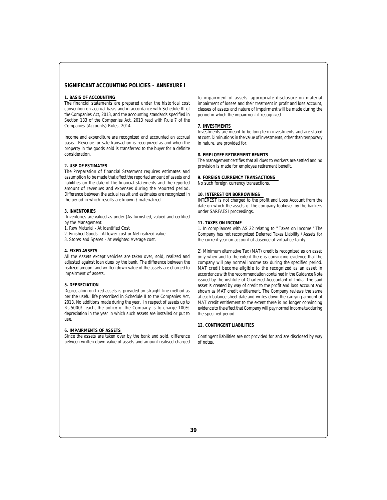#### **SIGNIFICANT ACCOUNTING POLICIES – ANNEXURE I**

#### **1. BASIS OF ACCOUNTING**

The financial statements are prepared under the historical cost convention on accrual basis and in accordance with Schedule III of the Companies Act, 2013, and the accounting standards specified in Section 133 of the Companies Act, 2013 read with Rule 7 of the Companies (Accounts) Rules, 2014.

Income and expenditure are recognized and accounted an accrual basis. Revenue for sale transaction is recognized as and when the property in the goods sold is transferred to the buyer for a definite consideration.

#### **2. USE OF ESTIMATES**

The Preparation of financial Statement requires estimates and assumption to be made that affect the reported amount of assets and liabilities on the date of the financial statements and the reported amount of revenues and expenses during the reported period. Difference between the actual result and estimates are recognized in the period in which results are known / materialized.

#### **3. INVENTORIES**

 Inventories are valued as under (As furnished, valued and certified by the Management.

- 1. Raw Material At Identified Cost
- 2. Finished Goods At lower cost or Net realized value
- 3. Stores and Spares At weighted Average cost.

#### **4. FIXED ASSETS**

All the Assets except vehicles are taken over, sold, realized and adjusted against loan dues by the bank. The difference between the realized amount and written down value of the assets are charged to impairment of assets.

#### **5. DEPRECIATION**

Depreciation on fixed assets is provided on straight-line method as per the useful life prescribed in Schedule II to the Companies Act, 2013. No additions made during the year. In respect of assets up to Rs.5000/- each, the policy of the Company is to charge 100% depreciation in the year in which such assets are installed or put to use.

#### **6. IMPAIRMENTS OF ASSETS**

Since the assets are taken over by the bank and sold, difference between written down value of assets and amount realised charged to impairment of assets. appropriate disclosure on material impairment of losses and their treatment in profit and loss account, classes of assets and nature of impairment will be made during the period in which the impairment if recognized.

#### **7. INVESTMENTS**

Investments are meant to be long term investments and are stated at cost. Diminutions in the value of investments, other than temporary in nature, are provided for.

#### **8. EMPLOYEE RETIREMENT BENFITS**

The management certifies that all dues to workers are settled and no provision is made for employee retirement benefit.

#### **9. FOREIGN CURRENCY TRANSACTIONS**

No such foreign currency transactions.

#### **10. INTEREST ON BORROWINGS**

INTEREST is not charged to the profit and Loss Account from the date on which the assets of the company tookover by the bankers under SARFAESI proceedings.

#### **11. TAXES ON INCOME**

1. In compliances with AS 22 relating to " Taxes on Income " The Company has not recongnized Deferred Taxes Liability / Assets for the current year on account of absence of virtual certainty.

2) Minimum alternative Tax (MAT) credit is recognized as on asset only when and to the extent there is convincing evidence that the company will pay normal income tax during the specified period. MAT credit become eligible to the recognized as an asset in accordance with the recommendation contained in the Guidance Note issued by the institute of Chartered Accountant of India. The said asset is created by way of credit to the profit and loss account and shown as MAT credit entitlement. The Company reviews the same at each balance sheet date and writes down the carrying amount of MAT credit entitlement to the extent there is no longer convincing evidence to the effect that Company will pay normal income tax during the specified period.

#### **12. CONTINGENT LIABILITIES**

Contingent liabilities are not provided for and are disclosed by way of notes.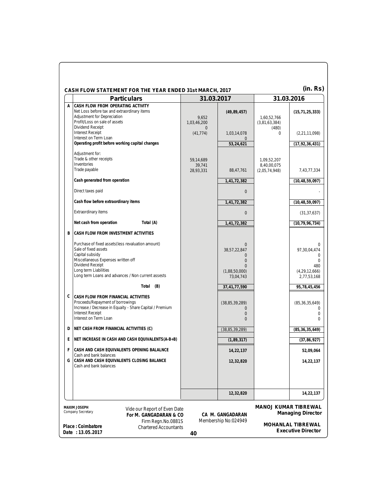|    | CASH FLOW STATEMENT FOR THE YEAR ENDED 31st MARCH, 2017                                                                                                                                                                                                                     |                                                   |                                                                                                |                                                   | (in. Rs)                                                                                    |
|----|-----------------------------------------------------------------------------------------------------------------------------------------------------------------------------------------------------------------------------------------------------------------------------|---------------------------------------------------|------------------------------------------------------------------------------------------------|---------------------------------------------------|---------------------------------------------------------------------------------------------|
|    | Particulars                                                                                                                                                                                                                                                                 | 31.03.2017                                        |                                                                                                |                                                   | 31.03.2016                                                                                  |
| Α  | CASH FLOW FROM OPERATING ACTIVITY<br>Net Loss before tax and extraordinary items<br>Adjustment for Depreciation<br>Profit/Loss on sale of assets<br>Dividend Receipt<br><b>Interest Receipt</b><br>Interest on Term Loan<br>Operating profit before working capital changes | 9,652<br>1,03,46,200<br>$\mathbf{0}$<br>(41, 774) | (49, 89, 457)<br>1,03,14,078<br>$\overline{0}$<br>53,24,621                                    | 1,60,52,766<br>(3,81,63,384)<br>(480)<br>$\Omega$ | (15, 71, 25, 333)<br>(2,21,11,098)<br>(17, 92, 36, 431)                                     |
|    | Adjustment for:<br>Trade & other receipts<br>Inventories<br>Trade payable<br>Cash generated from operation                                                                                                                                                                  | 59,14,689<br>39,741<br>28,93,331                  | 88,47,761                                                                                      | 1,09,52,207<br>8,40,00,075<br>(2,05,74,948)       | 7,43,77,334                                                                                 |
|    |                                                                                                                                                                                                                                                                             |                                                   | 1,41,72,382                                                                                    |                                                   | (10, 48, 59, 097)                                                                           |
|    | Direct taxes paid                                                                                                                                                                                                                                                           |                                                   | $\Omega$                                                                                       |                                                   |                                                                                             |
|    | Cash flow before extraordinary items                                                                                                                                                                                                                                        |                                                   | 1,41,72,382                                                                                    |                                                   | (10, 48, 59, 097)                                                                           |
|    | Extraordinary items                                                                                                                                                                                                                                                         |                                                   | $\mathbf{0}$                                                                                   |                                                   | (31, 37, 637)                                                                               |
|    | Net cash from operation<br>Total (A)                                                                                                                                                                                                                                        |                                                   | 1,41,72,382                                                                                    |                                                   | (10, 79, 96, 734)                                                                           |
| B  | CASH FLOW FROM INVESTMENT ACTIVITIES<br>Purchase of fixed assets (less revaluation amount)                                                                                                                                                                                  |                                                   |                                                                                                |                                                   |                                                                                             |
|    | Sale of fixed assets<br>Capital subsidy<br>Miscellaneous Expenses written off<br>Dividend Receipt<br>Long term Liabilities<br>Long term Loans and advances / Non current assests                                                                                            |                                                   | $\Omega$<br>38,57,22,847<br>$\Omega$<br>$\mathbf{0}$<br>$\Omega$<br>(1,88,50,000)<br>73,04,743 |                                                   | 0<br>97,30,04,474<br>$\Omega$<br>$\Omega$<br>480<br>(4, 29, 12, 666)<br>2,77,53,168         |
|    | (B)<br>Total                                                                                                                                                                                                                                                                |                                                   | 37,41,77,590                                                                                   |                                                   | 95,78,45,456                                                                                |
| С  | CASH FLOW FROM FINANCIAL ACTIVITIES<br>Proceeds/Repayment of borrowings<br>Increase / Decrease in Equaity - Share Capital / Premium<br><b>Interest Receipt</b><br>Interest on Term Loan                                                                                     |                                                   | (38, 85, 39, 289)<br>$\Omega$<br>$\mathbf{0}$<br>$\Omega$                                      |                                                   | (85, 36, 35, 649)<br>$\Omega$<br>0<br>$\Omega$                                              |
| D  | NET CASH FROM FINANCIAL ACTIVITIES (C)                                                                                                                                                                                                                                      |                                                   | (38, 85, 39, 289)                                                                              |                                                   | (85, 36, 35, 649)                                                                           |
| E. | NET INCREASE IN CASH AND CASH EQUIVALENTS(A-B+B)                                                                                                                                                                                                                            |                                                   | (1, 89, 317)                                                                                   |                                                   | (37, 86, 927)                                                                               |
| F  | CASH AND CASH EQUIVALENTS OPENING BALALNCE                                                                                                                                                                                                                                  |                                                   | 14,22,137                                                                                      |                                                   | 52,09,064                                                                                   |
| G  | Cash and bank balances<br>CASH AND CASH EQUIVALENTS CLOSING BALANCE<br>Cash and bank balances                                                                                                                                                                               |                                                   | 12,32,820                                                                                      |                                                   | 14,22,137                                                                                   |
|    |                                                                                                                                                                                                                                                                             |                                                   | 12,32,820                                                                                      |                                                   | 14,22,137                                                                                   |
|    | MAXIM JOSEPH<br>Vide our Report of Even Date<br>Company Secretary<br>For M. GANGADARAN & CO<br>Firm Regn.No.0881S<br>Place: Coimbatore<br><b>Chartered Accountants</b><br>Date: 13.05.2017                                                                                  | 40                                                | CA M. GANGADARAN<br>Membership No:024949                                                       |                                                   | MANOJ KUMAR TIBREWAL<br>Managing Director<br>MOHANLAL TIBREWAL<br><b>Executive Director</b> |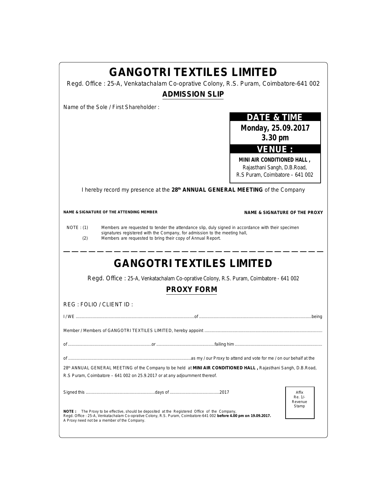|           |                                                                                                                                           | Regd. Office: 25-A, Venkatachalam Co-oprative Colony, R.S. Puram, Coimbatore-641 002                            |
|-----------|-------------------------------------------------------------------------------------------------------------------------------------------|-----------------------------------------------------------------------------------------------------------------|
|           | <b>ADMISSION SLIP</b>                                                                                                                     |                                                                                                                 |
|           | Name of the Sole / First Shareholder:                                                                                                     |                                                                                                                 |
|           |                                                                                                                                           | DATE & TIME                                                                                                     |
|           |                                                                                                                                           | Monday, 25.09.2017<br>3.30 pm                                                                                   |
|           |                                                                                                                                           |                                                                                                                 |
|           |                                                                                                                                           | MINI AIR CONDITIONED HALL,<br>Rajasthani Sangh, D.B.Road,<br>R.S Puram, Coimbatore - 641 002                    |
|           |                                                                                                                                           | I hereby record my presence at the 28th ANNUAL GENERAL MEETING of the Company                                   |
|           | NAME & SIGNATURE OF THE ATTENDING MEMBER                                                                                                  | NAME & SIGNATURE OF THE PROXY                                                                                   |
| NOTE: (1) |                                                                                                                                           |                                                                                                                 |
| (2)       | signatures registered with the Company, for admission to the meeting hall,<br>Members are requested to bring their copy of Annual Report. | Members are requested to tender the attendance slip, duly signed in accordance with their specimen              |
|           | <b>GANGOTRI TEXTILES LIMITED</b>                                                                                                          | Regd. Office: 25-A, Venkatachalam Co-oprative Colony, R.S. Puram, Coimbatore - 641 002                          |
|           | <b>PROXY FORM</b>                                                                                                                         |                                                                                                                 |
|           | REG: FOLIO / CLIENT ID:                                                                                                                   |                                                                                                                 |
|           |                                                                                                                                           |                                                                                                                 |
|           |                                                                                                                                           |                                                                                                                 |
|           |                                                                                                                                           |                                                                                                                 |
|           |                                                                                                                                           |                                                                                                                 |
|           | R.S Puram, Coimbatore – 641 002 on 25.9.2017 or at any adjournment thereof.                                                               | 28th ANNUAL GENERAL MEETING of the Company to be held at MINI AIR CONDITIONED HALL, Rajasthani Sangh, D.B.Road, |
|           |                                                                                                                                           | Affix<br>Re. 1/-<br>Revenue                                                                                     |